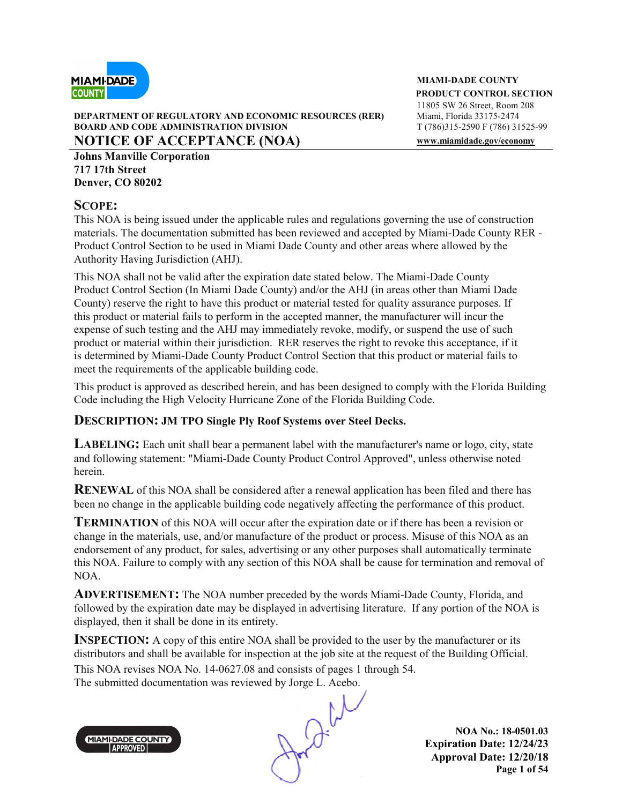

#### **DEPARTMENT OF REGULATORY AND ECONOMIC RESOURCES (RER) BOARD AND CODE ADMINISTRATION DIVISION T** (786)315-2590 F (786) 31525-99 **NOTICE OF ACCEPTANCE (NOA) www.miamidade.gov/economy**

**Johns Manville Corporation 717 17th Street Denver, CO 80202**

#### **SCOPE:**

This NOA is being issued under the applicable rules and regulations governing the use of construction materials. The documentation submitted has been reviewed and accepted by Miami-Dade County RER - Product Control Section to be used in Miami Dade County and other areas where allowed by the Authority Having Jurisdiction (AHJ).

This NOA shall not be valid after the expiration date stated below. The Miami-Dade County Product Control Section (In Miami Dade County) and/or the AHJ (in areas other than Miami Dade County) reserve the right to have this product or material tested for quality assurance purposes. If this product or material fails to perform in the accepted manner, the manufacturer will incur the expense of such testing and the AHJ may immediately revoke, modify, or suspend the use of such product or material within their jurisdiction. RER reserves the right to revoke this acceptance, if it is determined by Miami-Dade County Product Control Section that this product or material fails to meet the requirements of the applicable building code.

This product is approved as described herein, and has been designed to comply with the Florida Building Code including the High Velocity Hurricane Zone of the Florida Building Code.

#### **DESCRIPTION: JM TPO Single Ply Roof Systems over Steel Decks.**

**LABELING:** Each unit shall bear a permanent label with the manufacturer's name or logo, city, state and following statement: "Miami-Dade County Product Control Approved", unless otherwise noted herein.

**RENEWAL** of this NOA shall be considered after a renewal application has been filed and there has been no change in the applicable building code negatively affecting the performance of this product.

**TERMINATION** of this NOA will occur after the expiration date or if there has been a revision or change in the materials, use, and/or manufacture of the product or process. Misuse of this NOA as an endorsement of any product, for sales, advertising or any other purposes shall automatically terminate this NOA. Failure to comply with any section of this NOA shall be cause for termination and removal of NOA.

**ADVERTISEMENT:** The NOA number preceded by the words Miami-Dade County, Florida, and followed by the expiration date may be displayed in advertising literature. If any portion of the NOA is displayed, then it shall be done in its entirety.

**INSPECTION:** A copy of this entire NOA shall be provided to the user by the manufacturer or its distributors and shall be available for inspection at the job site at the request of the Building Official. This NOA revises NOA No. 14-0627.08 and consists of pages 1 through 54.



The submitted documentation was reviewed by Jorge L. Acebo.<br>
MAMI-DADECOUNTY<br>
APPROVED

**NOA No.: 18-0501.03 Expiration Date: 12/24/23 Approval Date: 12/20/18 Page 1 of 54** 

**MIAMI-DADE COUNTY PRODUCT CONTROL SECTION** 11805 SW 26 Street, Room 208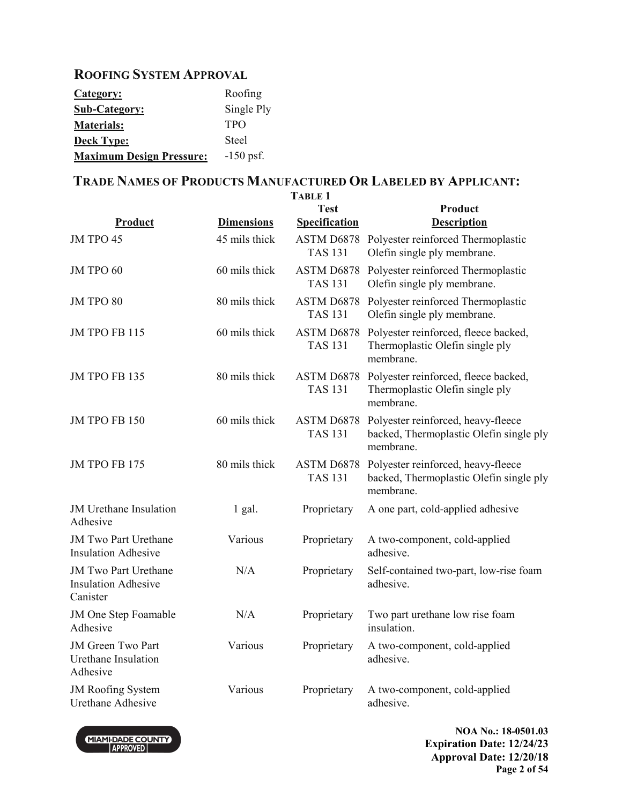#### **ROOFING SYSTEM APPROVAL**

| Category:                       | Roofing      |
|---------------------------------|--------------|
| <b>Sub-Category:</b>            | Single Ply   |
| <b>Materials:</b>               | <b>TPO</b>   |
| <b>Deck Type:</b>               | <b>Steel</b> |
| <b>Maximum Design Pressure:</b> | $-150$ psf.  |

# **TRADE NAMES OF PRODUCTS MANUFACTURED OR LABELED BY APPLICANT:**

|                                                                       |                   | <b>TABLE 1</b>                      |                                                                                                       |
|-----------------------------------------------------------------------|-------------------|-------------------------------------|-------------------------------------------------------------------------------------------------------|
| Product                                                               | <b>Dimensions</b> | <b>Test</b><br><b>Specification</b> | Product<br><b>Description</b>                                                                         |
| JM TPO 45                                                             | 45 mils thick     | <b>TAS 131</b>                      | ASTM D6878 Polyester reinforced Thermoplastic<br>Olefin single ply membrane.                          |
| JM TPO 60                                                             | 60 mils thick     | ASTM D6878<br><b>TAS 131</b>        | Polyester reinforced Thermoplastic<br>Olefin single ply membrane.                                     |
| JM TPO 80                                                             | 80 mils thick     | <b>TAS 131</b>                      | ASTM D6878 Polyester reinforced Thermoplastic<br>Olefin single ply membrane.                          |
| JM TPO FB 115                                                         | 60 mils thick     | ASTM D6878<br><b>TAS 131</b>        | Polyester reinforced, fleece backed,<br>Thermoplastic Olefin single ply<br>membrane.                  |
| <b>JM TPO FB 135</b>                                                  | 80 mils thick     | ASTM D6878<br><b>TAS 131</b>        | Polyester reinforced, fleece backed,<br>Thermoplastic Olefin single ply<br>membrane.                  |
| JM TPO FB 150                                                         | 60 mils thick     | ASTM D6878<br><b>TAS 131</b>        | Polyester reinforced, heavy-fleece<br>backed, Thermoplastic Olefin single ply<br>membrane.            |
| JM TPO FB 175                                                         | 80 mils thick     | <b>TAS 131</b>                      | ASTM D6878 Polyester reinforced, heavy-fleece<br>backed, Thermoplastic Olefin single ply<br>membrane. |
| <b>JM</b> Urethane Insulation<br>Adhesive                             | $1$ gal.          | Proprietary                         | A one part, cold-applied adhesive                                                                     |
| <b>JM Two Part Urethane</b><br><b>Insulation Adhesive</b>             | Various           | Proprietary                         | A two-component, cold-applied<br>adhesive.                                                            |
| <b>JM Two Part Urethane</b><br><b>Insulation Adhesive</b><br>Canister | N/A               | Proprietary                         | Self-contained two-part, low-rise foam<br>adhesive.                                                   |
| JM One Step Foamable<br>Adhesive                                      | N/A               | Proprietary                         | Two part urethane low rise foam<br>insulation.                                                        |
| JM Green Two Part<br><b>Urethane Insulation</b><br>Adhesive           | Various           | Proprietary                         | A two-component, cold-applied<br>adhesive.                                                            |
| JM Roofing System<br><b>Urethane Adhesive</b>                         | Various           | Proprietary                         | A two-component, cold-applied<br>adhesive.                                                            |



**NOA No.: 18-0501.03 Expiration Date: 12/24/23 Approval Date: 12/20/18 Page 2 of 54**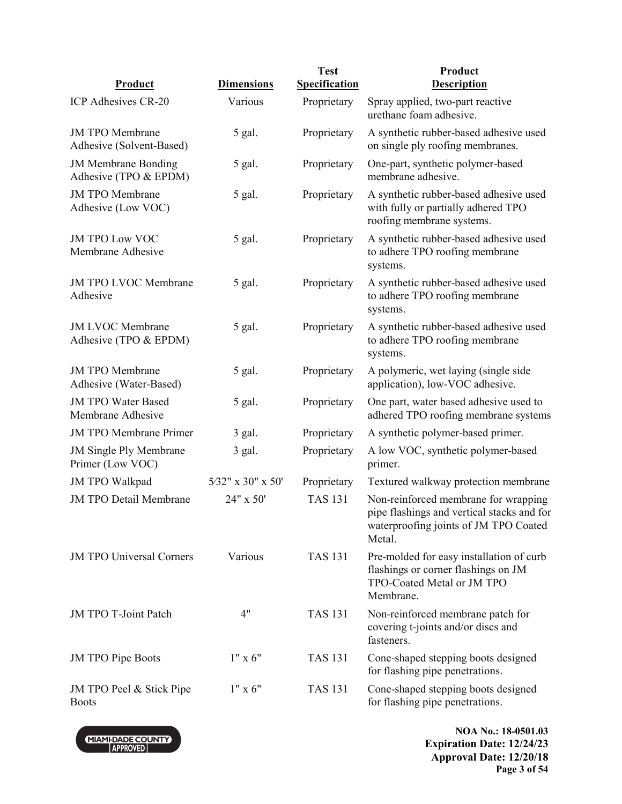| Product                                             | <b>Dimensions</b> | <b>Test</b><br><b>Specification</b> | Product<br><b>Description</b>                                                                                                         |
|-----------------------------------------------------|-------------------|-------------------------------------|---------------------------------------------------------------------------------------------------------------------------------------|
|                                                     |                   |                                     |                                                                                                                                       |
| ICP Adhesives CR-20                                 | Various           | Proprietary                         | Spray applied, two-part reactive<br>urethane foam adhesive.                                                                           |
| <b>JM TPO Membrane</b><br>Adhesive (Solvent-Based)  | 5 gal.            | Proprietary                         | A synthetic rubber-based adhesive used<br>on single ply roofing membranes.                                                            |
| <b>JM Membrane Bonding</b><br>Adhesive (TPO & EPDM) | 5 gal.            | Proprietary                         | One-part, synthetic polymer-based<br>membrane adhesive.                                                                               |
| <b>JM TPO Membrane</b><br>Adhesive (Low VOC)        | 5 gal.            | Proprietary                         | A synthetic rubber-based adhesive used<br>with fully or partially adhered TPO<br>roofing membrane systems.                            |
| <b>JM TPO Low VOC</b><br>Membrane Adhesive          | 5 gal.            | Proprietary                         | A synthetic rubber-based adhesive used<br>to adhere TPO roofing membrane<br>systems.                                                  |
| JM TPO LVOC Membrane<br>Adhesive                    | 5 gal.            | Proprietary                         | A synthetic rubber-based adhesive used<br>to adhere TPO roofing membrane<br>systems.                                                  |
| <b>JM LVOC Membrane</b><br>Adhesive (TPO & EPDM)    | 5 gal.            | Proprietary                         | A synthetic rubber-based adhesive used<br>to adhere TPO roofing membrane<br>systems.                                                  |
| <b>JM TPO Membrane</b><br>Adhesive (Water-Based)    | 5 gal.            | Proprietary                         | A polymeric, wet laying (single side<br>application), low-VOC adhesive.                                                               |
| <b>JM TPO Water Based</b><br>Membrane Adhesive      | 5 gal.            | Proprietary                         | One part, water based adhesive used to<br>adhered TPO roofing membrane systems                                                        |
| <b>JM TPO Membrane Primer</b>                       | 3 gal.            | Proprietary                         | A synthetic polymer-based primer.                                                                                                     |
| <b>JM Single Ply Membrane</b><br>Primer (Low VOC)   | 3 gal.            | Proprietary                         | A low VOC, synthetic polymer-based<br>primer.                                                                                         |
| <b>JM TPO Walkpad</b>                               | 5/32" x 30" x 50" | Proprietary                         | Textured walkway protection membrane                                                                                                  |
| <b>JM TPO Detail Membrane</b>                       | 24" x 50'         | <b>TAS 131</b>                      | Non-reinforced membrane for wrapping<br>pipe flashings and vertical stacks and for<br>waterproofing joints of JM TPO Coated<br>Metal. |
| <b>JM TPO Universal Corners</b>                     | Various           | <b>TAS 131</b>                      | Pre-molded for easy installation of curb<br>flashings or corner flashings on JM<br>TPO-Coated Metal or JM TPO<br>Membrane.            |
| JM TPO T-Joint Patch                                | 4"                | <b>TAS 131</b>                      | Non-reinforced membrane patch for<br>covering t-joints and/or discs and<br>fasteners.                                                 |
| <b>JM TPO Pipe Boots</b>                            | $1" \times 6"$    | <b>TAS 131</b>                      | Cone-shaped stepping boots designed<br>for flashing pipe penetrations.                                                                |
| JM TPO Peel & Stick Pipe<br><b>Boots</b>            | $1" \times 6"$    | <b>TAS 131</b>                      | Cone-shaped stepping boots designed<br>for flashing pipe penetrations.                                                                |



**NOA No.: 18-0501.03 Expiration Date: 12/24/23 Approval Date: 12/20/18 Page 3 of 54**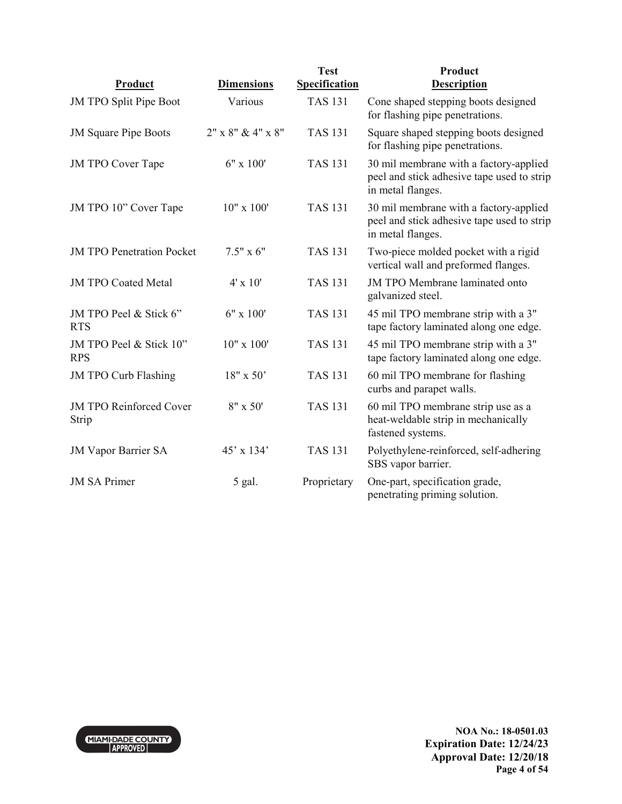| Product                                 | <b>Dimensions</b>   | <b>Test</b><br><b>Specification</b> | Product<br><b>Description</b>                                                                             |
|-----------------------------------------|---------------------|-------------------------------------|-----------------------------------------------------------------------------------------------------------|
| JM TPO Split Pipe Boot                  | Various             | <b>TAS 131</b>                      | Cone shaped stepping boots designed<br>for flashing pipe penetrations.                                    |
| <b>JM Square Pipe Boots</b>             | $2"$ x 8" & 4" x 8" | <b>TAS 131</b>                      | Square shaped stepping boots designed<br>for flashing pipe penetrations.                                  |
| <b>JM TPO Cover Tape</b>                | $6" \times 100'$    | <b>TAS 131</b>                      | 30 mil membrane with a factory-applied<br>peel and stick adhesive tape used to strip<br>in metal flanges. |
| JM TPO 10" Cover Tape                   | $10"$ x $100'$      | <b>TAS 131</b>                      | 30 mil membrane with a factory-applied<br>peel and stick adhesive tape used to strip<br>in metal flanges. |
| <b>JM TPO Penetration Pocket</b>        | $7.5" \times 6"$    | <b>TAS 131</b>                      | Two-piece molded pocket with a rigid<br>vertical wall and preformed flanges.                              |
| <b>JM TPO Coated Metal</b>              | $4' \times 10'$     | <b>TAS 131</b>                      | <b>JM TPO Membrane laminated onto</b><br>galvanized steel.                                                |
| JM TPO Peel & Stick 6"<br><b>RTS</b>    | 6" x 100'           | <b>TAS 131</b>                      | 45 mil TPO membrane strip with a 3"<br>tape factory laminated along one edge.                             |
| JM TPO Peel & Stick 10"<br><b>RPS</b>   | $10"$ x $100'$      | <b>TAS 131</b>                      | 45 mil TPO membrane strip with a 3"<br>tape factory laminated along one edge.                             |
| <b>JM TPO Curb Flashing</b>             | $18" \times 50'$    | <b>TAS 131</b>                      | 60 mil TPO membrane for flashing<br>curbs and parapet walls.                                              |
| <b>JM TPO Reinforced Cover</b><br>Strip | $8" \times 50'$     | <b>TAS 131</b>                      | 60 mil TPO membrane strip use as a<br>heat-weldable strip in mechanically<br>fastened systems.            |
| <b>JM Vapor Barrier SA</b>              | 45' x 134'          | <b>TAS 131</b>                      | Polyethylene-reinforced, self-adhering<br>SBS vapor barrier.                                              |
| <b>JM SA Primer</b>                     | 5 gal.              | Proprietary                         | One-part, specification grade,<br>penetrating priming solution.                                           |

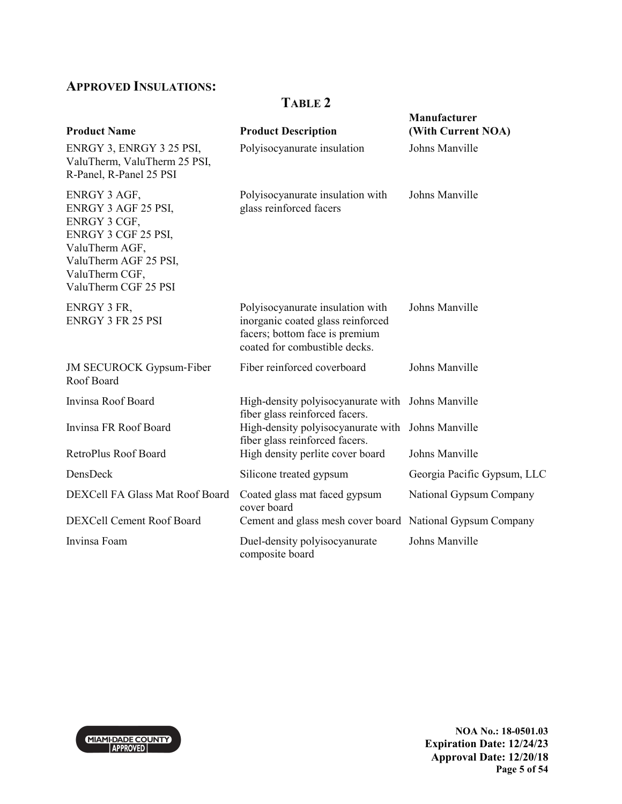## **APPROVED INSULATIONS:**

#### **TABLE 2**

| <b>Product Name</b>                                                                                                                                             | <b>Product Description</b>                                                                                                               | Manufacturer<br>(With Current NOA) |
|-----------------------------------------------------------------------------------------------------------------------------------------------------------------|------------------------------------------------------------------------------------------------------------------------------------------|------------------------------------|
| ENRGY 3, ENRGY 3 25 PSI,<br>ValuTherm, ValuTherm 25 PSI,<br>R-Panel, R-Panel 25 PSI                                                                             | Polyisocyanurate insulation                                                                                                              | Johns Manville                     |
| ENRGY 3 AGF,<br>ENRGY 3 AGF 25 PSI,<br>ENRGY 3 CGF,<br>ENRGY 3 CGF 25 PSI,<br>ValuTherm AGF,<br>ValuTherm AGF 25 PSI,<br>ValuTherm CGF,<br>ValuTherm CGF 25 PSI | Polyisocyanurate insulation with<br>glass reinforced facers                                                                              | Johns Manville                     |
| ENRGY 3 FR,<br><b>ENRGY 3 FR 25 PSI</b>                                                                                                                         | Polyisocyanurate insulation with<br>inorganic coated glass reinforced<br>facers; bottom face is premium<br>coated for combustible decks. | Johns Manville                     |
| <b>JM SECUROCK Gypsum-Fiber</b><br>Roof Board                                                                                                                   | Fiber reinforced coverboard                                                                                                              | Johns Manville                     |
| Invinsa Roof Board                                                                                                                                              | High-density polyisocyanurate with Johns Manville<br>fiber glass reinforced facers.                                                      |                                    |
| Invinsa FR Roof Board                                                                                                                                           | High-density polyisocyanurate with Johns Manville<br>fiber glass reinforced facers.                                                      |                                    |
| RetroPlus Roof Board                                                                                                                                            | High density perlite cover board                                                                                                         | Johns Manville                     |
| DensDeck                                                                                                                                                        | Silicone treated gypsum                                                                                                                  | Georgia Pacific Gypsum, LLC        |
| DEXCell FA Glass Mat Roof Board                                                                                                                                 | Coated glass mat faced gypsum<br>cover board                                                                                             | National Gypsum Company            |
| DEXCell Cement Roof Board                                                                                                                                       | Cement and glass mesh cover board National Gypsum Company                                                                                |                                    |
| Invinsa Foam                                                                                                                                                    | Duel-density polyisocyanurate<br>composite board                                                                                         | Johns Manville                     |



**NOA No.: 18-0501.03 Expiration Date: 12/24/23 Approval Date: 12/20/18 Page 5 of 54**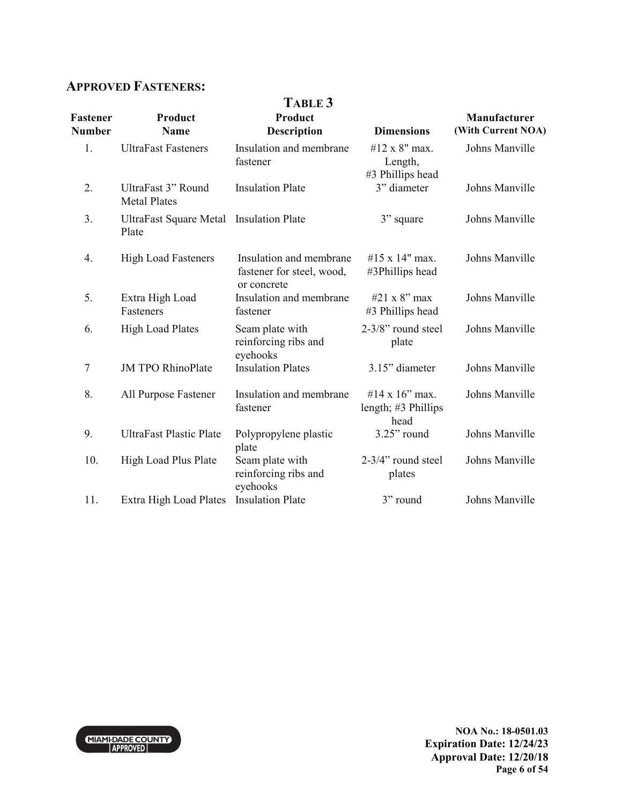### **APPROVED FASTENERS:**

| <b>Fastener</b><br><b>Number</b> | Product<br><b>Name</b>                    | TABLE 3<br>Product<br><b>Description</b>                            | <b>Dimensions</b>                             | Manufacturer<br>(With Current NOA) |
|----------------------------------|-------------------------------------------|---------------------------------------------------------------------|-----------------------------------------------|------------------------------------|
| 1.                               | <b>UltraFast Fasteners</b>                | Insulation and membrane<br>fastener                                 | #12 x 8" max.<br>Length,<br>#3 Phillips head  | Johns Manville                     |
| 2.                               | UltraFast 3" Round<br><b>Metal Plates</b> | <b>Insulation Plate</b>                                             | 3" diameter                                   | Johns Manville                     |
| 3.                               | <b>UltraFast Square Metal</b><br>Plate    | <b>Insulation Plate</b>                                             | 3" square                                     | Johns Manville                     |
| 4.                               | <b>High Load Fasteners</b>                | Insulation and membrane<br>fastener for steel, wood,<br>or concrete | #15 x 14" max.<br>#3Phillips head             | Johns Manville                     |
| 5.                               | Extra High Load<br>Fasteners              | Insulation and membrane<br>fastener                                 | #21 x 8" max<br>#3 Phillips head              | Johns Manville                     |
| 6.                               | <b>High Load Plates</b>                   | Seam plate with<br>reinforcing ribs and<br>eyehooks                 | 2-3/8" round steel<br>plate                   | Johns Manville                     |
| 7                                | <b>JM TPO RhinoPlate</b>                  | <b>Insulation Plates</b>                                            | 3.15" diameter                                | Johns Manville                     |
| 8.                               | All Purpose Fastener                      | Insulation and membrane<br>fastener                                 | #14 x 16" max.<br>length; #3 Phillips<br>head | Johns Manville                     |
| 9.                               | <b>UltraFast Plastic Plate</b>            | Polypropylene plastic<br>plate                                      | $3.25$ " round                                | Johns Manville                     |
| 10.                              | High Load Plus Plate                      | Seam plate with<br>reinforcing ribs and<br>eyehooks                 | 2-3/4" round steel<br>plates                  | Johns Manville                     |
| 11.                              | Extra High Load Plates                    | <b>Insulation Plate</b>                                             | 3" round                                      | Johns Manville                     |



**NOA No.: 18-0501.03 Expiration Date: 12/24/23 Approval Date: 12/20/18 Page 6 of 54**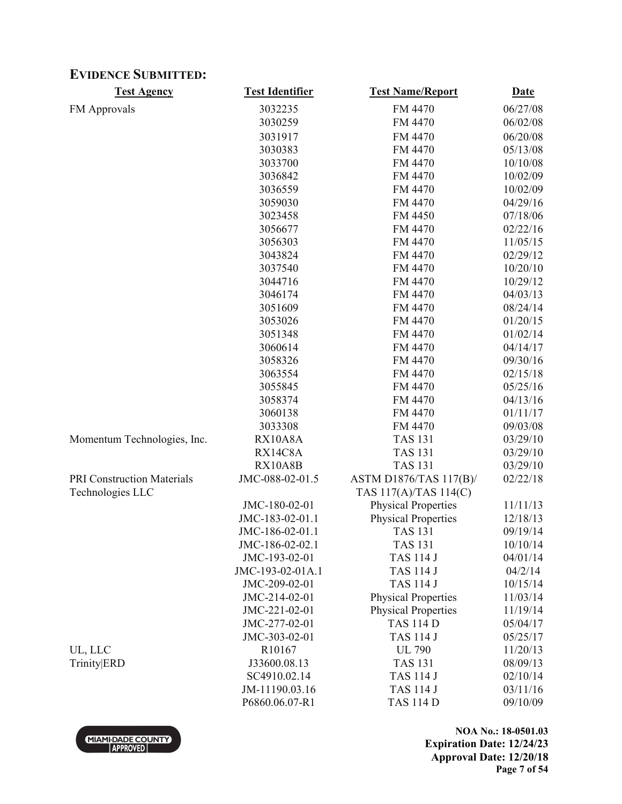### **EVIDENCE SUBMITTED:**

| <b>Test Agency</b>          | <b>Test Identifier</b> | <b>Test Name/Report</b>    | <b>Date</b> |
|-----------------------------|------------------------|----------------------------|-------------|
| <b>FM</b> Approvals         | 3032235                | FM 4470                    | 06/27/08    |
|                             | 3030259                | FM 4470                    | 06/02/08    |
|                             | 3031917                | FM 4470                    | 06/20/08    |
|                             | 3030383                | FM 4470                    | 05/13/08    |
|                             | 3033700                | FM 4470                    | 10/10/08    |
|                             | 3036842                | FM 4470                    | 10/02/09    |
|                             | 3036559                | FM 4470                    | 10/02/09    |
|                             | 3059030                | FM 4470                    | 04/29/16    |
|                             | 3023458                | FM 4450                    | 07/18/06    |
|                             | 3056677                | FM 4470                    | 02/22/16    |
|                             | 3056303                | FM 4470                    | 11/05/15    |
|                             | 3043824                | FM 4470                    | 02/29/12    |
|                             | 3037540                | FM 4470                    | 10/20/10    |
|                             | 3044716                | FM 4470                    | 10/29/12    |
|                             | 3046174                | FM 4470                    | 04/03/13    |
|                             | 3051609                | FM 4470                    | 08/24/14    |
|                             | 3053026                | FM 4470                    | 01/20/15    |
|                             | 3051348                | FM 4470                    | 01/02/14    |
|                             | 3060614                | FM 4470                    | 04/14/17    |
|                             | 3058326                | FM 4470                    | 09/30/16    |
|                             | 3063554                | FM 4470                    | 02/15/18    |
|                             | 3055845                | FM 4470                    | 05/25/16    |
|                             | 3058374                | FM 4470                    | 04/13/16    |
|                             | 3060138                | FM 4470                    | 01/11/17    |
|                             | 3033308                | FM 4470                    | 09/03/08    |
| Momentum Technologies, Inc. | RX10A8A                | <b>TAS 131</b>             | 03/29/10    |
|                             | RX14C8A                | <b>TAS 131</b>             | 03/29/10    |
|                             | RX10A8B                | <b>TAS 131</b>             | 03/29/10    |
| PRI Construction Materials  | JMC-088-02-01.5        | ASTM D1876/TAS 117(B)/     | 02/22/18    |
| Technologies LLC            |                        | TAS 117(A)/TAS 114(C)      |             |
|                             | JMC-180-02-01          | <b>Physical Properties</b> | 11/11/13    |
|                             | JMC-183-02-01.1        | <b>Physical Properties</b> | 12/18/13    |
|                             | JMC-186-02-01.1        | <b>TAS 131</b>             | 09/19/14    |
|                             | JMC-186-02-02.1        | <b>TAS 131</b>             | 10/10/14    |
|                             | JMC-193-02-01          | <b>TAS 114 J</b>           | 04/01/14    |
|                             | JMC-193-02-01A.1       | <b>TAS 114 J</b>           | 04/2/14     |
|                             | JMC-209-02-01          | <b>TAS 114 J</b>           | 10/15/14    |
|                             | JMC-214-02-01          | <b>Physical Properties</b> | 11/03/14    |
|                             | JMC-221-02-01          | <b>Physical Properties</b> | 11/19/14    |
|                             | JMC-277-02-01          | <b>TAS 114 D</b>           | 05/04/17    |
|                             | JMC-303-02-01          | <b>TAS 114 J</b>           | 05/25/17    |
| UL, LLC                     | R10167                 | <b>UL 790</b>              | 11/20/13    |
| Trinity ERD                 | J33600.08.13           | <b>TAS 131</b>             | 08/09/13    |
|                             | SC4910.02.14           | <b>TAS 114 J</b>           | 02/10/14    |
|                             | JM-11190.03.16         | <b>TAS 114 J</b>           | 03/11/16    |
|                             | P6860.06.07-R1         | <b>TAS 114 D</b>           | 09/10/09    |
|                             |                        |                            |             |



**NOA No.: 18-0501.03 Expiration Date: 12/24/23 Approval Date: 12/20/18 Page 7 of 54**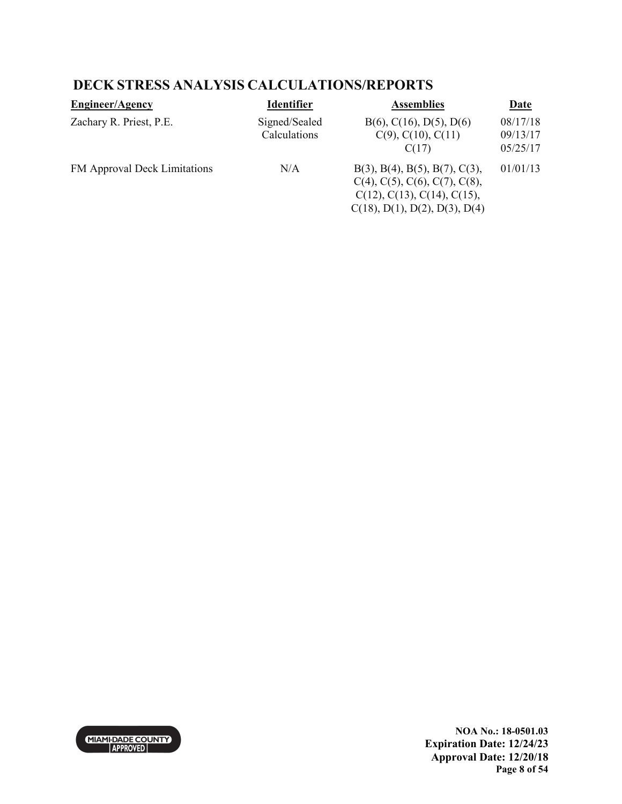#### **DECK STRESS ANALYSIS CALCULATIONS/REPORTS**

| <b>Engineer/Agency</b>       | <b>Identifier</b>             | <b>Assemblies</b>                                                                                                                                                           | <b>Date</b>                      |
|------------------------------|-------------------------------|-----------------------------------------------------------------------------------------------------------------------------------------------------------------------------|----------------------------------|
| Zachary R. Priest, P.E.      | Signed/Sealed<br>Calculations | $B(6)$ , C(16), D(5), D(6)<br>$C(9)$ , $C(10)$ , $C(11)$<br>C(17)                                                                                                           | 08/17/18<br>09/13/17<br>05/25/17 |
| FM Approval Deck Limitations | N/A                           | $B(3)$ , $B(4)$ , $B(5)$ , $B(7)$ , $C(3)$ ,<br>$C(4)$ , $C(5)$ , $C(6)$ , $C(7)$ , $C(8)$ ,<br>$C(12)$ , $C(13)$ , $C(14)$ , $C(15)$ ,<br>$C(18)$ , D(1), D(2), D(3), D(4) | 01/01/13                         |



**NOA No.: 18-0501.03 Expiration Date: 12/24/23 Approval Date: 12/20/18 Page 8 of 54**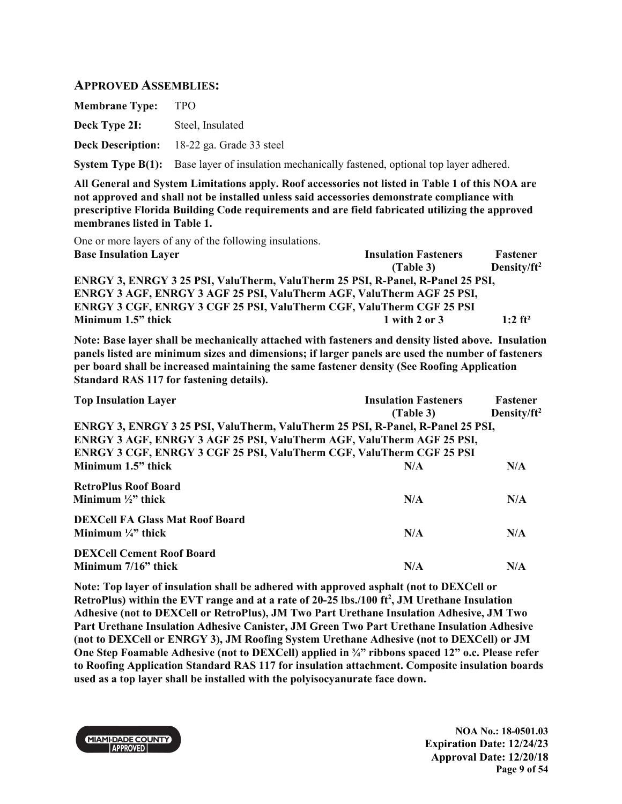#### **APPROVED ASSEMBLIES:**

| <b>Membrane Type:</b> | TPO                                                                                           |
|-----------------------|-----------------------------------------------------------------------------------------------|
| Deck Type 2I:         | Steel, Insulated                                                                              |
|                       | <b>Deck Description:</b> 18-22 ga. Grade 33 steel                                             |
|                       | System Type B(1): Base layer of insulation mechanically fastened, optional top layer adhered. |

**All General and System Limitations apply. Roof accessories not listed in Table 1 of this NOA are not approved and shall not be installed unless said accessories demonstrate compliance with prescriptive Florida Building Code requirements and are field fabricated utilizing the approved membranes listed in Table 1.**

One or more layers of any of the following insulations.

| <b>Base Insulation Layer</b>                                                   | <b>Insulation Fasteners</b> | <b>Fastener</b>       |
|--------------------------------------------------------------------------------|-----------------------------|-----------------------|
|                                                                                | (Table 3)                   | Density/ $ft^2$       |
| ENRGY 3, ENRGY 3 25 PSI, ValuTherm, ValuTherm 25 PSI, R-Panel, R-Panel 25 PSI, |                             |                       |
| ENRGY 3 AGF, ENRGY 3 AGF 25 PSI, ValuTherm AGF, ValuTherm AGF 25 PSI,          |                             |                       |
| ENRGY 3 CGF, ENRGY 3 CGF 25 PSI, ValuTherm CGF, ValuTherm CGF 25 PSI           |                             |                       |
| Minimum 1.5" thick                                                             | $1$ with 2 or 3             | $1:2$ ft <sup>2</sup> |

**Note: Base layer shall be mechanically attached with fasteners and density listed above. Insulation panels listed are minimum sizes and dimensions; if larger panels are used the number of fasteners per board shall be increased maintaining the same fastener density (See Roofing Application Standard RAS 117 for fastening details).** 

| <b>Top Insulation Layer</b>                                                    | <b>Insulation Fasteners</b><br>(Table 3) | Fastener<br>Density/ft <sup>2</sup> |
|--------------------------------------------------------------------------------|------------------------------------------|-------------------------------------|
| ENRGY 3, ENRGY 3 25 PSI, ValuTherm, ValuTherm 25 PSI, R-Panel, R-Panel 25 PSI, |                                          |                                     |
| ENRGY 3 AGF, ENRGY 3 AGF 25 PSI, ValuTherm AGF, ValuTherm AGF 25 PSI,          |                                          |                                     |
| ENRGY 3 CGF, ENRGY 3 CGF 25 PSI, ValuTherm CGF, ValuTherm CGF 25 PSI           |                                          |                                     |
| Minimum 1.5" thick                                                             | N/A                                      | N/A                                 |
| <b>RetroPlus Roof Board</b><br>Minimum $\frac{1}{2}$ " thick                   | N/A                                      | N/A                                 |
| <b>DEXCell FA Glass Mat Roof Board</b><br>Minimum $\frac{1}{4}$ " thick        | N/A                                      | N/A                                 |
| <b>DEXCell Cement Roof Board</b><br>Minimum 7/16" thick                        | N/A                                      | N/A                                 |

**Note: Top layer of insulation shall be adhered with approved asphalt (not to DEXCell or RetroPlus) within the EVT range and at a rate of 20-25 lbs./100 ft<sup>2</sup> , JM Urethane Insulation Adhesive (not to DEXCell or RetroPlus), JM Two Part Urethane Insulation Adhesive, JM Two Part Urethane Insulation Adhesive Canister, JM Green Two Part Urethane Insulation Adhesive (not to DEXCell or ENRGY 3), JM Roofing System Urethane Adhesive (not to DEXCell) or JM One Step Foamable Adhesive (not to DEXCell) applied in ¾" ribbons spaced 12" o.c. Please refer to Roofing Application Standard RAS 117 for insulation attachment. Composite insulation boards used as a top layer shall be installed with the polyisocyanurate face down.** 



**NOA No.: 18-0501.03 Expiration Date: 12/24/23 Approval Date: 12/20/18 Page 9 of 54**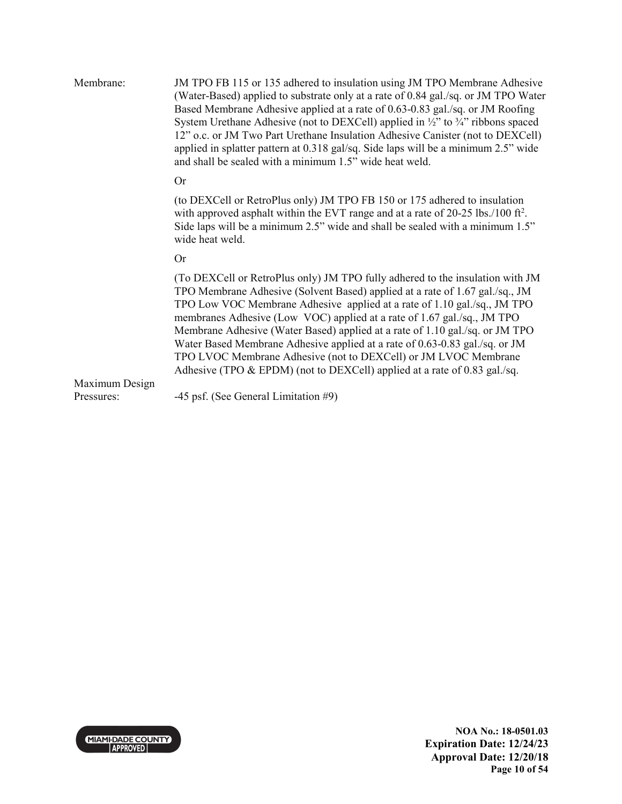| Membrane:                    | JM TPO FB 115 or 135 adhered to insulation using JM TPO Membrane Adhesive<br>(Water-Based) applied to substrate only at a rate of 0.84 gal./sq. or JM TPO Water<br>Based Membrane Adhesive applied at a rate of 0.63-0.83 gal./sq. or JM Roofing<br>System Urethane Adhesive (not to DEXCell) applied in $\frac{1}{2}$ " to $\frac{3}{4}$ " ribbons spaced<br>12" o.c. or JM Two Part Urethane Insulation Adhesive Canister (not to DEXCell)<br>applied in splatter pattern at 0.318 gal/sq. Side laps will be a minimum 2.5" wide<br>and shall be sealed with a minimum 1.5" wide heat weld.                                         |
|------------------------------|---------------------------------------------------------------------------------------------------------------------------------------------------------------------------------------------------------------------------------------------------------------------------------------------------------------------------------------------------------------------------------------------------------------------------------------------------------------------------------------------------------------------------------------------------------------------------------------------------------------------------------------|
|                              | <b>Or</b>                                                                                                                                                                                                                                                                                                                                                                                                                                                                                                                                                                                                                             |
|                              | (to DEXCell or RetroPlus only) JM TPO FB 150 or 175 adhered to insulation<br>with approved asphalt within the EVT range and at a rate of $20-25$ lbs./100 ft <sup>2</sup> .<br>Side laps will be a minimum 2.5" wide and shall be sealed with a minimum 1.5"<br>wide heat weld.                                                                                                                                                                                                                                                                                                                                                       |
|                              | <b>Or</b>                                                                                                                                                                                                                                                                                                                                                                                                                                                                                                                                                                                                                             |
|                              | (To DEXCell or RetroPlus only) JM TPO fully adhered to the insulation with JM<br>TPO Membrane Adhesive (Solvent Based) applied at a rate of 1.67 gal./sq., JM<br>TPO Low VOC Membrane Adhesive applied at a rate of 1.10 gal./sq., JM TPO<br>membranes Adhesive (Low VOC) applied at a rate of 1.67 gal./sq., JM TPO<br>Membrane Adhesive (Water Based) applied at a rate of 1.10 gal./sq. or JM TPO<br>Water Based Membrane Adhesive applied at a rate of 0.63-0.83 gal./sq. or JM<br>TPO LVOC Membrane Adhesive (not to DEXCell) or JM LVOC Membrane<br>Adhesive (TPO $&$ EPDM) (not to DEXCell) applied at a rate of 0.83 gal./sq. |
| Maximum Design<br>Pressures: | -45 psf. (See General Limitation #9)                                                                                                                                                                                                                                                                                                                                                                                                                                                                                                                                                                                                  |
|                              |                                                                                                                                                                                                                                                                                                                                                                                                                                                                                                                                                                                                                                       |

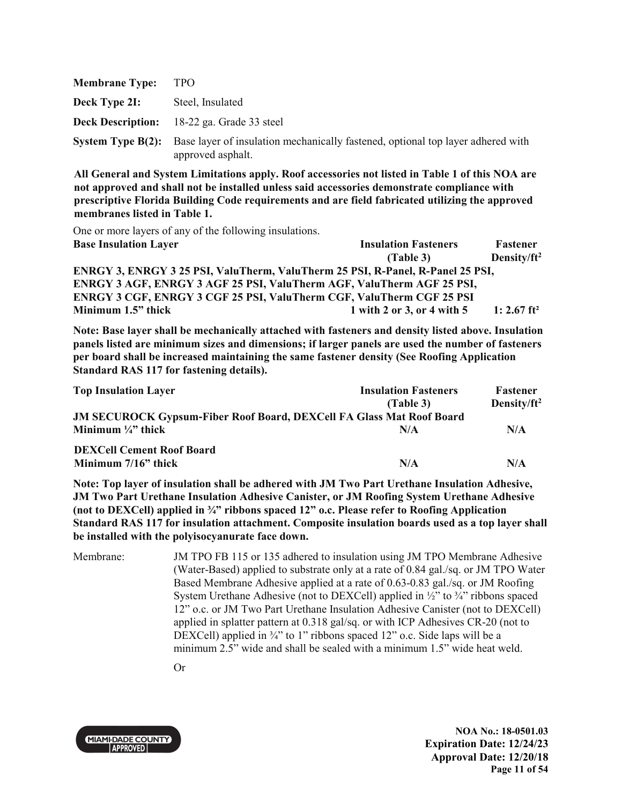| <b>Membrane Type:</b> | <b>TPO</b>                                                                                                                    |
|-----------------------|-------------------------------------------------------------------------------------------------------------------------------|
| Deck Type 2I:         | Steel, Insulated                                                                                                              |
|                       | <b>Deck Description:</b> 18-22 ga. Grade 33 steel                                                                             |
|                       | <b>System Type B(2):</b> Base layer of insulation mechanically fastened, optional top layer adhered with<br>approved asphalt. |

One or more layers of any of the following insulations.

| <b>Base Insulation Layer</b>                                                   | <b>Insulation Fasteners</b> | Fastener                |
|--------------------------------------------------------------------------------|-----------------------------|-------------------------|
|                                                                                | (Table 3)                   | Density/ $ft^2$         |
| ENRGY 3, ENRGY 3 25 PSI, ValuTherm, ValuTherm 25 PSI, R-Panel, R-Panel 25 PSI, |                             |                         |
| ENRGY 3 AGF, ENRGY 3 AGF 25 PSI, ValuTherm AGF, ValuTherm AGF 25 PSI,          |                             |                         |
| ENRGY 3 CGF, ENRGY 3 CGF 25 PSI, ValuTherm CGF, ValuTherm CGF 25 PSI           |                             |                         |
| Minimum 1.5" thick                                                             | 1 with 2 or 3, or 4 with 5  | 1: 2.67 ft <sup>2</sup> |

**Note: Base layer shall be mechanically attached with fasteners and density listed above. Insulation panels listed are minimum sizes and dimensions; if larger panels are used the number of fasteners per board shall be increased maintaining the same fastener density (See Roofing Application Standard RAS 117 for fastening details).** 

| <b>Top Insulation Layer</b>                                                 | <b>Insulation Fasteners</b><br>(Table 3) | <b>Fastener</b><br>Density/ $ft^2$ |
|-----------------------------------------------------------------------------|------------------------------------------|------------------------------------|
| <b>JM SECUROCK Gypsum-Fiber Roof Board, DEXCell FA Glass Mat Roof Board</b> |                                          |                                    |
| Minimum $\frac{1}{4}$ thick                                                 | N/A                                      | N/A                                |
| <b>DEXCell Cement Roof Board</b>                                            |                                          |                                    |
| Minimum 7/16" thick                                                         | N/A                                      | N/A                                |

**Note: Top layer of insulation shall be adhered with JM Two Part Urethane Insulation Adhesive, JM Two Part Urethane Insulation Adhesive Canister, or JM Roofing System Urethane Adhesive (not to DEXCell) applied in ¾" ribbons spaced 12" o.c. Please refer to Roofing Application Standard RAS 117 for insulation attachment. Composite insulation boards used as a top layer shall be installed with the polyisocyanurate face down.** 

Membrane: JM TPO FB 115 or 135 adhered to insulation using JM TPO Membrane Adhesive (Water-Based) applied to substrate only at a rate of 0.84 gal./sq. or JM TPO Water Based Membrane Adhesive applied at a rate of 0.63-0.83 gal./sq. or JM Roofing System Urethane Adhesive (not to DEXCell) applied in  $\frac{1}{2}$  to  $\frac{3}{4}$  ribbons spaced 12" o.c. or JM Two Part Urethane Insulation Adhesive Canister (not to DEXCell) applied in splatter pattern at 0.318 gal/sq. or with ICP Adhesives CR-20 (not to DEXCell) applied in <sup>3</sup>/<sub>4</sub>" to 1" ribbons spaced 12" o.c. Side laps will be a minimum 2.5" wide and shall be sealed with a minimum 1.5" wide heat weld.

Or



**NOA No.: 18-0501.03 Expiration Date: 12/24/23 Approval Date: 12/20/18 Page 11 of 54**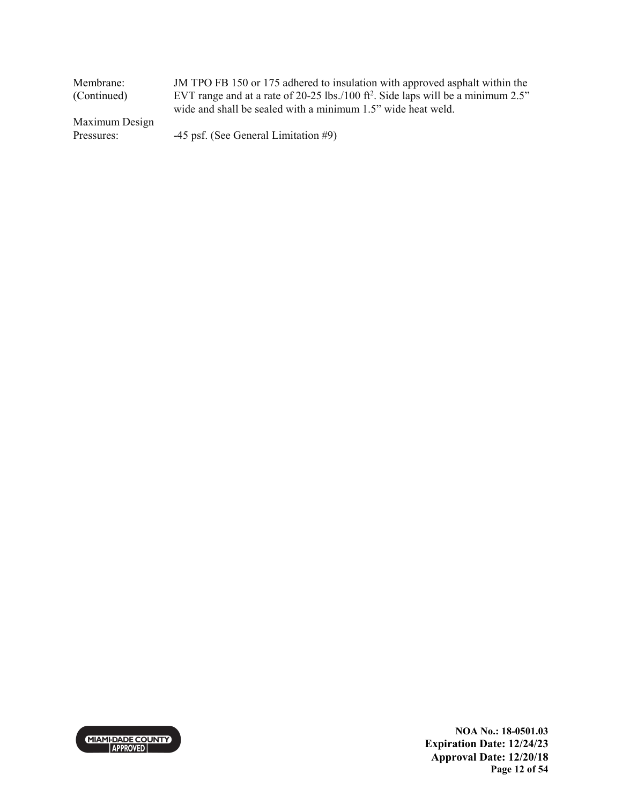| Membrane:      | JM TPO FB 150 or 175 adhered to insulation with approved asphalt within the                     |
|----------------|-------------------------------------------------------------------------------------------------|
| (Continued)    | EVT range and at a rate of 20-25 lbs./100 ft <sup>2</sup> . Side laps will be a minimum $2.5$ " |
|                | wide and shall be sealed with a minimum 1.5" wide heat weld.                                    |
| Maximum Design |                                                                                                 |
| Pressures:     | $-45$ psf. (See General Limitation #9)                                                          |



**NOA No.: 18-0501.03 Expiration Date: 12/24/23 Approval Date: 12/20/18 Page 12 of 54**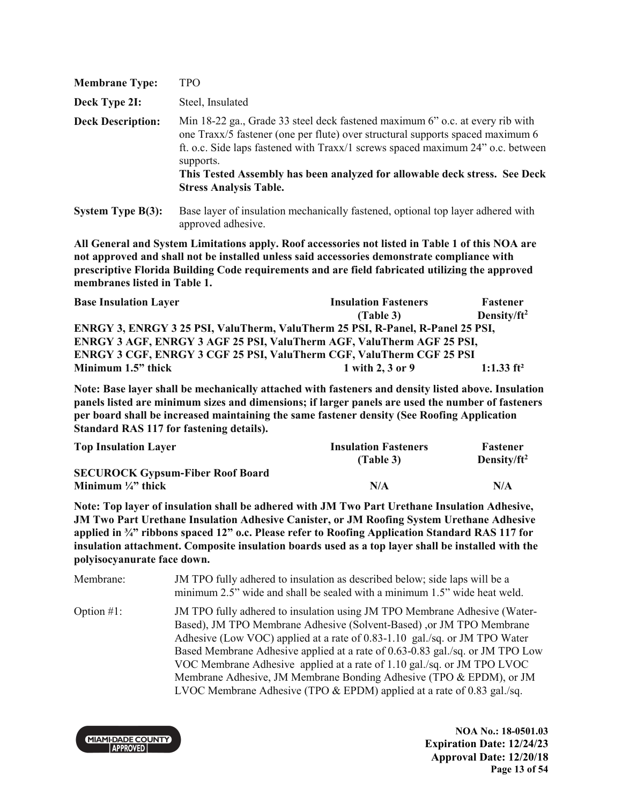| <b>Membrane Type:</b>    | TPO                                                                                                                                                                                                                                                                                                                                                                            |
|--------------------------|--------------------------------------------------------------------------------------------------------------------------------------------------------------------------------------------------------------------------------------------------------------------------------------------------------------------------------------------------------------------------------|
| Deck Type 2I:            | Steel, Insulated                                                                                                                                                                                                                                                                                                                                                               |
| <b>Deck Description:</b> | Min 18-22 ga., Grade 33 steel deck fastened maximum 6" o.c. at every rib with<br>one Traxx/5 fastener (one per flute) over structural supports spaced maximum 6<br>ft. o.c. Side laps fastened with Traxx/1 screws spaced maximum 24" o.c. between<br>supports.<br>This Tested Assembly has been analyzed for allowable deck stress. See Deck<br><b>Stress Analysis Table.</b> |
| System Type $B(3)$ :     | Base layer of insulation mechanically fastened, optional top layer adhered with                                                                                                                                                                                                                                                                                                |

approved adhesive.

**All General and System Limitations apply. Roof accessories not listed in Table 1 of this NOA are not approved and shall not be installed unless said accessories demonstrate compliance with prescriptive Florida Building Code requirements and are field fabricated utilizing the approved membranes listed in Table 1.**

| <b>Base Insulation Layer</b>                                                   | <b>Insulation Fasteners</b> | <b>Fastener</b>         |
|--------------------------------------------------------------------------------|-----------------------------|-------------------------|
|                                                                                | (Table 3)                   | Density/ft <sup>2</sup> |
| ENRGY 3, ENRGY 3 25 PSI, ValuTherm, ValuTherm 25 PSI, R-Panel, R-Panel 25 PSI, |                             |                         |
| ENRGY 3 AGF, ENRGY 3 AGF 25 PSI, ValuTherm AGF, ValuTherm AGF 25 PSI,          |                             |                         |
| ENRGY 3 CGF, ENRGY 3 CGF 25 PSI, ValuTherm CGF, ValuTherm CGF 25 PSI           |                             |                         |
| Minimum 1.5" thick                                                             | 1 with 2, 3 or 9            | 1:1.33 $ft^2$           |

**Note: Base layer shall be mechanically attached with fasteners and density listed above. Insulation panels listed are minimum sizes and dimensions; if larger panels are used the number of fasteners per board shall be increased maintaining the same fastener density (See Roofing Application Standard RAS 117 for fastening details).**

| <b>Top Insulation Layer</b>             | <b>Insulation Fasteners</b> | <b>Fastener</b> |
|-----------------------------------------|-----------------------------|-----------------|
|                                         | (Table 3)                   | Density/ $ft^2$ |
| <b>SECUROCK Gypsum-Fiber Roof Board</b> |                             |                 |
| Minimum $\frac{1}{4}$ thick             | N/A                         | N/A             |

**Note: Top layer of insulation shall be adhered with JM Two Part Urethane Insulation Adhesive, JM Two Part Urethane Insulation Adhesive Canister, or JM Roofing System Urethane Adhesive applied in ¾" ribbons spaced 12" o.c. Please refer to Roofing Application Standard RAS 117 for insulation attachment. Composite insulation boards used as a top layer shall be installed with the polyisocyanurate face down.** 

Membrane: JM TPO fully adhered to insulation as described below; side laps will be a minimum 2.5" wide and shall be sealed with a minimum 1.5" wide heat weld. Option #1: JM TPO fully adhered to insulation using JM TPO Membrane Adhesive (Water-Based), JM TPO Membrane Adhesive (Solvent-Based) ,or JM TPO Membrane Adhesive (Low VOC) applied at a rate of 0.83-1.10 gal./sq. or JM TPO Water Based Membrane Adhesive applied at a rate of 0.63-0.83 gal./sq. or JM TPO Low VOC Membrane Adhesive applied at a rate of 1.10 gal./sq. or JM TPO LVOC Membrane Adhesive, JM Membrane Bonding Adhesive (TPO & EPDM), or JM LVOC Membrane Adhesive (TPO & EPDM) applied at a rate of 0.83 gal./sq.

**MIAMI-DADE COUNTY APPROVED** 

**NOA No.: 18-0501.03 Expiration Date: 12/24/23 Approval Date: 12/20/18 Page 13 of 54**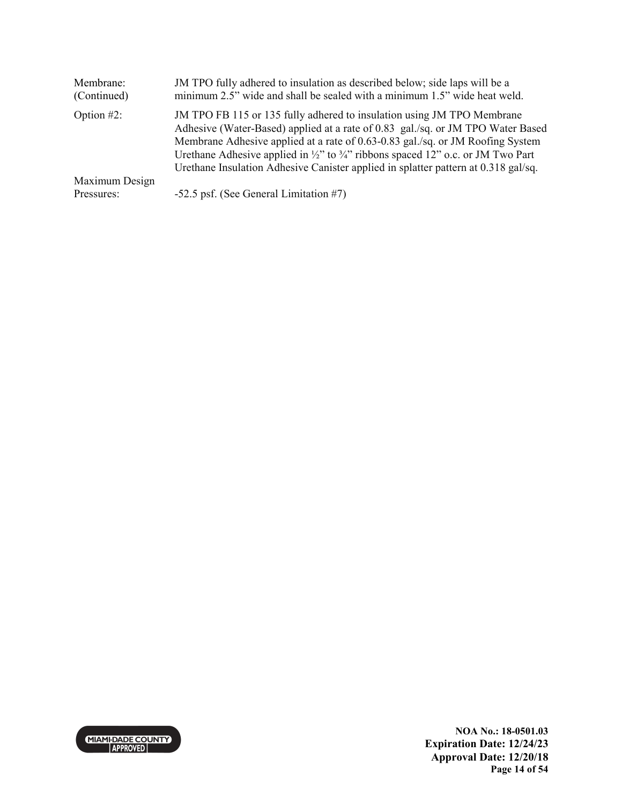| Membrane:<br>(Continued) | JM TPO fully adhered to insulation as described below; side laps will be a<br>minimum 2.5" wide and shall be sealed with a minimum 1.5" wide heat weld.                                                                                                                                                                                                                                                                                     |
|--------------------------|---------------------------------------------------------------------------------------------------------------------------------------------------------------------------------------------------------------------------------------------------------------------------------------------------------------------------------------------------------------------------------------------------------------------------------------------|
| Option $#2$ :            | JM TPO FB 115 or 135 fully adhered to insulation using JM TPO Membrane<br>Adhesive (Water-Based) applied at a rate of 0.83 gal./sq. or JM TPO Water Based<br>Membrane Adhesive applied at a rate of 0.63-0.83 gal./sq. or JM Roofing System<br>Urethane Adhesive applied in $\frac{1}{2}$ " to $\frac{3}{4}$ " ribbons spaced 12" o.c. or JM Two Part<br>Urethane Insulation Adhesive Canister applied in splatter pattern at 0.318 gal/sq. |
| Maximum Design           |                                                                                                                                                                                                                                                                                                                                                                                                                                             |
| Pressures:               | $-52.5$ psf. (See General Limitation #7)                                                                                                                                                                                                                                                                                                                                                                                                    |

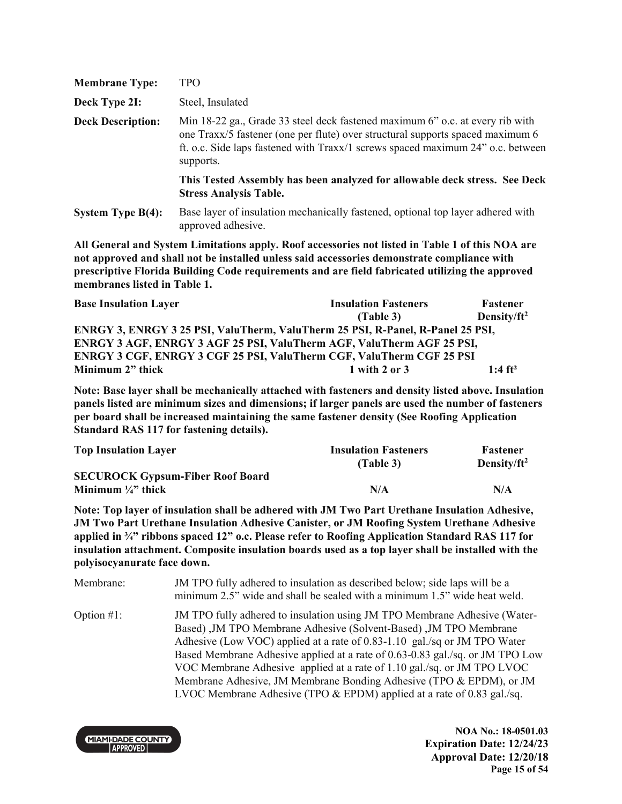| <b>Membrane Type:</b>    | TPO                                                                                                                                                                                                                                                             |
|--------------------------|-----------------------------------------------------------------------------------------------------------------------------------------------------------------------------------------------------------------------------------------------------------------|
| Deck Type 2I:            | Steel, Insulated                                                                                                                                                                                                                                                |
| <b>Deck Description:</b> | Min 18-22 ga., Grade 33 steel deck fastened maximum 6" o.c. at every rib with<br>one Traxx/5 fastener (one per flute) over structural supports spaced maximum 6<br>ft. o.c. Side laps fastened with Traxx/1 screws spaced maximum 24" o.c. between<br>supports. |
|                          | This Tested Assembly has been analyzed for allowable deck stress. See Deck<br><b>Stress Analysis Table.</b>                                                                                                                                                     |
| System Type $B(4)$ :     | Base layer of insulation mechanically fastened, optional top layer adhered with<br>approved adhesive.                                                                                                                                                           |

| <b>Base Insulation Layer</b>                                                   | <b>Insulation Fasteners</b> | <b>Fastener</b>       |
|--------------------------------------------------------------------------------|-----------------------------|-----------------------|
|                                                                                | (Table 3)                   | Density/ $ft^2$       |
| ENRGY 3, ENRGY 3 25 PSI, ValuTherm, ValuTherm 25 PSI, R-Panel, R-Panel 25 PSI, |                             |                       |
| <b>ENRGY 3 AGF, ENRGY 3 AGF 25 PSI, ValuTherm AGF, ValuTherm AGF 25 PSI,</b>   |                             |                       |
| ENRGY 3 CGF, ENRGY 3 CGF 25 PSI, ValuTherm CGF, ValuTherm CGF 25 PSI           |                             |                       |
| Minimum 2" thick                                                               | $1$ with $2$ or $3$         | $1:4$ ft <sup>2</sup> |

**Note: Base layer shall be mechanically attached with fasteners and density listed above. Insulation panels listed are minimum sizes and dimensions; if larger panels are used the number of fasteners per board shall be increased maintaining the same fastener density (See Roofing Application Standard RAS 117 for fastening details).** 

| <b>Top Insulation Layer</b>             | <b>Insulation Fasteners</b> | <b>Fastener</b> |
|-----------------------------------------|-----------------------------|-----------------|
|                                         | (Table 3)                   | Density/ $ft^2$ |
| <b>SECUROCK Gypsum-Fiber Roof Board</b> |                             |                 |
| Minimum $\frac{1}{4}$ thick             | N/A                         | N/A             |

**Note: Top layer of insulation shall be adhered with JM Two Part Urethane Insulation Adhesive, JM Two Part Urethane Insulation Adhesive Canister, or JM Roofing System Urethane Adhesive applied in ¾" ribbons spaced 12" o.c. Please refer to Roofing Application Standard RAS 117 for insulation attachment. Composite insulation boards used as a top layer shall be installed with the polyisocyanurate face down.** 

Membrane: JM TPO fully adhered to insulation as described below; side laps will be a minimum 2.5" wide and shall be sealed with a minimum 1.5" wide heat weld. Option #1: JM TPO fully adhered to insulation using JM TPO Membrane Adhesive (Water-Based) ,JM TPO Membrane Adhesive (Solvent-Based) ,JM TPO Membrane Adhesive (Low VOC) applied at a rate of 0.83-1.10 gal./sq or JM TPO Water Based Membrane Adhesive applied at a rate of 0.63-0.83 gal./sq. or JM TPO Low VOC Membrane Adhesive applied at a rate of 1.10 gal./sq. or JM TPO LVOC Membrane Adhesive, JM Membrane Bonding Adhesive (TPO & EPDM), or JM LVOC Membrane Adhesive (TPO & EPDM) applied at a rate of 0.83 gal./sq.

**MIAMI-DADE COUNTY APPROVED** 

**NOA No.: 18-0501.03 Expiration Date: 12/24/23 Approval Date: 12/20/18 Page 15 of 54**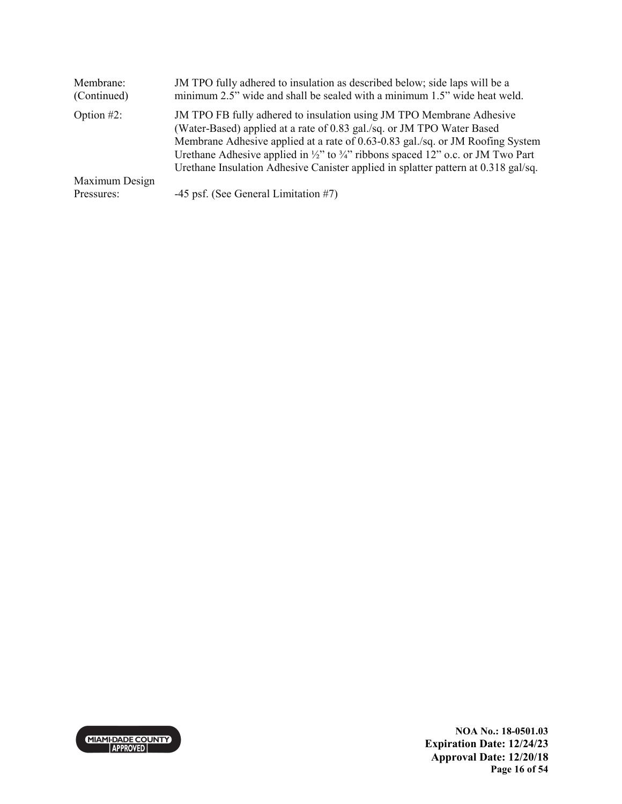| Membrane:<br>(Continued)     | JM TPO fully adhered to insulation as described below; side laps will be a<br>minimum 2.5" wide and shall be sealed with a minimum 1.5" wide heat weld.                                                                                                                                                                                                                                                                          |
|------------------------------|----------------------------------------------------------------------------------------------------------------------------------------------------------------------------------------------------------------------------------------------------------------------------------------------------------------------------------------------------------------------------------------------------------------------------------|
| Option $#2$ :                | JM TPO FB fully adhered to insulation using JM TPO Membrane Adhesive<br>(Water-Based) applied at a rate of 0.83 gal./sq. or JM TPO Water Based<br>Membrane Adhesive applied at a rate of 0.63-0.83 gal./sq. or JM Roofing System<br>Urethane Adhesive applied in $\frac{1}{2}$ " to $\frac{3}{4}$ " ribbons spaced 12" o.c. or JM Two Part<br>Urethane Insulation Adhesive Canister applied in splatter pattern at 0.318 gal/sq. |
| Maximum Design<br>Pressures: | -45 psf. (See General Limitation #7)                                                                                                                                                                                                                                                                                                                                                                                             |
|                              |                                                                                                                                                                                                                                                                                                                                                                                                                                  |

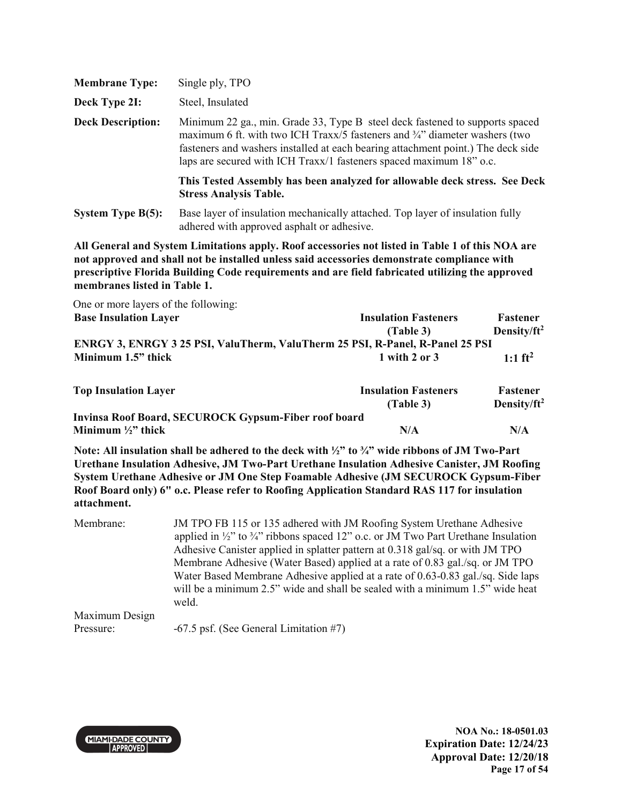| <b>Membrane Type:</b>    | Single ply, TPO                                                                                                                                                                                                                                                                                                                   |
|--------------------------|-----------------------------------------------------------------------------------------------------------------------------------------------------------------------------------------------------------------------------------------------------------------------------------------------------------------------------------|
| Deck Type 2I:            | Steel, Insulated                                                                                                                                                                                                                                                                                                                  |
| <b>Deck Description:</b> | Minimum 22 ga., min. Grade 33, Type B steel deck fastened to supports spaced<br>maximum 6 ft. with two ICH Traxx/5 fasteners and $\frac{3}{4}$ " diameter washers (two<br>fasteners and washers installed at each bearing attachment point.) The deck side<br>laps are secured with ICH Traxx/1 fasteners spaced maximum 18" o.c. |
|                          | This Tested Assembly has been analyzed for allowable deck stress. See Deck<br><b>Stress Analysis Table.</b>                                                                                                                                                                                                                       |
| <b>System Type B(5):</b> | Base layer of insulation mechanically attached. Top layer of insulation fully<br>adhered with approved asphalt or adhesive.                                                                                                                                                                                                       |

| One or more layers of the following:                                                                                  |                             |                         |
|-----------------------------------------------------------------------------------------------------------------------|-----------------------------|-------------------------|
| <b>Base Insulation Layer</b>                                                                                          | <b>Insulation Fasteners</b> | Fastener                |
|                                                                                                                       | (Table 3)                   | Density/ft <sup>2</sup> |
| ENRGY 3, ENRGY 3 25 PSI, ValuTherm, ValuTherm 25 PSI, R-Panel, R-Panel 25 PSI                                         |                             |                         |
| Minimum 1.5" thick                                                                                                    | $1$ with $2$ or $3$         | 1:1 $ft^2$              |
| <b>Top Insulation Layer</b>                                                                                           | <b>Insulation Fasteners</b> | Fastener                |
|                                                                                                                       | (Table 3)                   | Density/ft <sup>2</sup> |
| <b>Invinsa Roof Board, SECUROCK Gypsum-Fiber roof board</b>                                                           |                             |                         |
| Minimum $\frac{1}{2}$ " thick                                                                                         | N/A                         | N/A                     |
| Note: All insulation shall be adhered to the deck with $\frac{1}{2}$ " to $\frac{3}{4}$ " wide ribbons of JM Two-Part |                             |                         |

**Urethane Insulation Adhesive, JM Two-Part Urethane Insulation Adhesive Canister, JM Roofing System Urethane Adhesive or JM One Step Foamable Adhesive (JM SECUROCK Gypsum-Fiber Roof Board only) 6" o.c. Please refer to Roofing Application Standard RAS 117 for insulation attachment.** 

| Membrane:      | JM TPO FB 115 or 135 adhered with JM Roofing System Urethane Adhesive                                                                                            |
|----------------|------------------------------------------------------------------------------------------------------------------------------------------------------------------|
|                | applied in $\frac{1}{2}$ " to $\frac{3}{4}$ " ribbons spaced 12" o.c. or JM Two Part Urethane Insulation                                                         |
|                | Adhesive Canister applied in splatter pattern at 0.318 gal/sq. or with JM TPO                                                                                    |
|                | Membrane Adhesive (Water Based) applied at a rate of 0.83 gal./sq. or JM TPO                                                                                     |
|                | Water Based Membrane Adhesive applied at a rate of 0.63-0.83 gal./sq. Side laps<br>will be a minimum 2.5" wide and shall be sealed with a minimum 1.5" wide heat |
|                |                                                                                                                                                                  |
|                |                                                                                                                                                                  |
| Maximum Design | weld.                                                                                                                                                            |

Pressure: -67.5 psf. (See General Limitation #7)

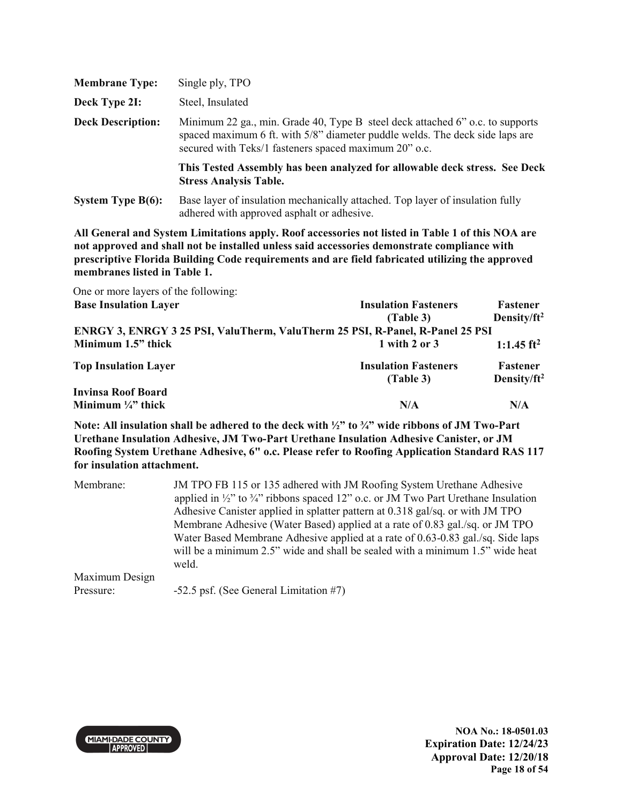| <b>Membrane Type:</b>    | Single ply, TPO                                                                                                                                                                                                        |
|--------------------------|------------------------------------------------------------------------------------------------------------------------------------------------------------------------------------------------------------------------|
| Deck Type 2I:            | Steel, Insulated                                                                                                                                                                                                       |
| <b>Deck Description:</b> | Minimum 22 ga., min. Grade 40, Type B steel deck attached 6" o.c. to supports<br>spaced maximum 6 ft. with 5/8" diameter puddle welds. The deck side laps are<br>secured with Teks/1 fasteners spaced maximum 20" o.c. |
|                          | This Tested Assembly has been analyzed for allowable deck stress. See Deck<br><b>Stress Analysis Table.</b>                                                                                                            |
| System Type $B(6)$ :     | Base layer of insulation mechanically attached. Top layer of insulation fully<br>adhered with approved asphalt or adhesive.                                                                                            |

| One or more layers of the following:                                          |                             |                        |
|-------------------------------------------------------------------------------|-----------------------------|------------------------|
| <b>Base Insulation Layer</b>                                                  | <b>Insulation Fasteners</b> | Fastener               |
|                                                                               | (Table 3)                   | Density/ $ft^2$        |
| ENRGY 3, ENRGY 3 25 PSI, ValuTherm, ValuTherm 25 PSI, R-Panel, R-Panel 25 PSI |                             |                        |
| Minimum 1.5" thick                                                            | $1$ with $2$ or $3$         | 1:1.45 ft <sup>2</sup> |
| <b>Top Insulation Layer</b>                                                   | <b>Insulation Fasteners</b> | Fastener               |
|                                                                               | (Table 3)                   | Density/ $ft^2$        |
| <b>Invinsa Roof Board</b>                                                     |                             |                        |
| Minimum $\frac{1}{4}$ " thick                                                 | N/A                         | N/A                    |

**Note: All insulation shall be adhered to the deck with ½" to ¾" wide ribbons of JM Two-Part Urethane Insulation Adhesive, JM Two-Part Urethane Insulation Adhesive Canister, or JM Roofing System Urethane Adhesive, 6" o.c. Please refer to Roofing Application Standard RAS 117 for insulation attachment.** 

| Membrane:      | JM TPO FB 115 or 135 adhered with JM Roofing System Urethane Adhesive                                    |  |  |  |  |
|----------------|----------------------------------------------------------------------------------------------------------|--|--|--|--|
|                | applied in $\frac{1}{2}$ " to $\frac{3}{4}$ " ribbons spaced 12" o.c. or JM Two Part Urethane Insulation |  |  |  |  |
|                | Adhesive Canister applied in splatter pattern at 0.318 gal/sq. or with JM TPO                            |  |  |  |  |
|                | Membrane Adhesive (Water Based) applied at a rate of 0.83 gal./sq. or JM TPO                             |  |  |  |  |
|                | Water Based Membrane Adhesive applied at a rate of 0.63-0.83 gal./sq. Side laps                          |  |  |  |  |
|                | will be a minimum 2.5" wide and shall be sealed with a minimum 1.5" wide heat                            |  |  |  |  |
|                | weld.                                                                                                    |  |  |  |  |
| Maximum Design |                                                                                                          |  |  |  |  |
| Pressure:      | -52.5 psf. (See General Limitation #7)                                                                   |  |  |  |  |



**NOA No.: 18-0501.03 Expiration Date: 12/24/23 Approval Date: 12/20/18 Page 18 of 54**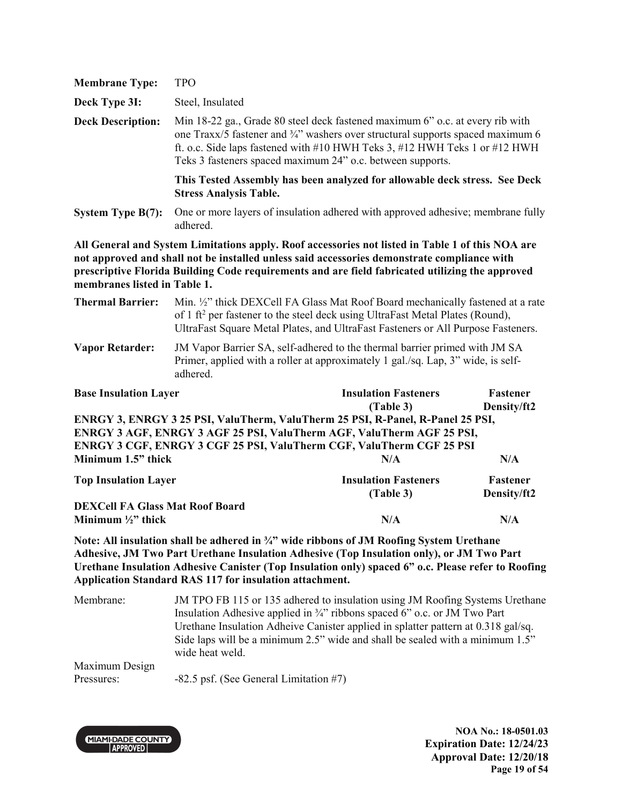| <b>Membrane Type:</b>                                                                                                                                                                                                                                                                                                                                                             | <b>TPO</b>                                                                                                                                                                                                                                                                                                   |                                          |                         |  |
|-----------------------------------------------------------------------------------------------------------------------------------------------------------------------------------------------------------------------------------------------------------------------------------------------------------------------------------------------------------------------------------|--------------------------------------------------------------------------------------------------------------------------------------------------------------------------------------------------------------------------------------------------------------------------------------------------------------|------------------------------------------|-------------------------|--|
| Deck Type 3I:                                                                                                                                                                                                                                                                                                                                                                     | Steel, Insulated                                                                                                                                                                                                                                                                                             |                                          |                         |  |
| <b>Deck Description:</b>                                                                                                                                                                                                                                                                                                                                                          | Min 18-22 ga., Grade 80 steel deck fastened maximum 6" o.c. at every rib with<br>one Traxx/5 fastener and 3/4" washers over structural supports spaced maximum 6<br>ft. o.c. Side laps fastened with #10 HWH Teks 3, #12 HWH Teks 1 or #12 HWH<br>Teks 3 fasteners spaced maximum 24" o.c. between supports. |                                          |                         |  |
|                                                                                                                                                                                                                                                                                                                                                                                   | This Tested Assembly has been analyzed for allowable deck stress. See Deck<br><b>Stress Analysis Table.</b>                                                                                                                                                                                                  |                                          |                         |  |
| System Type B(7):                                                                                                                                                                                                                                                                                                                                                                 | One or more layers of insulation adhered with approved adhesive; membrane fully<br>adhered.                                                                                                                                                                                                                  |                                          |                         |  |
| All General and System Limitations apply. Roof accessories not listed in Table 1 of this NOA are<br>not approved and shall not be installed unless said accessories demonstrate compliance with<br>prescriptive Florida Building Code requirements and are field fabricated utilizing the approved<br>membranes listed in Table 1.                                                |                                                                                                                                                                                                                                                                                                              |                                          |                         |  |
| <b>Thermal Barrier:</b>                                                                                                                                                                                                                                                                                                                                                           | Min. 1/2" thick DEXCell FA Glass Mat Roof Board mechanically fastened at a rate<br>of 1 ft <sup>2</sup> per fastener to the steel deck using UltraFast Metal Plates (Round),<br>UltraFast Square Metal Plates, and UltraFast Fasteners or All Purpose Fasteners.                                             |                                          |                         |  |
| <b>Vapor Retarder:</b>                                                                                                                                                                                                                                                                                                                                                            | JM Vapor Barrier SA, self-adhered to the thermal barrier primed with JM SA<br>Primer, applied with a roller at approximately 1 gal./sq. Lap, 3" wide, is self-<br>adhered.                                                                                                                                   |                                          |                         |  |
| <b>Base Insulation Layer</b>                                                                                                                                                                                                                                                                                                                                                      |                                                                                                                                                                                                                                                                                                              | <b>Insulation Fasteners</b><br>(Table 3) | Fastener<br>Density/ft2 |  |
| ENRGY 3, ENRGY 3 25 PSI, ValuTherm, ValuTherm 25 PSI, R-Panel, R-Panel 25 PSI,<br>ENRGY 3 AGF, ENRGY 3 AGF 25 PSI, ValuTherm AGF, ValuTherm AGF 25 PSI,<br>ENRGY 3 CGF, ENRGY 3 CGF 25 PSI, ValuTherm CGF, ValuTherm CGF 25 PSI<br>Minimum 1.5" thick<br>N/A<br>N/A                                                                                                               |                                                                                                                                                                                                                                                                                                              |                                          |                         |  |
| <b>Top Insulation Layer</b>                                                                                                                                                                                                                                                                                                                                                       |                                                                                                                                                                                                                                                                                                              | <b>Insulation Fasteners</b><br>(Table 3) | Fastener<br>Density/ft2 |  |
| <b>DEXCell FA Glass Mat Roof Board</b><br>Minimum $\frac{1}{2}$ " thick                                                                                                                                                                                                                                                                                                           |                                                                                                                                                                                                                                                                                                              | N/A                                      | N/A                     |  |
| Note: All insulation shall be adhered in $\frac{3}{4}$ " wide ribbons of JM Roofing System Urethane<br>Adhesive, JM Two Part Urethane Insulation Adhesive (Top Insulation only), or JM Two Part<br>Urethane Insulation Adhesive Canister (Top Insulation only) spaced 6" o.c. Please refer to Roofing<br><b>Application Standard RAS 117 for insulation attachment.</b>           |                                                                                                                                                                                                                                                                                                              |                                          |                         |  |
| Membrane:<br>JM TPO FB 115 or 135 adhered to insulation using JM Roofing Systems Urethane<br>Insulation Adhesive applied in 3/4" ribbons spaced 6" o.c. or JM Two Part<br>Urethane Insulation Adheive Canister applied in splatter pattern at 0.318 gal/sq.<br>Side laps will be a minimum 2.5" wide and shall be sealed with a minimum 1.5"<br>wide heat weld.<br>Maximum Design |                                                                                                                                                                                                                                                                                                              |                                          |                         |  |

Pressures: -82.5 psf. (See General Limitation #7)



**NOA No.: 18-0501.03 Expiration Date: 12/24/23 Approval Date: 12/20/18 Page 19 of 54**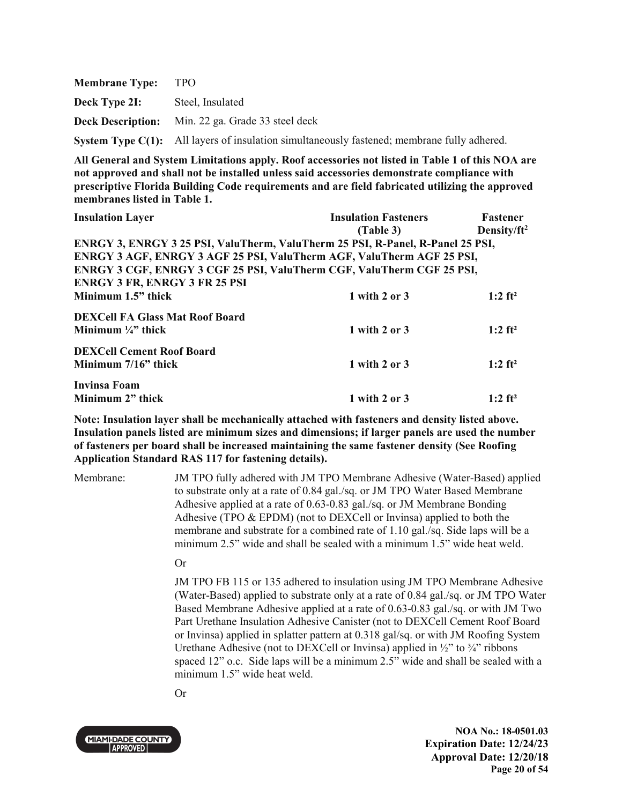| <b>Membrane Type:</b> | TPO.                                                                                        |
|-----------------------|---------------------------------------------------------------------------------------------|
| Deck Type 2I:         | Steel, Insulated                                                                            |
|                       | <b>Deck Description:</b> Min. 22 ga. Grade 33 steel deck                                    |
|                       | System Type C(1): All layers of insulation simultaneously fastened; membrane fully adhered. |

| <b>Insulation Layer</b>                                                        | <b>Insulation Fasteners</b> | <b>Fastener</b>         |
|--------------------------------------------------------------------------------|-----------------------------|-------------------------|
|                                                                                | (Table 3)                   | Density/ft <sup>2</sup> |
| ENRGY 3, ENRGY 3 25 PSI, ValuTherm, ValuTherm 25 PSI, R-Panel, R-Panel 25 PSI, |                             |                         |
| <b>ENRGY 3 AGF, ENRGY 3 AGF 25 PSI, ValuTherm AGF, ValuTherm AGF 25 PSI,</b>   |                             |                         |
| ENRGY 3 CGF, ENRGY 3 CGF 25 PSI, ValuTherm CGF, ValuTherm CGF 25 PSI,          |                             |                         |
| <b>ENRGY 3 FR, ENRGY 3 FR 25 PSI</b>                                           |                             |                         |
| Minimum 1.5" thick                                                             | 1 with 2 or 3               | $1:2$ ft <sup>2</sup>   |
| <b>DEXCell FA Glass Mat Roof Board</b>                                         |                             |                         |
| Minimum $\frac{1}{4}$ " thick                                                  | 1 with 2 or $3$             | $1:2$ ft <sup>2</sup>   |
| <b>DEXCell Cement Roof Board</b>                                               |                             |                         |
| Minimum 7/16" thick                                                            | 1 with 2 or 3               | $1:2$ ft <sup>2</sup>   |
| Invinsa Foam                                                                   |                             |                         |
| Minimum 2" thick                                                               | 1 with 2 or 3               | $1:2$ ft <sup>2</sup>   |

**Note: Insulation layer shall be mechanically attached with fasteners and density listed above. Insulation panels listed are minimum sizes and dimensions; if larger panels are used the number of fasteners per board shall be increased maintaining the same fastener density (See Roofing Application Standard RAS 117 for fastening details).**

Membrane: JM TPO fully adhered with JM TPO Membrane Adhesive (Water-Based) applied to substrate only at a rate of 0.84 gal./sq. or JM TPO Water Based Membrane Adhesive applied at a rate of 0.63-0.83 gal./sq. or JM Membrane Bonding Adhesive (TPO & EPDM) (not to DEXCell or Invinsa) applied to both the membrane and substrate for a combined rate of 1.10 gal./sq. Side laps will be a minimum 2.5" wide and shall be sealed with a minimum 1.5" wide heat weld.

#### Or

JM TPO FB 115 or 135 adhered to insulation using JM TPO Membrane Adhesive (Water-Based) applied to substrate only at a rate of 0.84 gal./sq. or JM TPO Water Based Membrane Adhesive applied at a rate of 0.63-0.83 gal./sq. or with JM Two Part Urethane Insulation Adhesive Canister (not to DEXCell Cement Roof Board or Invinsa) applied in splatter pattern at 0.318 gal/sq. or with JM Roofing System Urethane Adhesive (not to DEXCell or Invinsa) applied in  $\frac{1}{2}$  to  $\frac{3}{4}$  ribbons spaced 12" o.c. Side laps will be a minimum 2.5" wide and shall be sealed with a minimum 1.5" wide heat weld.

Or



**NOA No.: 18-0501.03 Expiration Date: 12/24/23 Approval Date: 12/20/18 Page 20 of 54**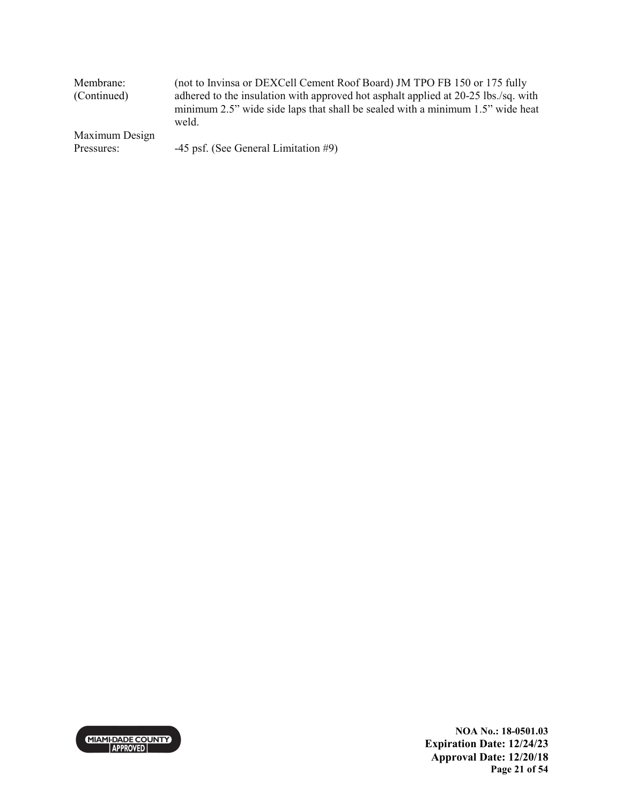| Membrane:<br>(Continued) | (not to Invinsa or DEXCell Cement Roof Board) JM TPO FB 150 or 175 fully<br>adhered to the insulation with approved hot asphalt applied at 20-25 lbs./sq. with |  |  |
|--------------------------|----------------------------------------------------------------------------------------------------------------------------------------------------------------|--|--|
|                          | minimum 2.5" wide side laps that shall be sealed with a minimum 1.5" wide heat<br>weld.                                                                        |  |  |
| Maximum Design           |                                                                                                                                                                |  |  |
| Pressures:               | $-45$ psf. (See General Limitation #9)                                                                                                                         |  |  |



**NOA No.: 18-0501.03 Expiration Date: 12/24/23 Approval Date: 12/20/18 Page 21 of 54**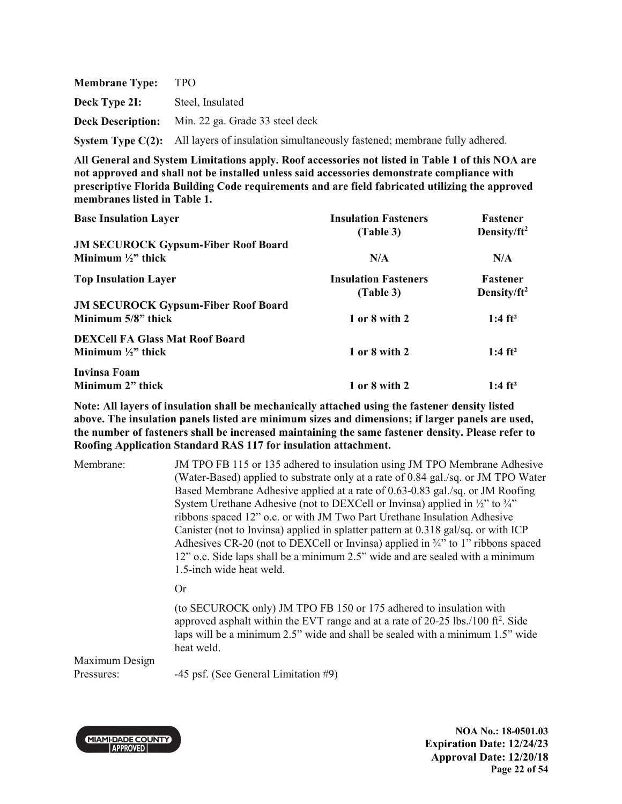| <b>Membrane Type:</b> | TPO.                                                                                        |
|-----------------------|---------------------------------------------------------------------------------------------|
| Deck Type 2I:         | Steel, Insulated                                                                            |
|                       | <b>Deck Description:</b> Min. 22 ga. Grade 33 steel deck                                    |
|                       | System Type C(2): All layers of insulation simultaneously fastened; membrane fully adhered. |

| <b>Base Insulation Layer</b>               | <b>Insulation Fasteners</b> | Fastener                |
|--------------------------------------------|-----------------------------|-------------------------|
|                                            | (Table 3)                   | Density/ $ft^2$         |
| <b>JM SECUROCK Gypsum-Fiber Roof Board</b> |                             |                         |
| Minimum $\frac{1}{2}$ thick                | N/A                         | N/A                     |
| <b>Top Insulation Layer</b>                | <b>Insulation Fasteners</b> | <b>Fastener</b>         |
|                                            | (Table 3)                   | Density/ft <sup>2</sup> |
| <b>JM SECUROCK Gypsum-Fiber Roof Board</b> |                             |                         |
| Minimum 5/8" thick                         | 1 or 8 with 2               | 1:4 $ft^2$              |
| <b>DEXCell FA Glass Mat Roof Board</b>     |                             |                         |
| Minimum $\frac{1}{2}$ thick                | 1 or 8 with 2               | $1:4 \text{ ft}^2$      |
| Invinsa Foam                               |                             |                         |
| Minimum 2" thick                           | 1 or 8 with 2               | 1:4 $ft^2$              |

**Note: All layers of insulation shall be mechanically attached using the fastener density listed above. The insulation panels listed are minimum sizes and dimensions; if larger panels are used, the number of fasteners shall be increased maintaining the same fastener density. Please refer to Roofing Application Standard RAS 117 for insulation attachment.**

| Membrane:                    | JM TPO FB 115 or 135 adhered to insulation using JM TPO Membrane Adhesive<br>(Water-Based) applied to substrate only at a rate of 0.84 gal./sq. or JM TPO Water<br>Based Membrane Adhesive applied at a rate of 0.63-0.83 gal./sq. or JM Roofing<br>System Urethane Adhesive (not to DEXCell or Invinsa) applied in 1/2" to 3/4"<br>ribbons spaced 12" o.c. or with JM Two Part Urethane Insulation Adhesive<br>Canister (not to Invinsa) applied in splatter pattern at 0.318 gal/sq. or with ICP<br>Adhesives CR-20 (not to DEXCell or Invinsa) applied in $\frac{3}{4}$ to 1" ribbons spaced<br>12" o.c. Side laps shall be a minimum 2.5" wide and are sealed with a minimum<br>1.5-inch wide heat weld. |
|------------------------------|--------------------------------------------------------------------------------------------------------------------------------------------------------------------------------------------------------------------------------------------------------------------------------------------------------------------------------------------------------------------------------------------------------------------------------------------------------------------------------------------------------------------------------------------------------------------------------------------------------------------------------------------------------------------------------------------------------------|
|                              | Or                                                                                                                                                                                                                                                                                                                                                                                                                                                                                                                                                                                                                                                                                                           |
|                              | (to SECUROCK only) JM TPO FB 150 or 175 adhered to insulation with<br>approved asphalt within the EVT range and at a rate of $20-25$ lbs./100 ft <sup>2</sup> . Side<br>laps will be a minimum 2.5" wide and shall be sealed with a minimum 1.5" wide<br>heat weld.                                                                                                                                                                                                                                                                                                                                                                                                                                          |
| Maximum Design<br>Pressures: | -45 psf. (See General Limitation #9)                                                                                                                                                                                                                                                                                                                                                                                                                                                                                                                                                                                                                                                                         |



**NOA No.: 18-0501.03 Expiration Date: 12/24/23 Approval Date: 12/20/18 Page 22 of 54**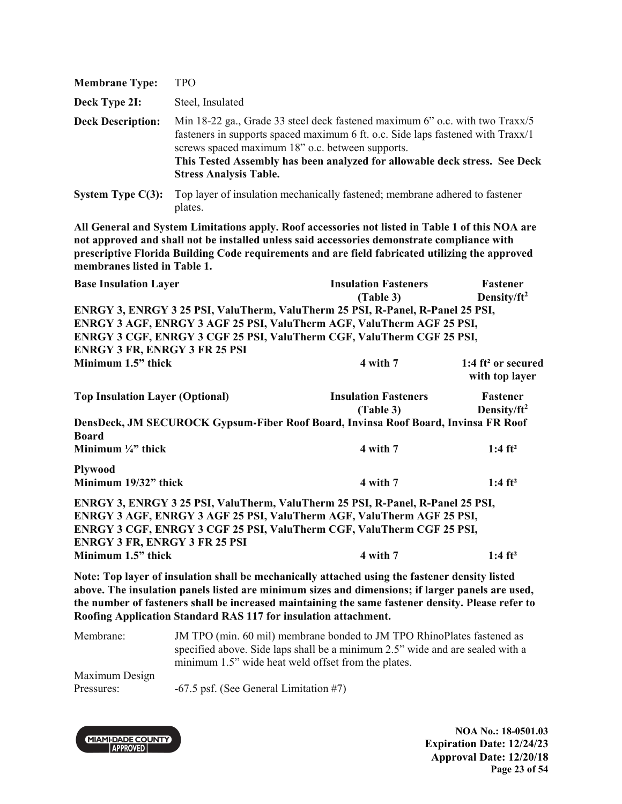| <b>Membrane Type:</b>    | TPO                                                                                                                                                                                                                                                                                                                                |
|--------------------------|------------------------------------------------------------------------------------------------------------------------------------------------------------------------------------------------------------------------------------------------------------------------------------------------------------------------------------|
| Deck Type 2I:            | Steel, Insulated                                                                                                                                                                                                                                                                                                                   |
| <b>Deck Description:</b> | Min 18-22 ga., Grade 33 steel deck fastened maximum 6" o.c. with two Traxx/5<br>fasteners in supports spaced maximum 6 ft. o.c. Side laps fastened with Traxx/1<br>screws spaced maximum 18" o.c. between supports.<br>This Tested Assembly has been analyzed for allowable deck stress. See Deck<br><b>Stress Analysis Table.</b> |
| System Type $C(3)$ :     | Top layer of insulation mechanically fastened; membrane adhered to fastener<br>plates.                                                                                                                                                                                                                                             |
|                          | All Congrel and Cryptom Limitations angly. Dayf assessment as not listed in Takle 1 of this NOA, and                                                                                                                                                                                                                               |

| <b>Base Insulation Layer</b>                                                                                                                                                                                                     | <b>Insulation Fasteners</b> | Fastener                                |
|----------------------------------------------------------------------------------------------------------------------------------------------------------------------------------------------------------------------------------|-----------------------------|-----------------------------------------|
|                                                                                                                                                                                                                                  | (Table 3)                   | Density/ft <sup>2</sup>                 |
| ENRGY 3, ENRGY 3 25 PSI, ValuTherm, ValuTherm 25 PSI, R-Panel, R-Panel 25 PSI,                                                                                                                                                   |                             |                                         |
| ENRGY 3 AGF, ENRGY 3 AGF 25 PSI, ValuTherm AGF, ValuTherm AGF 25 PSI,                                                                                                                                                            |                             |                                         |
| ENRGY 3 CGF, ENRGY 3 CGF 25 PSI, ValuTherm CGF, ValuTherm CGF 25 PSI,                                                                                                                                                            |                             |                                         |
| <b>ENRGY 3 FR, ENRGY 3 FR 25 PSI</b>                                                                                                                                                                                             |                             |                                         |
| Minimum 1.5" thick                                                                                                                                                                                                               | 4 with 7                    | 1:4 $ft^2$ or secured<br>with top layer |
| <b>Top Insulation Layer (Optional)</b>                                                                                                                                                                                           | <b>Insulation Fasteners</b> | Fastener                                |
|                                                                                                                                                                                                                                  | (Table 3)                   | Density/ $ft^2$                         |
| DensDeck, JM SECUROCK Gypsum-Fiber Roof Board, Invinsa Roof Board, Invinsa FR Roof<br><b>Board</b>                                                                                                                               |                             |                                         |
| Minimum $\frac{1}{4}$ thick                                                                                                                                                                                                      | 4 with 7                    | 1:4 $ft^2$                              |
| <b>Plywood</b>                                                                                                                                                                                                                   |                             |                                         |
| Minimum 19/32" thick                                                                                                                                                                                                             | 4 with 7                    | 1:4 $ft^2$                              |
| ENRGY 3, ENRGY 3 25 PSI, ValuTherm, ValuTherm 25 PSI, R-Panel, R-Panel 25 PSI,<br>ENRGY 3 AGF, ENRGY 3 AGF 25 PSI, ValuTherm AGF, ValuTherm AGF 25 PSI,<br>ENRGY 3 CGF, ENRGY 3 CGF 25 PSI, ValuTherm CGF, ValuTherm CGF 25 PSI, |                             |                                         |
| <b>ENRGY 3 FR, ENRGY 3 FR 25 PSI</b>                                                                                                                                                                                             |                             |                                         |
| Minimum 1.5" thick                                                                                                                                                                                                               | 4 with 7                    | $1:4 \text{ ft}^2$                      |

**Note: Top layer of insulation shall be mechanically attached using the fastener density listed above. The insulation panels listed are minimum sizes and dimensions; if larger panels are used, the number of fasteners shall be increased maintaining the same fastener density. Please refer to Roofing Application Standard RAS 117 for insulation attachment.** 

Membrane: JM TPO (min. 60 mil) membrane bonded to JM TPO RhinoPlates fastened as specified above. Side laps shall be a minimum 2.5" wide and are sealed with a minimum 1.5" wide heat weld offset from the plates. Maximum Design Pressures:  $-67.5$  psf. (See General Limitation #7)



**NOA No.: 18-0501.03 Expiration Date: 12/24/23 Approval Date: 12/20/18 Page 23 of 54**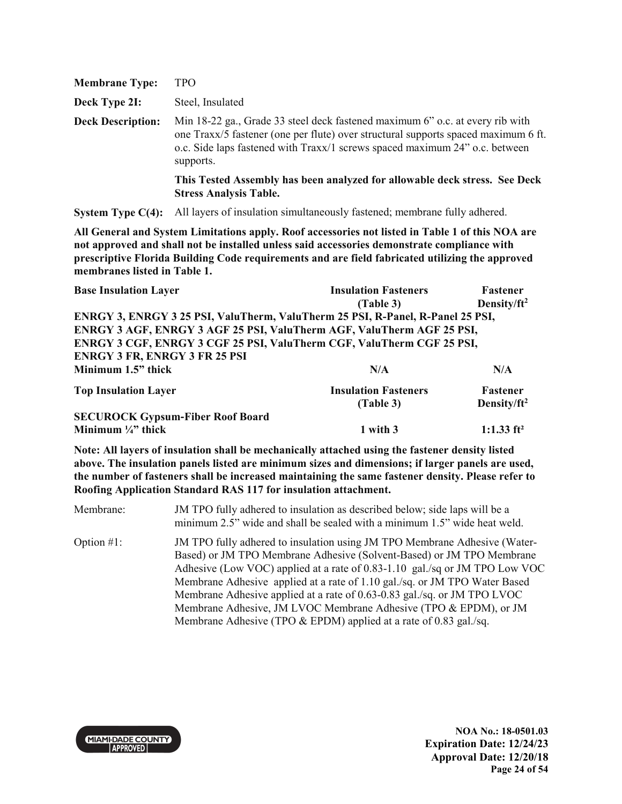| <b>Membrane Type:</b>    | <b>TPO</b>                                                                                                                                                                                                                                                      |
|--------------------------|-----------------------------------------------------------------------------------------------------------------------------------------------------------------------------------------------------------------------------------------------------------------|
| Deck Type 2I:            | Steel, Insulated                                                                                                                                                                                                                                                |
| <b>Deck Description:</b> | Min 18-22 ga., Grade 33 steel deck fastened maximum 6" o.c. at every rib with<br>one Traxx/5 fastener (one per flute) over structural supports spaced maximum 6 ft.<br>o.c. Side laps fastened with Traxx/1 screws spaced maximum 24" o.c. between<br>supports. |
|                          | This Tested Assembly has been analyzed for allowable deck stress. See Deck<br><b>Stress Analysis Table.</b>                                                                                                                                                     |

**System Type C(4):** All layers of insulation simultaneously fastened; membrane fully adhered.

**All General and System Limitations apply. Roof accessories not listed in Table 1 of this NOA are not approved and shall not be installed unless said accessories demonstrate compliance with prescriptive Florida Building Code requirements and are field fabricated utilizing the approved membranes listed in Table 1.**

| <b>Base Insulation Layer</b>                                                   | <b>Insulation Fasteners</b> | Fastener                |
|--------------------------------------------------------------------------------|-----------------------------|-------------------------|
|                                                                                | (Table 3)                   | Density/ $ft^2$         |
| ENRGY 3, ENRGY 3 25 PSI, ValuTherm, ValuTherm 25 PSI, R-Panel, R-Panel 25 PSI, |                             |                         |
| ENRGY 3 AGF, ENRGY 3 AGF 25 PSI, ValuTherm AGF, ValuTherm AGF 25 PSI,          |                             |                         |
| ENRGY 3 CGF, ENRGY 3 CGF 25 PSI, ValuTherm CGF, ValuTherm CGF 25 PSI,          |                             |                         |
| <b>ENRGY 3 FR, ENRGY 3 FR 25 PSI</b>                                           |                             |                         |
| Minimum 1.5" thick                                                             | N/A                         | N/A                     |
| <b>Top Insulation Layer</b>                                                    | <b>Insulation Fasteners</b> | <b>Fastener</b>         |
|                                                                                | (Table 3)                   | Density/ft <sup>2</sup> |
| <b>SECUROCK Gypsum-Fiber Roof Board</b>                                        |                             |                         |
| Minimum $\frac{1}{4}$ thick                                                    | 1 with 3                    | 1:1.33 $ft^2$           |

**Note: All layers of insulation shall be mechanically attached using the fastener density listed above. The insulation panels listed are minimum sizes and dimensions; if larger panels are used, the number of fasteners shall be increased maintaining the same fastener density. Please refer to Roofing Application Standard RAS 117 for insulation attachment.** 

Membrane: JM TPO fully adhered to insulation as described below; side laps will be a minimum 2.5" wide and shall be sealed with a minimum 1.5" wide heat weld. Option #1: JM TPO fully adhered to insulation using JM TPO Membrane Adhesive (Water-Based) or JM TPO Membrane Adhesive (Solvent-Based) or JM TPO Membrane Adhesive (Low VOC) applied at a rate of 0.83-1.10 gal./sq or JM TPO Low VOC Membrane Adhesive applied at a rate of 1.10 gal./sq. or JM TPO Water Based Membrane Adhesive applied at a rate of 0.63-0.83 gal./sq. or JM TPO LVOC Membrane Adhesive, JM LVOC Membrane Adhesive (TPO & EPDM), or JM Membrane Adhesive (TPO & EPDM) applied at a rate of 0.83 gal./sq.



**NOA No.: 18-0501.03 Expiration Date: 12/24/23 Approval Date: 12/20/18 Page 24 of 54**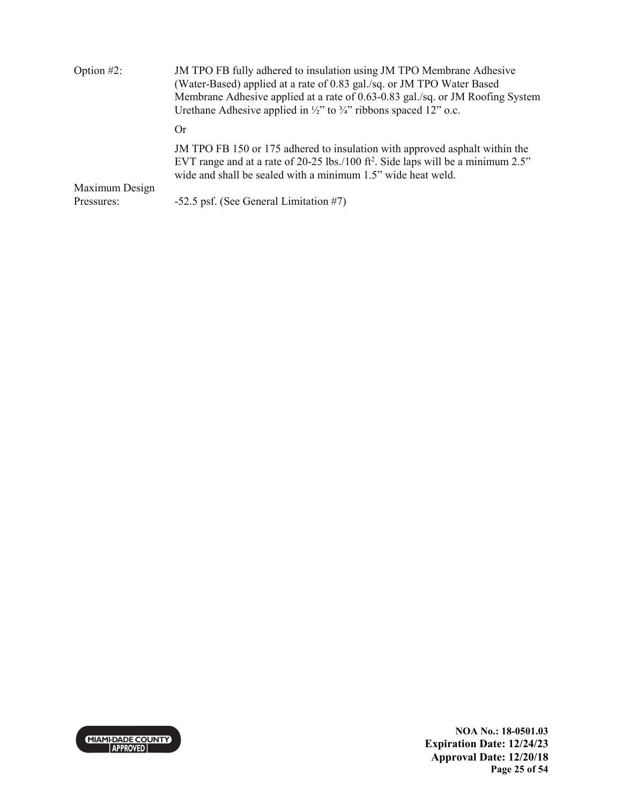| Option $#2$ :                | JM TPO FB fully adhered to insulation using JM TPO Membrane Adhesive<br>(Water-Based) applied at a rate of 0.83 gal./sq. or JM TPO Water Based<br>Membrane Adhesive applied at a rate of 0.63-0.83 gal./sq. or JM Roofing System<br>Urethane Adhesive applied in $\frac{1}{2}$ " to $\frac{3}{4}$ " ribbons spaced 12" o.c. |
|------------------------------|-----------------------------------------------------------------------------------------------------------------------------------------------------------------------------------------------------------------------------------------------------------------------------------------------------------------------------|
|                              | ()r                                                                                                                                                                                                                                                                                                                         |
|                              | JM TPO FB 150 or 175 adhered to insulation with approved asphalt within the<br>EVT range and at a rate of 20-25 lbs./100 ft <sup>2</sup> . Side laps will be a minimum $2.5$ "<br>wide and shall be sealed with a minimum 1.5" wide heat weld.                                                                              |
| Maximum Design<br>Pressures: | -52.5 psf. (See General Limitation #7)                                                                                                                                                                                                                                                                                      |

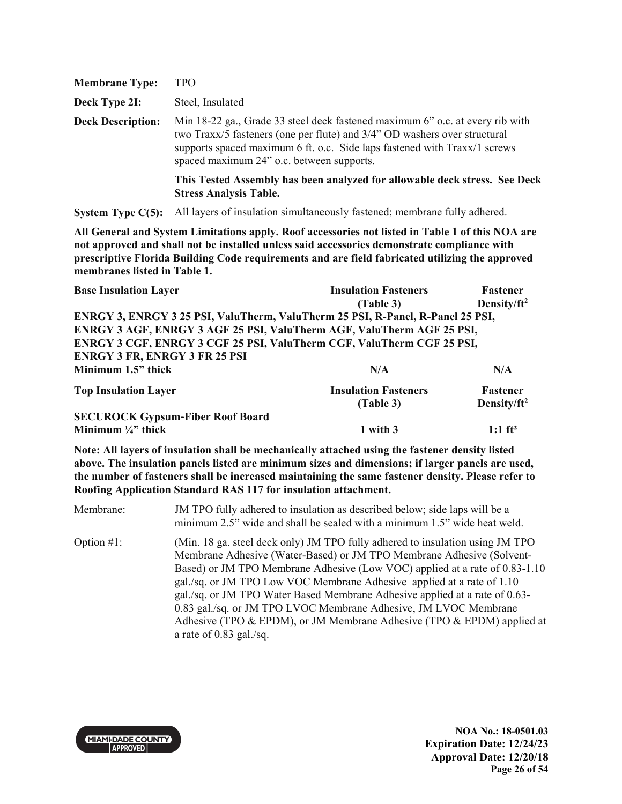| <b>Membrane Type:</b>    | TPO                                                                                                                                                                                                                                                                                  |
|--------------------------|--------------------------------------------------------------------------------------------------------------------------------------------------------------------------------------------------------------------------------------------------------------------------------------|
| Deck Type 2I:            | Steel, Insulated                                                                                                                                                                                                                                                                     |
| <b>Deck Description:</b> | Min 18-22 ga., Grade 33 steel deck fastened maximum 6" o.c. at every rib with<br>two Traxx/5 fasteners (one per flute) and 3/4" OD washers over structural<br>supports spaced maximum 6 ft. o.c. Side laps fastened with Traxx/1 screws<br>spaced maximum 24" o.c. between supports. |
|                          | This Tested Assembly has been analyzed for allowable deck stress. See Deck<br><b>Stress Analysis Table.</b>                                                                                                                                                                          |

**System Type C(5):** All layers of insulation simultaneously fastened; membrane fully adhered.

**All General and System Limitations apply. Roof accessories not listed in Table 1 of this NOA are not approved and shall not be installed unless said accessories demonstrate compliance with prescriptive Florida Building Code requirements and are field fabricated utilizing the approved membranes listed in Table 1.**

| <b>Base Insulation Layer</b>                                                   | <b>Insulation Fasteners</b> | Fastener                |
|--------------------------------------------------------------------------------|-----------------------------|-------------------------|
|                                                                                | (Table 3)                   | Density/ $ft^2$         |
| ENRGY 3, ENRGY 3 25 PSI, ValuTherm, ValuTherm 25 PSI, R-Panel, R-Panel 25 PSI, |                             |                         |
| ENRGY 3 AGF, ENRGY 3 AGF 25 PSI, ValuTherm AGF, ValuTherm AGF 25 PSI,          |                             |                         |
| ENRGY 3 CGF, ENRGY 3 CGF 25 PSI, ValuTherm CGF, ValuTherm CGF 25 PSI,          |                             |                         |
| <b>ENRGY 3 FR, ENRGY 3 FR 25 PSI</b>                                           |                             |                         |
| Minimum 1.5" thick                                                             | N/A                         | N/A                     |
| <b>Top Insulation Layer</b>                                                    | <b>Insulation Fasteners</b> | <b>Fastener</b>         |
|                                                                                | (Table 3)                   | Density/ft <sup>2</sup> |
| <b>SECUROCK Gypsum-Fiber Roof Board</b>                                        |                             |                         |
| Minimum $\frac{1}{4}$ thick                                                    | 1 with 3                    | $1:1$ ft <sup>2</sup>   |

**Note: All layers of insulation shall be mechanically attached using the fastener density listed above. The insulation panels listed are minimum sizes and dimensions; if larger panels are used, the number of fasteners shall be increased maintaining the same fastener density. Please refer to Roofing Application Standard RAS 117 for insulation attachment.** 

Membrane: JM TPO fully adhered to insulation as described below; side laps will be a minimum 2.5" wide and shall be sealed with a minimum 1.5" wide heat weld. Option #1: (Min. 18 ga. steel deck only) JM TPO fully adhered to insulation using JM TPO Membrane Adhesive (Water-Based) or JM TPO Membrane Adhesive (Solvent-Based) or JM TPO Membrane Adhesive (Low VOC) applied at a rate of 0.83-1.10 gal./sq. or JM TPO Low VOC Membrane Adhesive applied at a rate of 1.10 gal./sq. or JM TPO Water Based Membrane Adhesive applied at a rate of 0.63- 0.83 gal./sq. or JM TPO LVOC Membrane Adhesive, JM LVOC Membrane Adhesive (TPO & EPDM), or JM Membrane Adhesive (TPO & EPDM) applied at a rate of 0.83 gal./sq.

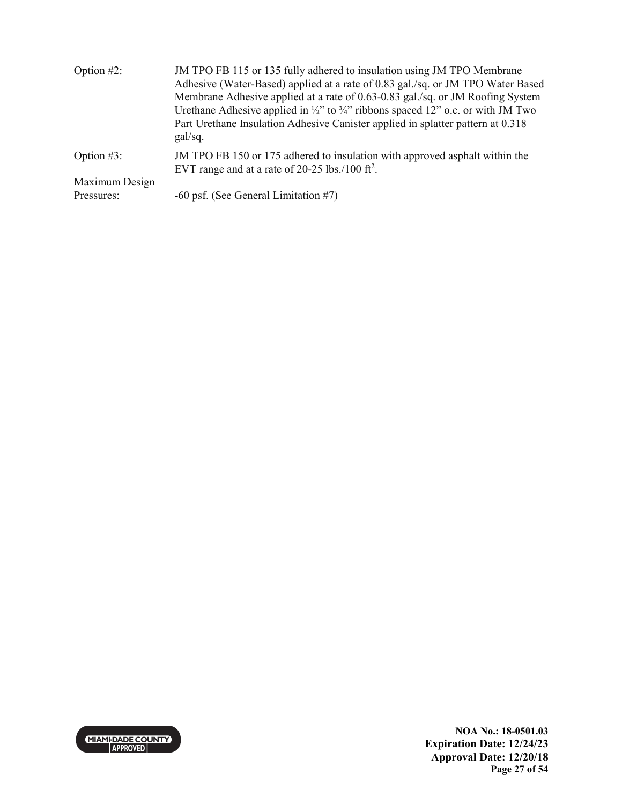| Option $#2$ :  | JM TPO FB 115 or 135 fully adhered to insulation using JM TPO Membrane<br>Adhesive (Water-Based) applied at a rate of 0.83 gal./sq. or JM TPO Water Based<br>Membrane Adhesive applied at a rate of 0.63-0.83 gal./sq. or JM Roofing System<br>Urethane Adhesive applied in $\frac{1}{2}$ " to $\frac{3}{4}$ " ribbons spaced 12" o.c. or with JM Two<br>Part Urethane Insulation Adhesive Canister applied in splatter pattern at 0.318<br>gal/sq. |
|----------------|-----------------------------------------------------------------------------------------------------------------------------------------------------------------------------------------------------------------------------------------------------------------------------------------------------------------------------------------------------------------------------------------------------------------------------------------------------|
| Option $#3$ :  | JM TPO FB 150 or 175 adhered to insulation with approved asphalt within the<br>EVT range and at a rate of 20-25 lbs./100 ft <sup>2</sup> .                                                                                                                                                                                                                                                                                                          |
| Maximum Design |                                                                                                                                                                                                                                                                                                                                                                                                                                                     |
| Pressures:     | $-60$ psf. (See General Limitation #7)                                                                                                                                                                                                                                                                                                                                                                                                              |

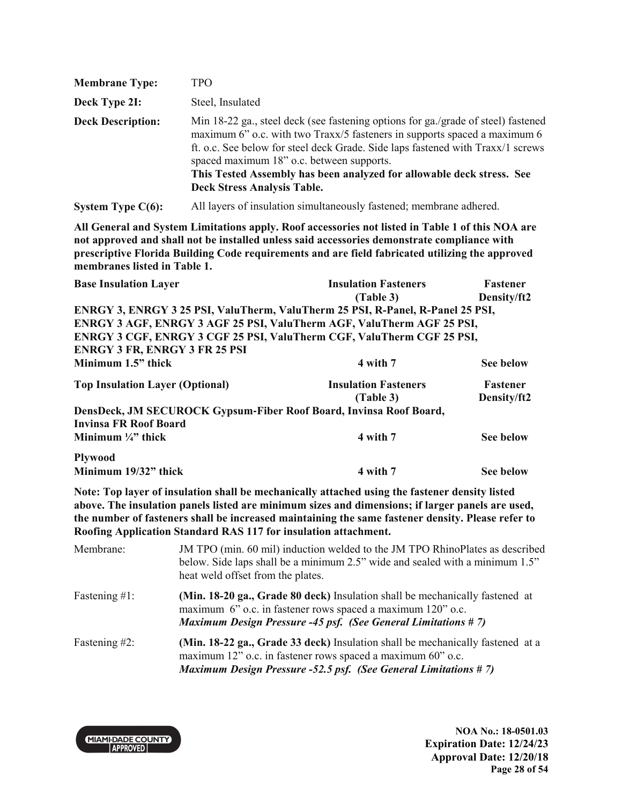| <b>Membrane Type:</b>    | TPO                                                                                                                                                                                                                                                                                                                                                                                                           |
|--------------------------|---------------------------------------------------------------------------------------------------------------------------------------------------------------------------------------------------------------------------------------------------------------------------------------------------------------------------------------------------------------------------------------------------------------|
| Deck Type 2I:            | Steel, Insulated                                                                                                                                                                                                                                                                                                                                                                                              |
| <b>Deck Description:</b> | Min 18-22 ga., steel deck (see fastening options for ga./grade of steel) fastened<br>maximum 6" o.c. with two Traxx/5 fasteners in supports spaced a maximum 6<br>ft. o.c. See below for steel deck Grade. Side laps fastened with Traxx/1 screws<br>spaced maximum 18" o.c. between supports.<br>This Tested Assembly has been analyzed for allowable deck stress. See<br><b>Deck Stress Analysis Table.</b> |
|                          |                                                                                                                                                                                                                                                                                                                                                                                                               |

**System Type C(6):** All layers of insulation simultaneously fastened; membrane adhered.

**All General and System Limitations apply. Roof accessories not listed in Table 1 of this NOA are not approved and shall not be installed unless said accessories demonstrate compliance with prescriptive Florida Building Code requirements and are field fabricated utilizing the approved membranes listed in Table 1.**

| <b>Base Insulation Layer</b>                                  |                                                                                                                                                                                                                     | <b>Insulation Fasteners</b><br>(Table 3)                                                                                                                                                                                                                                                                | Fastener<br>Density/ft2 |
|---------------------------------------------------------------|---------------------------------------------------------------------------------------------------------------------------------------------------------------------------------------------------------------------|---------------------------------------------------------------------------------------------------------------------------------------------------------------------------------------------------------------------------------------------------------------------------------------------------------|-------------------------|
|                                                               |                                                                                                                                                                                                                     | ENRGY 3, ENRGY 3 25 PSI, ValuTherm, ValuTherm 25 PSI, R-Panel, R-Panel 25 PSI,                                                                                                                                                                                                                          |                         |
|                                                               |                                                                                                                                                                                                                     | ENRGY 3 AGF, ENRGY 3 AGF 25 PSI, ValuTherm AGF, ValuTherm AGF 25 PSI,                                                                                                                                                                                                                                   |                         |
|                                                               |                                                                                                                                                                                                                     | ENRGY 3 CGF, ENRGY 3 CGF 25 PSI, ValuTherm CGF, ValuTherm CGF 25 PSI,                                                                                                                                                                                                                                   |                         |
| <b>ENRGY 3 FR, ENRGY 3 FR 25 PSI</b>                          |                                                                                                                                                                                                                     |                                                                                                                                                                                                                                                                                                         |                         |
| Minimum 1.5" thick                                            |                                                                                                                                                                                                                     | 4 with 7                                                                                                                                                                                                                                                                                                | <b>See below</b>        |
| <b>Top Insulation Layer (Optional)</b>                        |                                                                                                                                                                                                                     | <b>Insulation Fasteners</b>                                                                                                                                                                                                                                                                             | <b>Fastener</b>         |
|                                                               |                                                                                                                                                                                                                     | (Table 3)                                                                                                                                                                                                                                                                                               | Density/ft2             |
|                                                               | DensDeck, JM SECUROCK Gypsum-Fiber Roof Board, Invinsa Roof Board,                                                                                                                                                  |                                                                                                                                                                                                                                                                                                         |                         |
| <b>Invinsa FR Roof Board</b><br>Minimum $\frac{1}{4}$ " thick |                                                                                                                                                                                                                     | 4 with 7                                                                                                                                                                                                                                                                                                | <b>See below</b>        |
|                                                               |                                                                                                                                                                                                                     |                                                                                                                                                                                                                                                                                                         |                         |
| <b>Plywood</b>                                                |                                                                                                                                                                                                                     |                                                                                                                                                                                                                                                                                                         |                         |
| Minimum 19/32" thick                                          |                                                                                                                                                                                                                     | 4 with 7                                                                                                                                                                                                                                                                                                | <b>See below</b>        |
|                                                               | Roofing Application Standard RAS 117 for insulation attachment.                                                                                                                                                     | Note: Top layer of insulation shall be mechanically attached using the fastener density listed<br>above. The insulation panels listed are minimum sizes and dimensions; if larger panels are used,<br>the number of fasteners shall be increased maintaining the same fastener density. Please refer to |                         |
| Membrane:                                                     | JM TPO (min. 60 mil) induction welded to the JM TPO RhinoPlates as described<br>below. Side laps shall be a minimum 2.5" wide and sealed with a minimum 1.5"<br>heat weld offset from the plates.                   |                                                                                                                                                                                                                                                                                                         |                         |
| Fastening #1:                                                 | (Min. 18-20 ga., Grade 80 deck) Insulation shall be mechanically fastened at<br>maximum 6" o.c. in fastener rows spaced a maximum 120" o.c.<br><b>Maximum Design Pressure -45 psf. (See General Limitations #7)</b> |                                                                                                                                                                                                                                                                                                         |                         |
| Fastening #2:                                                 |                                                                                                                                                                                                                     | (Min. 18-22 ga., Grade 33 deck) Insulation shall be mechanically fastened at a<br>maximum 12" o.c. in fastener rows spaced a maximum 60" o.c.<br>Maximum Design Pressure -52.5 psf. (See General Limitations # 7)                                                                                       |                         |

MIAMI-DADE COUNTY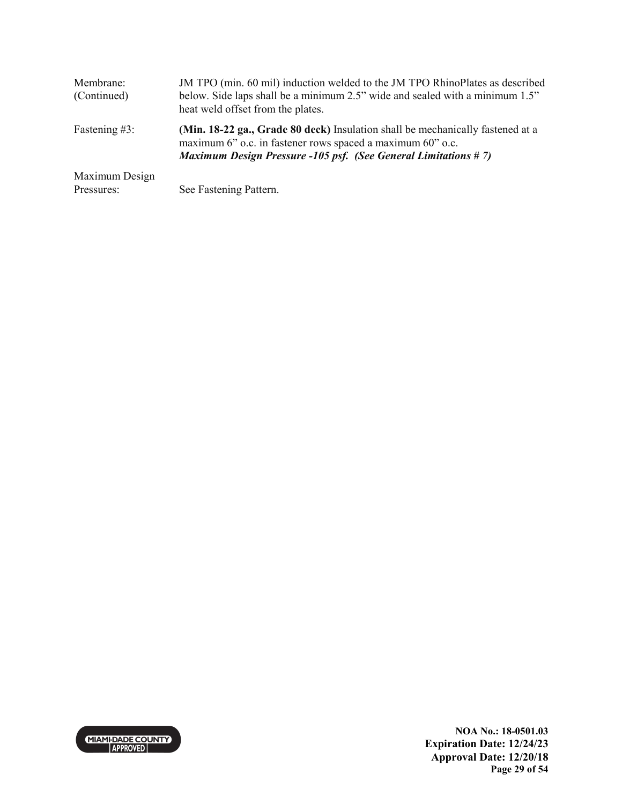| Membrane:<br>(Continued)     | JM TPO (min. 60 mil) induction welded to the JM TPO RhinoPlates as described<br>below. Side laps shall be a minimum 2.5" wide and sealed with a minimum 1.5"<br>heat weld offset from the plates.                     |
|------------------------------|-----------------------------------------------------------------------------------------------------------------------------------------------------------------------------------------------------------------------|
| Fastening $#3$ :             | (Min. 18-22 ga., Grade 80 deck) Insulation shall be mechanically fastened at a<br>maximum 6" o.c. in fastener rows spaced a maximum 60" o.c.<br><b>Maximum Design Pressure -105 psf. (See General Limitations #7)</b> |
| Maximum Design<br>Pressures: | See Fastening Pattern.                                                                                                                                                                                                |



**NOA No.: 18-0501.03 Expiration Date: 12/24/23 Approval Date: 12/20/18 Page 29 of 54**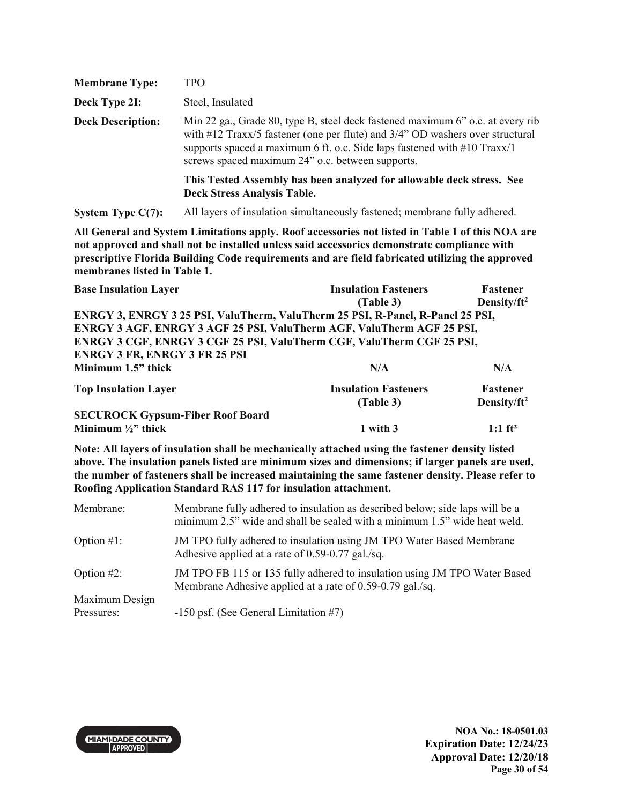| <b>Membrane Type:</b>    | <b>TPO</b>                                                                                                                                                                                                                                                                                        |
|--------------------------|---------------------------------------------------------------------------------------------------------------------------------------------------------------------------------------------------------------------------------------------------------------------------------------------------|
| Deck Type 2I:            | Steel, Insulated                                                                                                                                                                                                                                                                                  |
| <b>Deck Description:</b> | Min 22 ga., Grade 80, type B, steel deck fastened maximum 6" o.c. at every rib<br>with #12 Traxx/5 fastener (one per flute) and 3/4" OD washers over structural<br>supports spaced a maximum 6 ft. o.c. Side laps fastened with $#10$ Traxx/1<br>screws spaced maximum 24" o.c. between supports. |
|                          | This Tested Assembly has been analyzed for allowable deck stress. See<br><b>Deck Stress Analysis Table.</b>                                                                                                                                                                                       |

**System Type C(7):** All layers of insulation simultaneously fastened; membrane fully adhered.

**All General and System Limitations apply. Roof accessories not listed in Table 1 of this NOA are not approved and shall not be installed unless said accessories demonstrate compliance with prescriptive Florida Building Code requirements and are field fabricated utilizing the approved membranes listed in Table 1.**

| <b>Base Insulation Layer</b>                                                   | <b>Insulation Fasteners</b> | Fastener                |
|--------------------------------------------------------------------------------|-----------------------------|-------------------------|
|                                                                                | (Table 3)                   | Density/ft <sup>2</sup> |
| ENRGY 3, ENRGY 3 25 PSI, ValuTherm, ValuTherm 25 PSI, R-Panel, R-Panel 25 PSI, |                             |                         |
| ENRGY 3 AGF, ENRGY 3 AGF 25 PSI, ValuTherm AGF, ValuTherm AGF 25 PSI,          |                             |                         |
| ENRGY 3 CGF, ENRGY 3 CGF 25 PSI, ValuTherm CGF, ValuTherm CGF 25 PSI,          |                             |                         |
| <b>ENRGY 3 FR, ENRGY 3 FR 25 PSI</b>                                           |                             |                         |
| Minimum 1.5" thick                                                             | N/A                         | N/A                     |
| <b>Top Insulation Layer</b>                                                    | <b>Insulation Fasteners</b> | Fastener                |
|                                                                                | (Table 3)                   | Density/ft <sup>2</sup> |
| <b>SECUROCK Gypsum-Fiber Roof Board</b>                                        |                             |                         |
| Minimum $\frac{1}{2}$ thick                                                    | 1 with 3                    | $1:1$ ft <sup>2</sup>   |

**Note: All layers of insulation shall be mechanically attached using the fastener density listed above. The insulation panels listed are minimum sizes and dimensions; if larger panels are used, the number of fasteners shall be increased maintaining the same fastener density. Please refer to Roofing Application Standard RAS 117 for insulation attachment.** 

| Membrane:      | Membrane fully adhered to insulation as described below; side laps will be a<br>minimum 2.5" wide and shall be sealed with a minimum 1.5" wide heat weld. |
|----------------|-----------------------------------------------------------------------------------------------------------------------------------------------------------|
| Option $#1$ :  | JM TPO fully adhered to insulation using JM TPO Water Based Membrane<br>Adhesive applied at a rate of 0.59-0.77 gal./sq.                                  |
| Option $#2$ :  | JM TPO FB 115 or 135 fully adhered to insulation using JM TPO Water Based<br>Membrane Adhesive applied at a rate of 0.59-0.79 gal./sq.                    |
| Maximum Design |                                                                                                                                                           |
| Pressures:     | $-150$ psf. (See General Limitation #7)                                                                                                                   |

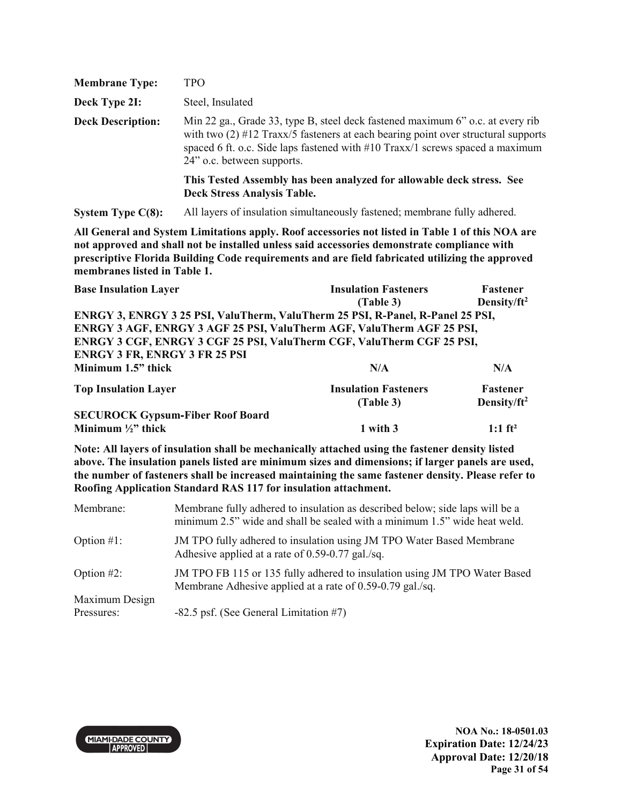| <b>Membrane Type:</b>    | TPO                                                                                                                                                                                                                                                                                  |
|--------------------------|--------------------------------------------------------------------------------------------------------------------------------------------------------------------------------------------------------------------------------------------------------------------------------------|
| Deck Type 2I:            | Steel, Insulated                                                                                                                                                                                                                                                                     |
| <b>Deck Description:</b> | Min 22 ga., Grade 33, type B, steel deck fastened maximum 6" o.c. at every rib<br>with two $(2)$ #12 Traxx/5 fasteners at each bearing point over structural supports<br>spaced 6 ft. o.c. Side laps fastened with #10 Traxx/1 screws spaced a maximum<br>24" o.c. between supports. |
|                          | This Tested Assembly has been analyzed for allowable deck stress. See<br><b>Deck Stress Analysis Table.</b>                                                                                                                                                                          |

**System Type C(8):** All layers of insulation simultaneously fastened; membrane fully adhered.

**All General and System Limitations apply. Roof accessories not listed in Table 1 of this NOA are not approved and shall not be installed unless said accessories demonstrate compliance with prescriptive Florida Building Code requirements and are field fabricated utilizing the approved membranes listed in Table 1.**

| <b>Base Insulation Layer</b>                                                   | <b>Insulation Fasteners</b> | Fastener                |
|--------------------------------------------------------------------------------|-----------------------------|-------------------------|
|                                                                                | (Table 3)                   | Density/ft <sup>2</sup> |
| ENRGY 3, ENRGY 3 25 PSI, ValuTherm, ValuTherm 25 PSI, R-Panel, R-Panel 25 PSI, |                             |                         |
| ENRGY 3 AGF, ENRGY 3 AGF 25 PSI, ValuTherm AGF, ValuTherm AGF 25 PSI,          |                             |                         |
| ENRGY 3 CGF, ENRGY 3 CGF 25 PSI, ValuTherm CGF, ValuTherm CGF 25 PSI,          |                             |                         |
| <b>ENRGY 3 FR, ENRGY 3 FR 25 PSI</b>                                           |                             |                         |
| Minimum 1.5" thick                                                             | N/A                         | N/A                     |
| <b>Top Insulation Layer</b>                                                    | <b>Insulation Fasteners</b> | Fastener                |
|                                                                                | (Table 3)                   | Density/ft <sup>2</sup> |
| <b>SECUROCK Gypsum-Fiber Roof Board</b>                                        |                             |                         |
| Minimum $\frac{1}{2}$ thick                                                    | 1 with 3                    | $1:1$ ft <sup>2</sup>   |

**Note: All layers of insulation shall be mechanically attached using the fastener density listed above. The insulation panels listed are minimum sizes and dimensions; if larger panels are used, the number of fasteners shall be increased maintaining the same fastener density. Please refer to Roofing Application Standard RAS 117 for insulation attachment.** 

| Membrane:      | Membrane fully adhered to insulation as described below; side laps will be a<br>minimum 2.5" wide and shall be sealed with a minimum 1.5" wide heat weld. |
|----------------|-----------------------------------------------------------------------------------------------------------------------------------------------------------|
| Option $#1$ :  | JM TPO fully adhered to insulation using JM TPO Water Based Membrane<br>Adhesive applied at a rate of 0.59-0.77 gal./sq.                                  |
| Option $#2$ :  | JM TPO FB 115 or 135 fully adhered to insulation using JM TPO Water Based<br>Membrane Adhesive applied at a rate of 0.59-0.79 gal./sq.                    |
| Maximum Design |                                                                                                                                                           |
| Pressures:     | $-82.5$ psf. (See General Limitation #7)                                                                                                                  |

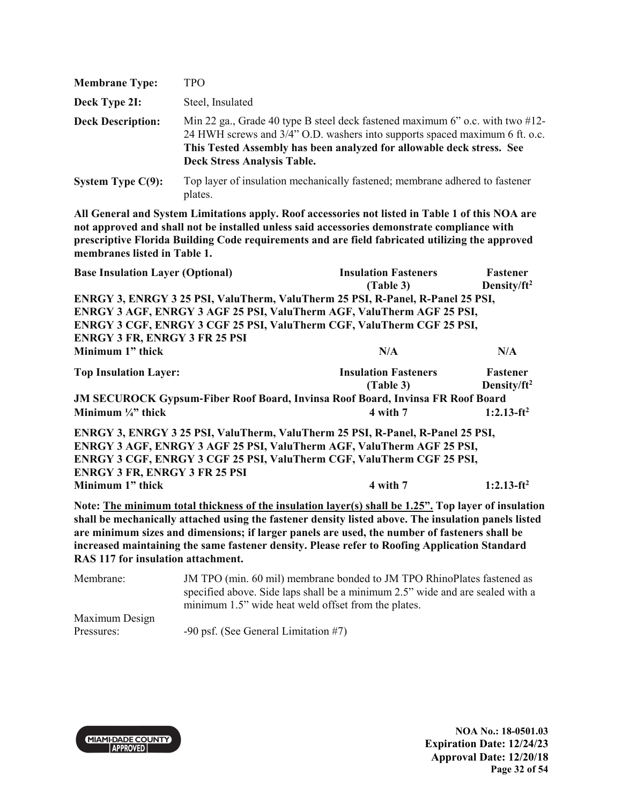| <b>Membrane Type:</b>    | <b>TPO</b>                                                                                                                                                                                                                                                                      |
|--------------------------|---------------------------------------------------------------------------------------------------------------------------------------------------------------------------------------------------------------------------------------------------------------------------------|
| Deck Type 2I:            | Steel, Insulated                                                                                                                                                                                                                                                                |
| <b>Deck Description:</b> | Min 22 ga., Grade 40 type B steel deck fastened maximum 6" o.c. with two $\#12$ -<br>24 HWH screws and 3/4" O.D. washers into supports spaced maximum 6 ft. o.c.<br>This Tested Assembly has been analyzed for allowable deck stress. See<br><b>Deck Stress Analysis Table.</b> |
| System Type $C(9)$ :     | Top layer of insulation mechanically fastened; membrane adhered to fastener<br>plates.                                                                                                                                                                                          |

| <b>Base Insulation Layer (Optional)</b>                                                              | <b>Insulation Fasteners</b> | Fastener                |
|------------------------------------------------------------------------------------------------------|-----------------------------|-------------------------|
|                                                                                                      | (Table 3)                   | Density/ft <sup>2</sup> |
| ENRGY 3, ENRGY 3 25 PSI, ValuTherm, ValuTherm 25 PSI, R-Panel, R-Panel 25 PSI,                       |                             |                         |
| ENRGY 3 AGF, ENRGY 3 AGF 25 PSI, ValuTherm AGF, ValuTherm AGF 25 PSI,                                |                             |                         |
| ENRGY 3 CGF, ENRGY 3 CGF 25 PSI, ValuTherm CGF, ValuTherm CGF 25 PSI,                                |                             |                         |
| <b>ENRGY 3 FR, ENRGY 3 FR 25 PSI</b>                                                                 |                             |                         |
| Minimum 1" thick                                                                                     | N/A                         | N/A                     |
| <b>Top Insulation Layer:</b>                                                                         | <b>Insulation Fasteners</b> | Fastener                |
|                                                                                                      | (Table 3)                   | Density/ft <sup>2</sup> |
| <b>JM SECUROCK Gypsum-Fiber Roof Board, Invinsa Roof Board, Invinsa FR Roof Board</b>                |                             |                         |
| Minimum $\frac{1}{4}$ thick                                                                          | 4 with 7                    | $1:2.13-ft^2$           |
| ENRGY 3, ENRGY 3 25 PSI, ValuTherm, ValuTherm 25 PSI, R-Panel, R-Panel 25 PSI,                       |                             |                         |
| ENRGY 3 AGF, ENRGY 3 AGF 25 PSI, ValuTherm AGF, ValuTherm AGF 25 PSI,                                |                             |                         |
| ENRGY 3 CGF, ENRGY 3 CGF 25 PSI, ValuTherm CGF, ValuTherm CGF 25 PSI,                                |                             |                         |
| <b>ENRGY 3 FR, ENRGY 3 FR 25 PSI</b>                                                                 |                             |                         |
| Minimum 1" thick                                                                                     | 4 with 7                    | $1:2.13-ft^2$           |
| Note: The minimum total thickness of the insulation layer(s) shall be 1.25". Top layer of insulation |                             |                         |
| shall be mechanically attached using the fastener density listed above. The insulation panels listed |                             |                         |
| are minimum sizes and dimensions; if larger panels are used, the number of fasteners shall be        |                             |                         |
| increased maintaining the same fastener density. Please refer to Roofing Application Standard        |                             |                         |
| RAS 117 for insulation attachment.                                                                   |                             |                         |

| Membrane:      | JM TPO (min. 60 mil) membrane bonded to JM TPO RhinoPlates fastened as        |
|----------------|-------------------------------------------------------------------------------|
|                | specified above. Side laps shall be a minimum 2.5" wide and are sealed with a |
|                | minimum 1.5" wide heat weld offset from the plates.                           |
| Maximum Design |                                                                               |
| Pressures:     | $-90$ psf. (See General Limitation #7)                                        |

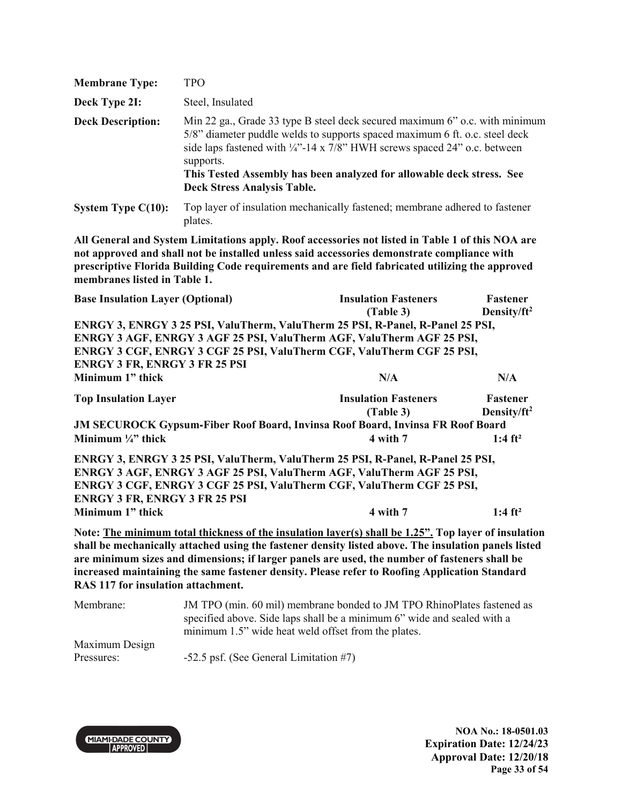| <b>Membrane Type:</b>    | TPO                                                                                                                                                                                                                                                                                                                                                                           |
|--------------------------|-------------------------------------------------------------------------------------------------------------------------------------------------------------------------------------------------------------------------------------------------------------------------------------------------------------------------------------------------------------------------------|
| Deck Type 2I:            | Steel, Insulated                                                                                                                                                                                                                                                                                                                                                              |
| <b>Deck Description:</b> | Min 22 ga., Grade 33 type B steel deck secured maximum 6" o.c. with minimum<br>5/8" diameter puddle welds to supports spaced maximum 6 ft. o.c. steel deck<br>side laps fastened with $\frac{1}{4}$ -14 x 7/8" HWH screws spaced 24" o.c. between<br>supports.<br>This Tested Assembly has been analyzed for allowable deck stress. See<br><b>Deck Stress Analysis Table.</b> |
| System Type $C(10)$ :    | Top layer of insulation mechanically fastened; membrane adhered to fastener                                                                                                                                                                                                                                                                                                   |

plates.

| <b>Base Insulation Layer (Optional)</b> |                                      | <b>Insulation Fasteners</b><br>(Table 3)                                                                                                                                                                                                                                                                      | Fastener<br>Density/ft <sup>2</sup> |
|-----------------------------------------|--------------------------------------|---------------------------------------------------------------------------------------------------------------------------------------------------------------------------------------------------------------------------------------------------------------------------------------------------------------|-------------------------------------|
|                                         |                                      | ENRGY 3, ENRGY 3 25 PSI, ValuTherm, ValuTherm 25 PSI, R-Panel, R-Panel 25 PSI,                                                                                                                                                                                                                                |                                     |
|                                         |                                      | ENRGY 3 AGF, ENRGY 3 AGF 25 PSI, ValuTherm AGF, ValuTherm AGF 25 PSI,                                                                                                                                                                                                                                         |                                     |
|                                         |                                      | ENRGY 3 CGF, ENRGY 3 CGF 25 PSI, ValuTherm CGF, ValuTherm CGF 25 PSI,                                                                                                                                                                                                                                         |                                     |
|                                         | <b>ENRGY 3 FR, ENRGY 3 FR 25 PSI</b> |                                                                                                                                                                                                                                                                                                               |                                     |
| Minimum 1" thick                        |                                      | N/A                                                                                                                                                                                                                                                                                                           | N/A                                 |
| <b>Top Insulation Layer</b>             |                                      | <b>Insulation Fasteners</b>                                                                                                                                                                                                                                                                                   | <b>Fastener</b>                     |
|                                         |                                      | (Table 3)                                                                                                                                                                                                                                                                                                     | Density/ft <sup>2</sup>             |
|                                         |                                      | <b>JM SECUROCK Gypsum-Fiber Roof Board, Invinsa Roof Board, Invinsa FR Roof Board</b>                                                                                                                                                                                                                         |                                     |
| Minimum $\frac{1}{4}$ " thick           |                                      | 4 with 7                                                                                                                                                                                                                                                                                                      | 1:4 $ft^2$                          |
|                                         |                                      | ENRGY 3, ENRGY 3 25 PSI, ValuTherm, ValuTherm 25 PSI, R-Panel, R-Panel 25 PSI,                                                                                                                                                                                                                                |                                     |
|                                         |                                      | ENRGY 3 AGF, ENRGY 3 AGF 25 PSI, ValuTherm AGF, ValuTherm AGF 25 PSI,                                                                                                                                                                                                                                         |                                     |
|                                         |                                      | ENRGY 3 CGF, ENRGY 3 CGF 25 PSI, ValuTherm CGF, ValuTherm CGF 25 PSI,                                                                                                                                                                                                                                         |                                     |
|                                         | <b>ENRGY 3 FR, ENRGY 3 FR 25 PSI</b> |                                                                                                                                                                                                                                                                                                               |                                     |
| Minimum 1" thick                        |                                      | 4 with 7                                                                                                                                                                                                                                                                                                      | 1:4 $ft^2$                          |
|                                         |                                      | Note: The minimum total thickness of the insulation layer(s) shall be 1.25". Top layer of insulation<br>shall be mechanically attached using the fastener density listed above. The insulation panels listed<br>are minimum sizes and dimensions; if larger panels are used, the number of fasteners shall be |                                     |
|                                         | RAS 117 for insulation attachment.   | increased maintaining the same fastener density. Please refer to Roofing Application Standard                                                                                                                                                                                                                 |                                     |
| Membrane <sup>.</sup>                   |                                      | JM TPO (min. 60 mil) membrane bonded to JM TPO RhinoPlates fastened as                                                                                                                                                                                                                                        |                                     |

| Membrane:      | JM TPO (min. 60 mil) membrane bonded to JM TPO RhinoPlates fastened as  |
|----------------|-------------------------------------------------------------------------|
|                | specified above. Side laps shall be a minimum 6" wide and sealed with a |
|                | minimum 1.5" wide heat weld offset from the plates.                     |
| Maximum Design |                                                                         |
| Pressures:     | $-52.5$ psf. (See General Limitation #7)                                |

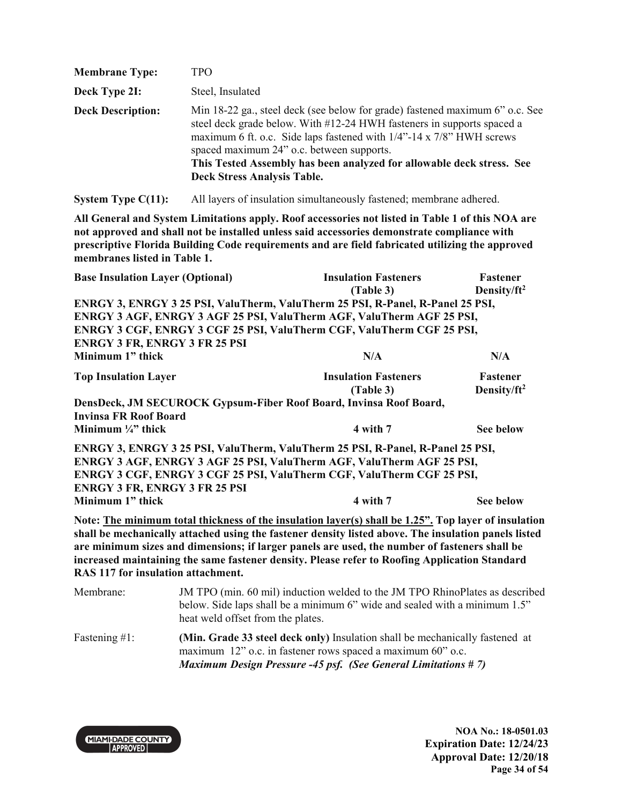| <b>Membrane Type:</b>    | <b>TPO</b>                                                                                                                                                                                                                                                                                                                                                                                 |
|--------------------------|--------------------------------------------------------------------------------------------------------------------------------------------------------------------------------------------------------------------------------------------------------------------------------------------------------------------------------------------------------------------------------------------|
| Deck Type 2I:            | Steel, Insulated                                                                                                                                                                                                                                                                                                                                                                           |
| <b>Deck Description:</b> | Min 18-22 ga., steel deck (see below for grade) fastened maximum 6" o.c. See<br>steel deck grade below. With #12-24 HWH fasteners in supports spaced a<br>maximum 6 ft. o.c. Side laps fastened with 1/4"-14 x 7/8" HWH screws<br>spaced maximum 24" o.c. between supports.<br>This Tested Assembly has been analyzed for allowable deck stress. See<br><b>Deck Stress Analysis Table.</b> |

**System Type C(11):** All layers of insulation simultaneously fastened; membrane adhered.

**All General and System Limitations apply. Roof accessories not listed in Table 1 of this NOA are not approved and shall not be installed unless said accessories demonstrate compliance with prescriptive Florida Building Code requirements and are field fabricated utilizing the approved membranes listed in Table 1.**

| <b>Base Insulation Layer (Optional)</b>                                                                                                                                                                                                                                                                                                                                                                                                              |                                                                    | <b>Insulation Fasteners</b><br>(Table 3)                                                                                                                                                                                         | Fastener<br>Density/ft <sup>2</sup> |  |
|------------------------------------------------------------------------------------------------------------------------------------------------------------------------------------------------------------------------------------------------------------------------------------------------------------------------------------------------------------------------------------------------------------------------------------------------------|--------------------------------------------------------------------|----------------------------------------------------------------------------------------------------------------------------------------------------------------------------------------------------------------------------------|-------------------------------------|--|
|                                                                                                                                                                                                                                                                                                                                                                                                                                                      |                                                                    | ENRGY 3, ENRGY 3 25 PSI, ValuTherm, ValuTherm 25 PSI, R-Panel, R-Panel 25 PSI,<br>ENRGY 3 AGF, ENRGY 3 AGF 25 PSI, ValuTherm AGF, ValuTherm AGF 25 PSI,<br>ENRGY 3 CGF, ENRGY 3 CGF 25 PSI, ValuTherm CGF, ValuTherm CGF 25 PSI, |                                     |  |
| <b>ENRGY 3 FR, ENRGY 3 FR 25 PSI</b>                                                                                                                                                                                                                                                                                                                                                                                                                 |                                                                    |                                                                                                                                                                                                                                  |                                     |  |
| Minimum 1" thick                                                                                                                                                                                                                                                                                                                                                                                                                                     |                                                                    | N/A                                                                                                                                                                                                                              | N/A                                 |  |
| <b>Top Insulation Layer</b>                                                                                                                                                                                                                                                                                                                                                                                                                          |                                                                    | <b>Insulation Fasteners</b><br>(Table 3)                                                                                                                                                                                         | Fastener<br>Density/ft <sup>2</sup> |  |
|                                                                                                                                                                                                                                                                                                                                                                                                                                                      | DensDeck, JM SECUROCK Gypsum-Fiber Roof Board, Invinsa Roof Board, |                                                                                                                                                                                                                                  |                                     |  |
| <b>Invinsa FR Roof Board</b><br>Minimum $\frac{1}{4}$ " thick                                                                                                                                                                                                                                                                                                                                                                                        |                                                                    | 4 with 7                                                                                                                                                                                                                         | <b>See below</b>                    |  |
| <b>ENRGY 3 FR, ENRGY 3 FR 25 PSI</b>                                                                                                                                                                                                                                                                                                                                                                                                                 |                                                                    | ENRGY 3, ENRGY 3 25 PSI, ValuTherm, ValuTherm 25 PSI, R-Panel, R-Panel 25 PSI,<br>ENRGY 3 AGF, ENRGY 3 AGF 25 PSI, ValuTherm AGF, ValuTherm AGF 25 PSI,<br>ENRGY 3 CGF, ENRGY 3 CGF 25 PSI, ValuTherm CGF, ValuTherm CGF 25 PSI, |                                     |  |
| Minimum 1" thick                                                                                                                                                                                                                                                                                                                                                                                                                                     |                                                                    | 4 with 7                                                                                                                                                                                                                         | <b>See below</b>                    |  |
| Note: The minimum total thickness of the insulation layer(s) shall be 1.25". Top layer of insulation<br>shall be mechanically attached using the fastener density listed above. The insulation panels listed<br>are minimum sizes and dimensions; if larger panels are used, the number of fasteners shall be<br>increased maintaining the same fastener density. Please refer to Roofing Application Standard<br>RAS 117 for insulation attachment. |                                                                    |                                                                                                                                                                                                                                  |                                     |  |
| Membrane:                                                                                                                                                                                                                                                                                                                                                                                                                                            | heat weld offset from the plates.                                  | JM TPO (min. 60 mil) induction welded to the JM TPO RhinoPlates as described<br>below. Side laps shall be a minimum 6" wide and sealed with a minimum 1.5"                                                                       |                                     |  |

Fastening #1: **(Min. Grade 33 steel deck only)** Insulation shall be mechanically fastened at maximum 12" o.c. in fastener rows spaced a maximum 60" o.c. *Maximum Design Pressure -45 psf. (See General Limitations # 7)*

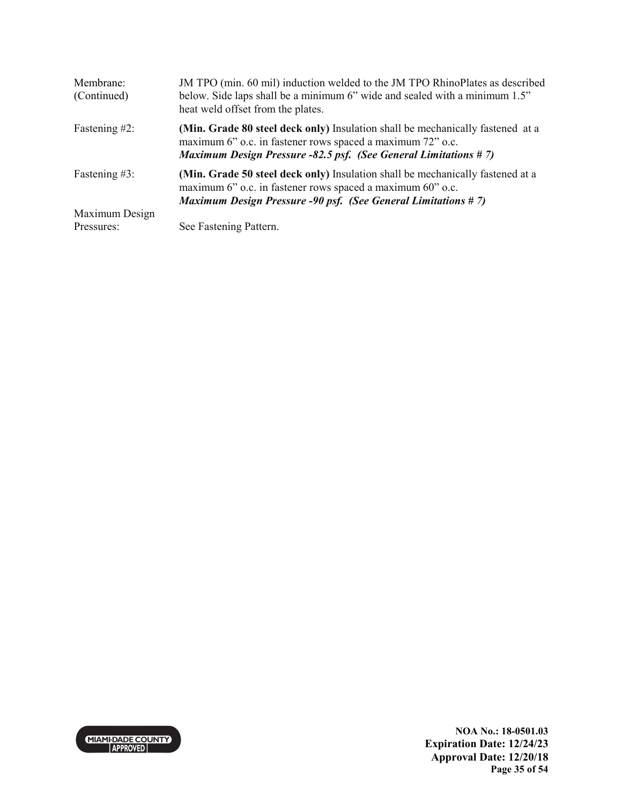| Membrane:<br>(Continued) | JM TPO (min. 60 mil) induction welded to the JM TPO RhinoPlates as described<br>below. Side laps shall be a minimum 6" wide and sealed with a minimum 1.5"<br>heat weld offset from the plates.                        |
|--------------------------|------------------------------------------------------------------------------------------------------------------------------------------------------------------------------------------------------------------------|
| Fastening #2:            | (Min. Grade 80 steel deck only) Insulation shall be mechanically fastened at a<br>maximum 6" o.c. in fastener rows spaced a maximum 72" o.c.<br><b>Maximum Design Pressure -82.5 psf. (See General Limitations #7)</b> |
| Fastening #3:            | (Min. Grade 50 steel deck only) Insulation shall be mechanically fastened at a<br>maximum 6" o.c. in fastener rows spaced a maximum 60" o.c.<br><b>Maximum Design Pressure -90 psf. (See General Limitations #7)</b>   |
| Maximum Design           |                                                                                                                                                                                                                        |
| Pressures:               | See Fastening Pattern.                                                                                                                                                                                                 |

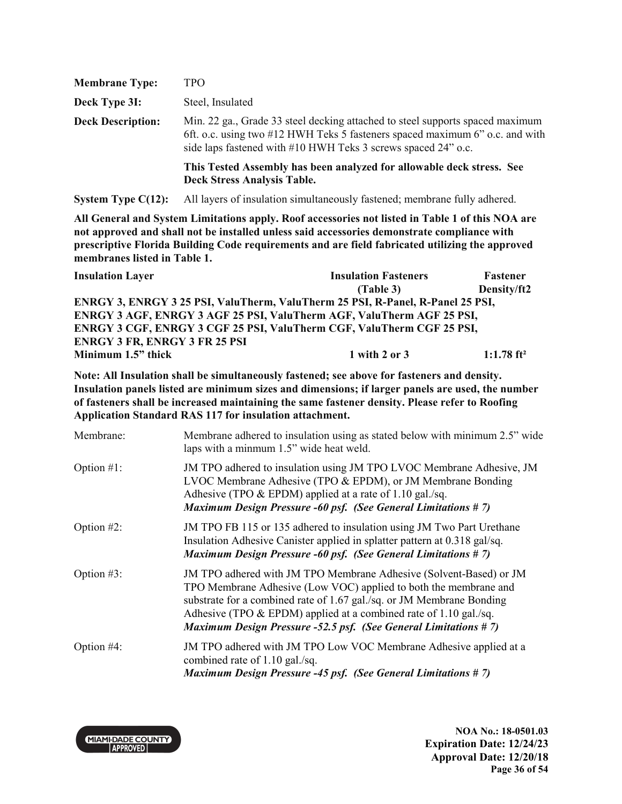| <b>Membrane Type:</b>    | TPO                                                                                                                                                                                                                            |
|--------------------------|--------------------------------------------------------------------------------------------------------------------------------------------------------------------------------------------------------------------------------|
| Deck Type 3I:            | Steel, Insulated                                                                                                                                                                                                               |
| <b>Deck Description:</b> | Min. 22 ga., Grade 33 steel decking attached to steel supports spaced maximum<br>6ft. o.c. using two #12 HWH Teks 5 fasteners spaced maximum 6" o.c. and with<br>side laps fastened with #10 HWH Teks 3 screws spaced 24" o.c. |
|                          | This Tested Assembly has been analyzed for allowable deck stress. See<br><b>Deck Stress Analysis Table.</b>                                                                                                                    |

**System Type C(12):** All layers of insulation simultaneously fastened; membrane fully adhered.

**All General and System Limitations apply. Roof accessories not listed in Table 1 of this NOA are not approved and shall not be installed unless said accessories demonstrate compliance with prescriptive Florida Building Code requirements and are field fabricated utilizing the approved membranes listed in Table 1.**

| <b>Insulation Layer</b>                                                        | <b>Insulation Fasteners</b> | <b>Fastener</b>          |  |
|--------------------------------------------------------------------------------|-----------------------------|--------------------------|--|
|                                                                                | (Table 3)                   | Density/ft2              |  |
| ENRGY 3, ENRGY 3 25 PSI, ValuTherm, ValuTherm 25 PSI, R-Panel, R-Panel 25 PSI, |                             |                          |  |
| ENRGY 3 AGF, ENRGY 3 AGF 25 PSI, ValuTherm AGF, ValuTherm AGF 25 PSI,          |                             |                          |  |
| <b>ENRGY 3 CGF, ENRGY 3 CGF 25 PSI, ValuTherm CGF, ValuTherm CGF 25 PSI,</b>   |                             |                          |  |
| <b>ENRGY 3 FR, ENRGY 3 FR 25 PSI</b>                                           |                             |                          |  |
| Minimum 1.5" thick                                                             | 1 with 2 or $3$             | $1:1.78$ ft <sup>2</sup> |  |

**Note: All Insulation shall be simultaneously fastened; see above for fasteners and density. Insulation panels listed are minimum sizes and dimensions; if larger panels are used, the number of fasteners shall be increased maintaining the same fastener density. Please refer to Roofing Application Standard RAS 117 for insulation attachment.** 

| Membrane:     | Membrane adhered to insulation using as stated below with minimum 2.5" wide<br>laps with a minmum 1.5" wide heat weld.                                                                                                                                                                                                                                           |
|---------------|------------------------------------------------------------------------------------------------------------------------------------------------------------------------------------------------------------------------------------------------------------------------------------------------------------------------------------------------------------------|
| Option $#1$ : | JM TPO adhered to insulation using JM TPO LVOC Membrane Adhesive, JM<br>LVOC Membrane Adhesive (TPO & EPDM), or JM Membrane Bonding<br>Adhesive (TPO $&$ EPDM) applied at a rate of 1.10 gal./sq.<br><b>Maximum Design Pressure -60 psf. (See General Limitations #7)</b>                                                                                        |
| Option $#2$ : | JM TPO FB 115 or 135 adhered to insulation using JM Two Part Urethane<br>Insulation Adhesive Canister applied in splatter pattern at 0.318 gal/sq.<br><b>Maximum Design Pressure -60 psf. (See General Limitations #7)</b>                                                                                                                                       |
| Option $#3$ : | JM TPO adhered with JM TPO Membrane Adhesive (Solvent-Based) or JM<br>TPO Membrane Adhesive (Low VOC) applied to both the membrane and<br>substrate for a combined rate of 1.67 gal./sq. or JM Membrane Bonding<br>Adhesive (TPO $&$ EPDM) applied at a combined rate of 1.10 gal./sq.<br><b>Maximum Design Pressure -52.5 psf. (See General Limitations #7)</b> |
| Option $#4$ : | JM TPO adhered with JM TPO Low VOC Membrane Adhesive applied at a<br>combined rate of 1.10 gal./sq.<br><b>Maximum Design Pressure -45 psf. (See General Limitations #7)</b>                                                                                                                                                                                      |

**MIAMI-DADE COUNTY APPROVED** 

**NOA No.: 18-0501.03 Expiration Date: 12/24/23 Approval Date: 12/20/18 Page 36 of 54**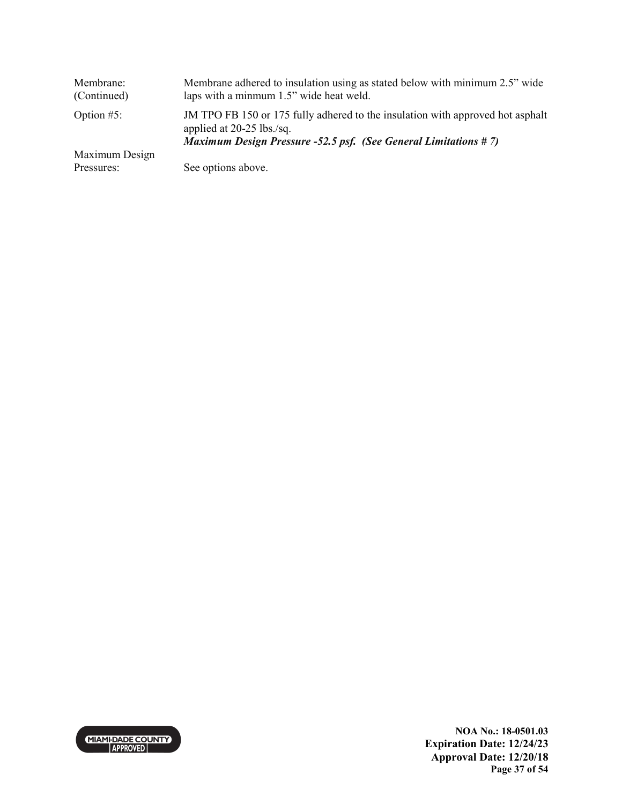| Membrane:<br>(Continued) | Membrane adhered to insulation using as stated below with minimum 2.5" wide<br>laps with a minmum 1.5" wide heat weld.                                                         |
|--------------------------|--------------------------------------------------------------------------------------------------------------------------------------------------------------------------------|
| Option $#5$ :            | JM TPO FB 150 or 175 fully adhered to the insulation with approved hot asphalt<br>applied at 20-25 lbs./sq.<br>Maximum Design Pressure -52.5 psf. (See General Limitations #7) |
| Maximum Design           |                                                                                                                                                                                |
| Pressures:               | See options above.                                                                                                                                                             |

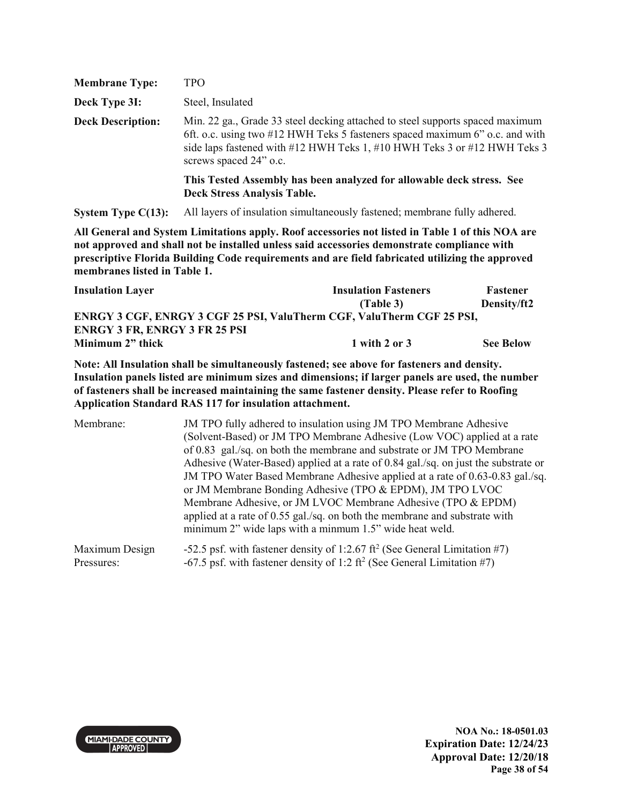| <b>Membrane Type:</b>    | TPO                                                                                                                                                                                                                                                                 |
|--------------------------|---------------------------------------------------------------------------------------------------------------------------------------------------------------------------------------------------------------------------------------------------------------------|
| Deck Type 3I:            | Steel, Insulated                                                                                                                                                                                                                                                    |
| <b>Deck Description:</b> | Min. 22 ga., Grade 33 steel decking attached to steel supports spaced maximum<br>6ft. o.c. using two #12 HWH Teks 5 fasteners spaced maximum 6" o.c. and with<br>side laps fastened with #12 HWH Teks 1, #10 HWH Teks 3 or #12 HWH Teks 3<br>screws spaced 24" o.c. |
|                          | This Tested Assembly has been analyzed for allowable deck stress. See<br><b>Deck Stress Analysis Table.</b>                                                                                                                                                         |

**System Type C(13):** All layers of insulation simultaneously fastened; membrane fully adhered.

**All General and System Limitations apply. Roof accessories not listed in Table 1 of this NOA are not approved and shall not be installed unless said accessories demonstrate compliance with prescriptive Florida Building Code requirements and are field fabricated utilizing the approved membranes listed in Table 1.**

| <b>Insulation Layer</b>                                                      | <b>Insulation Fasteners</b> | Fastener         |
|------------------------------------------------------------------------------|-----------------------------|------------------|
|                                                                              | (Table 3)                   | Density/ft2      |
| <b>ENRGY 3 CGF, ENRGY 3 CGF 25 PSI, ValuTherm CGF, ValuTherm CGF 25 PSI,</b> |                             |                  |
| <b>ENRGY 3 FR, ENRGY 3 FR 25 PSI</b>                                         |                             |                  |
| Minimum 2" thick                                                             | 1 with 2 or 3               | <b>See Below</b> |

**Note: All Insulation shall be simultaneously fastened; see above for fasteners and density. Insulation panels listed are minimum sizes and dimensions; if larger panels are used, the number of fasteners shall be increased maintaining the same fastener density. Please refer to Roofing Application Standard RAS 117 for insulation attachment.** 

| Membrane:      | JM TPO fully adhered to insulation using JM TPO Membrane Adhesive<br>(Solvent-Based) or JM TPO Membrane Adhesive (Low VOC) applied at a rate<br>of 0.83 gal./sq. on both the membrane and substrate or JM TPO Membrane<br>Adhesive (Water-Based) applied at a rate of 0.84 gal./sq. on just the substrate or<br>JM TPO Water Based Membrane Adhesive applied at a rate of 0.63-0.83 gal./sq.<br>or JM Membrane Bonding Adhesive (TPO & EPDM), JM TPO LVOC<br>Membrane Adhesive, or JM LVOC Membrane Adhesive (TPO & EPDM)<br>applied at a rate of 0.55 gal./sq. on both the membrane and substrate with<br>minimum 2" wide laps with a minmum 1.5" wide heat weld. |
|----------------|--------------------------------------------------------------------------------------------------------------------------------------------------------------------------------------------------------------------------------------------------------------------------------------------------------------------------------------------------------------------------------------------------------------------------------------------------------------------------------------------------------------------------------------------------------------------------------------------------------------------------------------------------------------------|
| Maximum Design | -52.5 psf. with fastener density of 1:2.67 ft <sup>2</sup> (See General Limitation #7)                                                                                                                                                                                                                                                                                                                                                                                                                                                                                                                                                                             |
| Pressures:     | -67.5 psf. with fastener density of 1:2 ft <sup>2</sup> (See General Limitation #7)                                                                                                                                                                                                                                                                                                                                                                                                                                                                                                                                                                                |

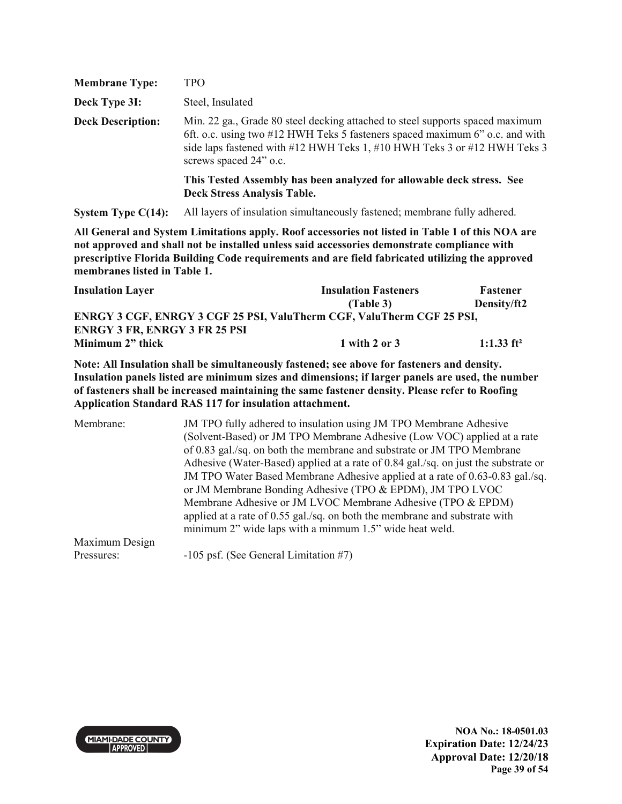| <b>Membrane Type:</b>    | TPO                                                                                                                                                                                                                                                                 |
|--------------------------|---------------------------------------------------------------------------------------------------------------------------------------------------------------------------------------------------------------------------------------------------------------------|
| Deck Type 3I:            | Steel, Insulated                                                                                                                                                                                                                                                    |
| <b>Deck Description:</b> | Min. 22 ga., Grade 80 steel decking attached to steel supports spaced maximum<br>6ft. o.c. using two #12 HWH Teks 5 fasteners spaced maximum 6" o.c. and with<br>side laps fastened with #12 HWH Teks 1, #10 HWH Teks 3 or #12 HWH Teks 3<br>screws spaced 24" o.c. |
|                          | This Tested Assembly has been analyzed for allowable deck stress. See<br><b>Deck Stress Analysis Table.</b>                                                                                                                                                         |

**System Type C(14):** All layers of insulation simultaneously fastened; membrane fully adhered.

**All General and System Limitations apply. Roof accessories not listed in Table 1 of this NOA are not approved and shall not be installed unless said accessories demonstrate compliance with prescriptive Florida Building Code requirements and are field fabricated utilizing the approved membranes listed in Table 1.**

| <b>Insulation Layer</b>                                               | <b>Insulation Fasteners</b> | Fastener      |  |
|-----------------------------------------------------------------------|-----------------------------|---------------|--|
|                                                                       | (Table 3)                   | Density/ft2   |  |
| ENRGY 3 CGF, ENRGY 3 CGF 25 PSI, ValuTherm CGF, ValuTherm CGF 25 PSI, |                             |               |  |
| <b>ENRGY 3 FR, ENRGY 3 FR 25 PSI</b>                                  |                             |               |  |
| Minimum 2" thick                                                      | 1 with 2 or 3               | 1:1.33 $ft^2$ |  |

**Note: All Insulation shall be simultaneously fastened; see above for fasteners and density. Insulation panels listed are minimum sizes and dimensions; if larger panels are used, the number of fasteners shall be increased maintaining the same fastener density. Please refer to Roofing Application Standard RAS 117 for insulation attachment.** 

Membrane: JM TPO fully adhered to insulation using JM TPO Membrane Adhesive (Solvent-Based) or JM TPO Membrane Adhesive (Low VOC) applied at a rate of 0.83 gal./sq. on both the membrane and substrate or JM TPO Membrane Adhesive (Water-Based) applied at a rate of 0.84 gal./sq. on just the substrate or JM TPO Water Based Membrane Adhesive applied at a rate of 0.63-0.83 gal./sq. or JM Membrane Bonding Adhesive (TPO & EPDM), JM TPO LVOC Membrane Adhesive or JM LVOC Membrane Adhesive (TPO & EPDM) applied at a rate of 0.55 gal./sq. on both the membrane and substrate with minimum 2" wide laps with a minmum 1.5" wide heat weld. Maximum Design Pressures: -105 psf. (See General Limitation #7)



**NOA No.: 18-0501.03 Expiration Date: 12/24/23 Approval Date: 12/20/18 Page 39 of 54**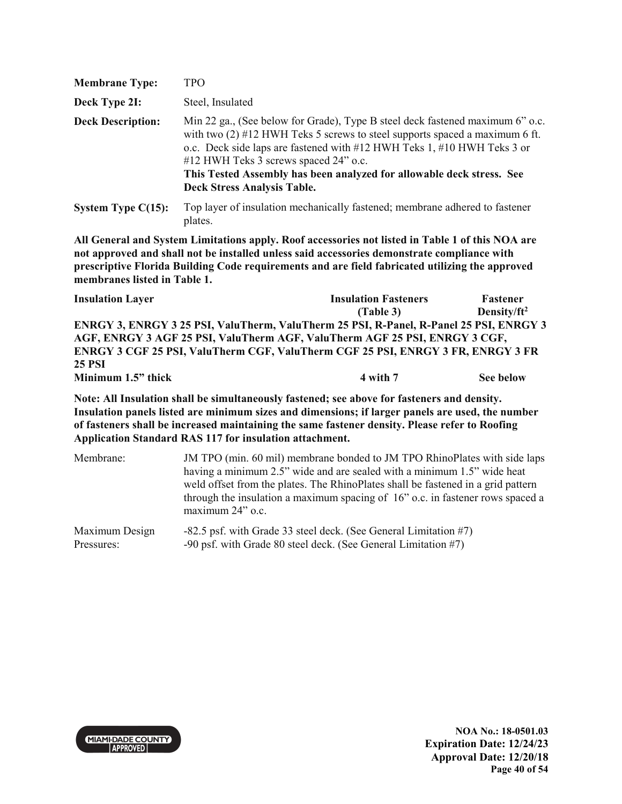| <b>Membrane Type:</b>    | TPO                                                                                                                                                                                                                                                                                                                                                                                               |
|--------------------------|---------------------------------------------------------------------------------------------------------------------------------------------------------------------------------------------------------------------------------------------------------------------------------------------------------------------------------------------------------------------------------------------------|
| Deck Type 2I:            | Steel, Insulated                                                                                                                                                                                                                                                                                                                                                                                  |
| <b>Deck Description:</b> | Min 22 ga., (See below for Grade), Type B steel deck fastened maximum 6" o.c.<br>with two $(2)$ #12 HWH Teks 5 screws to steel supports spaced a maximum 6 ft.<br>o.c. Deck side laps are fastened with #12 HWH Teks 1, #10 HWH Teks 3 or<br>#12 HWH Teks 3 screws spaced 24" o.c.<br>This Tested Assembly has been analyzed for allowable deck stress. See<br><b>Deck Stress Analysis Table.</b> |
| System Type $C(15)$ :    | Top layer of insulation mechanically fastened; membrane adhered to fastener                                                                                                                                                                                                                                                                                                                       |

plates.

| <b>Insulation Layer</b>                                                                | <b>Insulation Fasteners</b> | <b>Fastener</b> |
|----------------------------------------------------------------------------------------|-----------------------------|-----------------|
|                                                                                        | (Table 3)                   | Density/ $ft^2$ |
| ENRGY 3, ENRGY 3 25 PSI, ValuTherm, ValuTherm 25 PSI, R-Panel, R-Panel 25 PSI, ENRGY 3 |                             |                 |
| AGF, ENRGY 3 AGF 25 PSI, ValuTherm AGF, ValuTherm AGF 25 PSI, ENRGY 3 CGF,             |                             |                 |
| ENRGY 3 CGF 25 PSI, ValuTherm CGF, ValuTherm CGF 25 PSI, ENRGY 3 FR, ENRGY 3 FR        |                             |                 |
| <b>25 PSI</b>                                                                          |                             |                 |
| Minimum 1.5" thick                                                                     | 4 with 7                    | See below       |

**Note: All Insulation shall be simultaneously fastened; see above for fasteners and density. Insulation panels listed are minimum sizes and dimensions; if larger panels are used, the number of fasteners shall be increased maintaining the same fastener density. Please refer to Roofing Application Standard RAS 117 for insulation attachment.** 

| Membrane:      | JM TPO (min. 60 mil) membrane bonded to JM TPO RhinoPlates with side laps<br>having a minimum 2.5" wide and are sealed with a minimum 1.5" wide heat<br>weld offset from the plates. The RhinoPlates shall be fastened in a grid pattern<br>through the insulation a maximum spacing of 16" o.c. in fastener rows spaced a<br>maximum 24" o.c. |
|----------------|------------------------------------------------------------------------------------------------------------------------------------------------------------------------------------------------------------------------------------------------------------------------------------------------------------------------------------------------|
| Maximum Design | -82.5 psf. with Grade 33 steel deck. (See General Limitation #7)                                                                                                                                                                                                                                                                               |
| Pressures:     | -90 psf. with Grade 80 steel deck. (See General Limitation #7)                                                                                                                                                                                                                                                                                 |

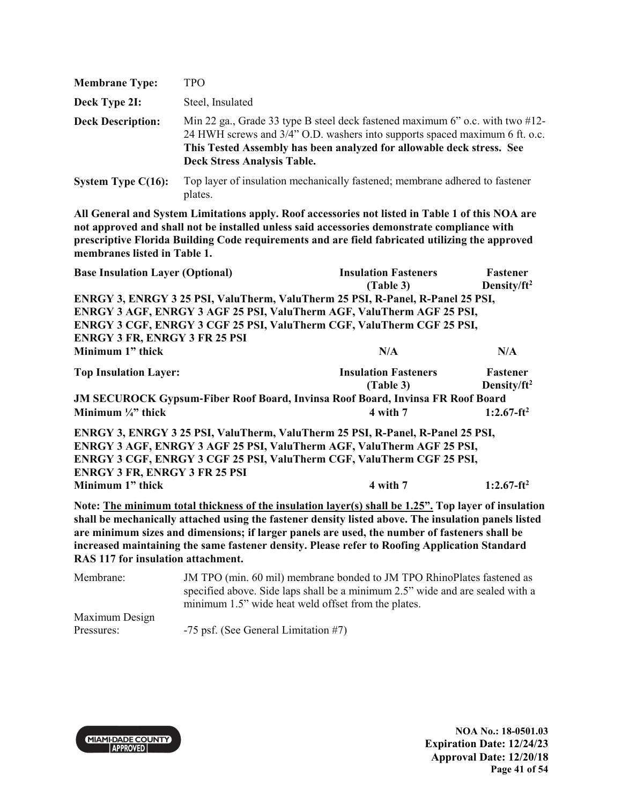| <b>Membrane Type:</b>    | TPO.                                                                                                                                                                                                                                                                            |
|--------------------------|---------------------------------------------------------------------------------------------------------------------------------------------------------------------------------------------------------------------------------------------------------------------------------|
| Deck Type 2I:            | Steel, Insulated                                                                                                                                                                                                                                                                |
| <b>Deck Description:</b> | Min 22 ga., Grade 33 type B steel deck fastened maximum 6" o.c. with two $\#12$ -<br>24 HWH screws and 3/4" O.D. washers into supports spaced maximum 6 ft. o.c.<br>This Tested Assembly has been analyzed for allowable deck stress. See<br><b>Deck Stress Analysis Table.</b> |
| System Type $C(16)$ :    | Top layer of insulation mechanically fastened; membrane adhered to fastener<br>plates.                                                                                                                                                                                          |

| <b>Base Insulation Layer (Optional)</b>                                                              | <b>Insulation Fasteners</b> | Fastener                |
|------------------------------------------------------------------------------------------------------|-----------------------------|-------------------------|
|                                                                                                      | (Table 3)                   | Density/ft <sup>2</sup> |
| ENRGY 3, ENRGY 3 25 PSI, ValuTherm, ValuTherm 25 PSI, R-Panel, R-Panel 25 PSI,                       |                             |                         |
| ENRGY 3 AGF, ENRGY 3 AGF 25 PSI, ValuTherm AGF, ValuTherm AGF 25 PSI,                                |                             |                         |
| ENRGY 3 CGF, ENRGY 3 CGF 25 PSI, ValuTherm CGF, ValuTherm CGF 25 PSI,                                |                             |                         |
| <b>ENRGY 3 FR, ENRGY 3 FR 25 PSI</b>                                                                 |                             |                         |
| Minimum 1" thick                                                                                     | N/A                         | N/A                     |
| <b>Top Insulation Layer:</b>                                                                         | <b>Insulation Fasteners</b> | Fastener                |
|                                                                                                      | (Table 3)                   | Density/ft <sup>2</sup> |
| <b>JM SECUROCK Gypsum-Fiber Roof Board, Invinsa Roof Board, Invinsa FR Roof Board</b>                |                             |                         |
| Minimum $\frac{1}{4}$ thick                                                                          | 4 with 7                    | $1:2.67-ft^2$           |
| ENRGY 3, ENRGY 3 25 PSI, ValuTherm, ValuTherm 25 PSI, R-Panel, R-Panel 25 PSI,                       |                             |                         |
| ENRGY 3 AGF, ENRGY 3 AGF 25 PSI, ValuTherm AGF, ValuTherm AGF 25 PSI,                                |                             |                         |
| ENRGY 3 CGF, ENRGY 3 CGF 25 PSI, ValuTherm CGF, ValuTherm CGF 25 PSI,                                |                             |                         |
| <b>ENRGY 3 FR, ENRGY 3 FR 25 PSI</b>                                                                 |                             |                         |
| Minimum 1" thick                                                                                     | 4 with 7                    | $1:2.67-ft^2$           |
| Note: The minimum total thickness of the insulation layer(s) shall be 1.25". Top layer of insulation |                             |                         |
| shall be mechanically attached using the fastener density listed above. The insulation panels listed |                             |                         |
| are minimum sizes and dimensions; if larger panels are used, the number of fasteners shall be        |                             |                         |
| increased maintaining the same fastener density. Please refer to Roofing Application Standard        |                             |                         |
| RAS 117 for insulation attachment.                                                                   |                             |                         |

Membrane: JM TPO (min. 60 mil) membrane bonded to JM TPO RhinoPlates fastened as specified above. Side laps shall be a minimum 2.5" wide and are sealed with a minimum 1.5" wide heat weld offset from the plates. Maximum Design Pressures: -75 psf. (See General Limitation #7)



**NOA No.: 18-0501.03 Expiration Date: 12/24/23 Approval Date: 12/20/18 Page 41 of 54**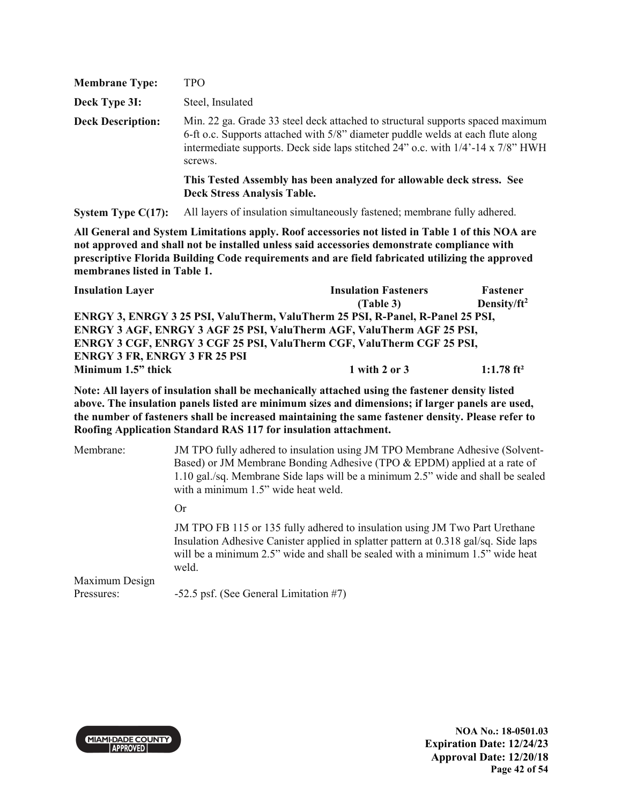| <b>Membrane Type:</b>    | TPO                                                                                                                                                                                                                                                                     |
|--------------------------|-------------------------------------------------------------------------------------------------------------------------------------------------------------------------------------------------------------------------------------------------------------------------|
| Deck Type 3I:            | Steel, Insulated                                                                                                                                                                                                                                                        |
| <b>Deck Description:</b> | Min. 22 ga. Grade 33 steel deck attached to structural supports spaced maximum<br>6-ft o.c. Supports attached with 5/8" diameter puddle welds at each flute along<br>intermediate supports. Deck side laps stitched $24$ " o.c. with $1/4$ -14 x $7/8$ " HWH<br>screws. |
|                          | This Tested Assembly has been analyzed for allowable deck stress. See<br><b>Deck Stress Analysis Table.</b>                                                                                                                                                             |

**System Type C(17):** All layers of insulation simultaneously fastened; membrane fully adhered.

**All General and System Limitations apply. Roof accessories not listed in Table 1 of this NOA are not approved and shall not be installed unless said accessories demonstrate compliance with prescriptive Florida Building Code requirements and are field fabricated utilizing the approved membranes listed in Table 1.**

| <b>Insulation Layer</b>                                                        | <b>Insulation Fasteners</b> | <b>Fastener</b>          |
|--------------------------------------------------------------------------------|-----------------------------|--------------------------|
|                                                                                | (Table 3)                   | Density/ $ft^2$          |
| ENRGY 3, ENRGY 3 25 PSI, ValuTherm, ValuTherm 25 PSI, R-Panel, R-Panel 25 PSI, |                             |                          |
| ENRGY 3 AGF, ENRGY 3 AGF 25 PSI, ValuTherm AGF, ValuTherm AGF 25 PSI,          |                             |                          |
| <b>ENRGY 3 CGF, ENRGY 3 CGF 25 PSI, ValuTherm CGF, ValuTherm CGF 25 PSI,</b>   |                             |                          |
| <b>ENRGY 3 FR, ENRGY 3 FR 25 PSI</b>                                           |                             |                          |
| Minimum 1.5" thick                                                             | $1$ with $2$ or $3$         | $1:1.78$ ft <sup>2</sup> |

**Note: All layers of insulation shall be mechanically attached using the fastener density listed above. The insulation panels listed are minimum sizes and dimensions; if larger panels are used, the number of fasteners shall be increased maintaining the same fastener density. Please refer to Roofing Application Standard RAS 117 for insulation attachment.** 

| JM TPO fully adhered to insulation using JM TPO Membrane Adhesive (Solvent-<br>Based) or JM Membrane Bonding Adhesive (TPO & EPDM) applied at a rate of<br>1.10 gal./sq. Membrane Side laps will be a minimum 2.5" wide and shall be sealed<br>with a minimum 1.5" wide heat weld. |
|------------------------------------------------------------------------------------------------------------------------------------------------------------------------------------------------------------------------------------------------------------------------------------|
| Or                                                                                                                                                                                                                                                                                 |
| JM TPO FB 115 or 135 fully adhered to insulation using JM Two Part Urethane<br>Insulation Adhesive Canister applied in splatter pattern at 0.318 gal/sq. Side laps<br>will be a minimum 2.5" wide and shall be sealed with a minimum 1.5" wide heat<br>weld.                       |
| -52.5 psf. (See General Limitation #7)                                                                                                                                                                                                                                             |
|                                                                                                                                                                                                                                                                                    |

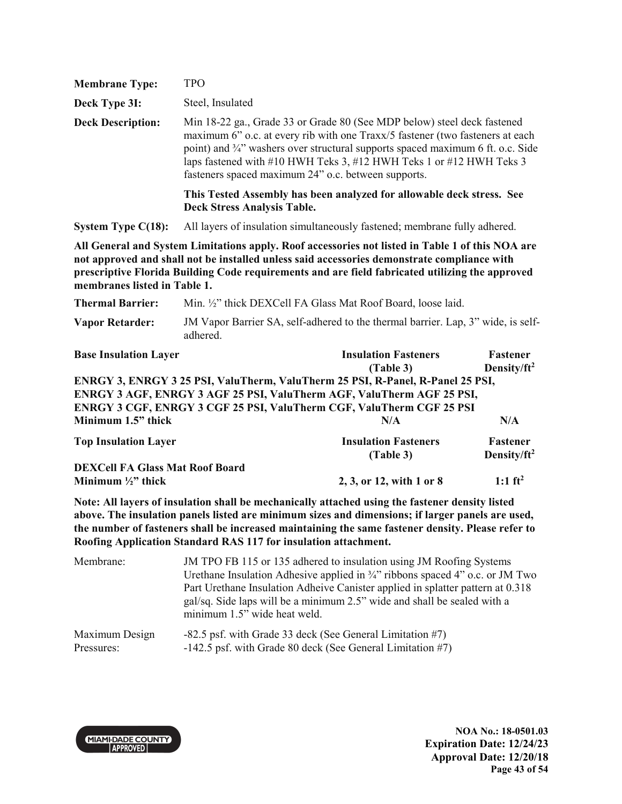| <b>Membrane Type:</b>    | TPO.                                                                                                                                                                                                                                                                                                                                                                      |
|--------------------------|---------------------------------------------------------------------------------------------------------------------------------------------------------------------------------------------------------------------------------------------------------------------------------------------------------------------------------------------------------------------------|
| Deck Type 3I:            | Steel, Insulated                                                                                                                                                                                                                                                                                                                                                          |
| <b>Deck Description:</b> | Min 18-22 ga., Grade 33 or Grade 80 (See MDP below) steel deck fastened<br>maximum 6" o.c. at every rib with one Traxx/5 fastener (two fasteners at each<br>point) and 3/4" washers over structural supports spaced maximum 6 ft. o.c. Side<br>laps fastened with #10 HWH Teks 3, #12 HWH Teks 1 or #12 HWH Teks 3<br>fasteners spaced maximum 24" o.c. between supports. |
|                          | This Tested Assembly has been analyzed for allowable deck stress. See<br><b>Deck Stress Analysis Table.</b>                                                                                                                                                                                                                                                               |
| System Type $C(18)$ :    | All layers of insulation simultaneously fastened; membrane fully adhered.                                                                                                                                                                                                                                                                                                 |

| <b>Thermal Barrier:</b> | Min. 1/2" thick DEXCell FA Glass Mat Roof Board, loose laid.                                |
|-------------------------|---------------------------------------------------------------------------------------------|
| <b>Vapor Retarder:</b>  | JM Vapor Barrier SA, self-adhered to the thermal barrier. Lap, 3" wide, is self-<br>adhered |

| <b>Base Insulation Layer</b>                                                   | <b>Insulation Fasteners</b> | Fastener                |
|--------------------------------------------------------------------------------|-----------------------------|-------------------------|
|                                                                                | (Table 3)                   | Density/ft <sup>2</sup> |
| ENRGY 3, ENRGY 3 25 PSI, ValuTherm, ValuTherm 25 PSI, R-Panel, R-Panel 25 PSI, |                             |                         |
| ENRGY 3 AGF, ENRGY 3 AGF 25 PSI, ValuTherm AGF, ValuTherm AGF 25 PSI,          |                             |                         |
| ENRGY 3 CGF, ENRGY 3 CGF 25 PSI, ValuTherm CGF, ValuTherm CGF 25 PSI           |                             |                         |
| Minimum 1.5" thick                                                             | N/A                         | N/A                     |
| <b>Top Insulation Layer</b>                                                    | <b>Insulation Fasteners</b> | <b>Fastener</b>         |
|                                                                                | (Table 3)                   | Density/ft <sup>2</sup> |
| <b>DEXCell FA Glass Mat Roof Board</b>                                         |                             |                         |
| Minimum $\frac{1}{2}$ " thick                                                  | 2, 3, or 12, with 1 or 8    | 1:1 $ft^2$              |

**Note: All layers of insulation shall be mechanically attached using the fastener density listed above. The insulation panels listed are minimum sizes and dimensions; if larger panels are used, the number of fasteners shall be increased maintaining the same fastener density. Please refer to Roofing Application Standard RAS 117 for insulation attachment.** 

| Membrane:      | JM TPO FB 115 or 135 adhered to insulation using JM Roofing Systems<br>Urethane Insulation Adhesive applied in $\frac{3}{4}$ " ribbons spaced 4" o.c. or JM Two<br>Part Urethane Insulation Adheive Canister applied in splatter pattern at 0.318<br>gal/sq. Side laps will be a minimum 2.5" wide and shall be sealed with a<br>minimum 1.5" wide heat weld. |
|----------------|---------------------------------------------------------------------------------------------------------------------------------------------------------------------------------------------------------------------------------------------------------------------------------------------------------------------------------------------------------------|
| Maximum Design | -82.5 psf. with Grade 33 deck (See General Limitation #7)                                                                                                                                                                                                                                                                                                     |
| Pressures:     | $-142.5$ psf. with Grade 80 deck (See General Limitation #7)                                                                                                                                                                                                                                                                                                  |



**NOA No.: 18-0501.03 Expiration Date: 12/24/23 Approval Date: 12/20/18 Page 43 of 54**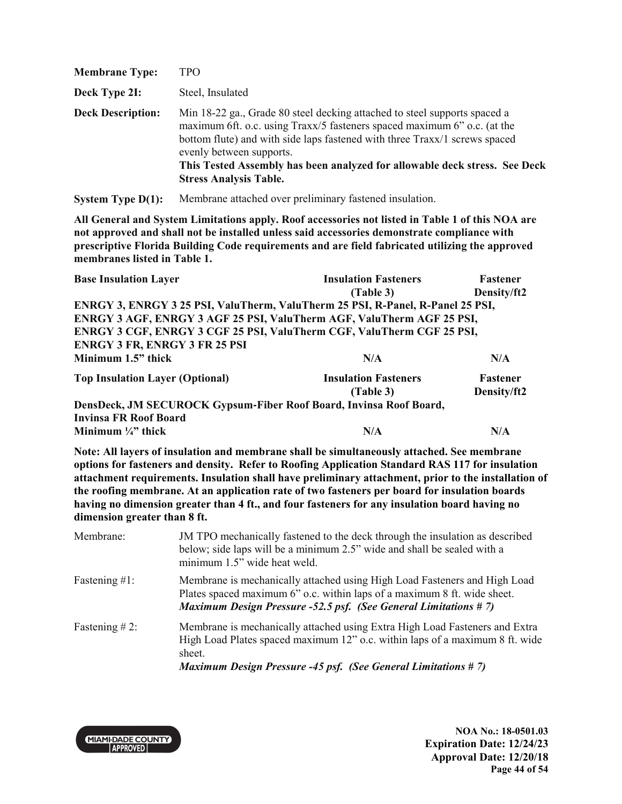| <b>Membrane Type:</b>    | TPO                                                                                                                                                                                                                                                                                                                                                                            |
|--------------------------|--------------------------------------------------------------------------------------------------------------------------------------------------------------------------------------------------------------------------------------------------------------------------------------------------------------------------------------------------------------------------------|
| Deck Type 2I:            | Steel, Insulated                                                                                                                                                                                                                                                                                                                                                               |
| <b>Deck Description:</b> | Min 18-22 ga., Grade 80 steel decking attached to steel supports spaced a<br>maximum 6ft. o.c. using Traxx/5 fasteners spaced maximum 6" o.c. (at the<br>bottom flute) and with side laps fastened with three Traxx/1 screws spaced<br>evenly between supports.<br>This Tested Assembly has been analyzed for allowable deck stress. See Deck<br><b>Stress Analysis Table.</b> |

**System Type D(1):** Membrane attached over preliminary fastened insulation.

**All General and System Limitations apply. Roof accessories not listed in Table 1 of this NOA are not approved and shall not be installed unless said accessories demonstrate compliance with prescriptive Florida Building Code requirements and are field fabricated utilizing the approved membranes listed in Table 1.** 

| <b>Base Insulation Layer</b>                                                   | <b>Insulation Fasteners</b> | <b>Fastener</b> |
|--------------------------------------------------------------------------------|-----------------------------|-----------------|
|                                                                                | (Table 3)                   | Density/ft2     |
| ENRGY 3, ENRGY 3 25 PSI, ValuTherm, ValuTherm 25 PSI, R-Panel, R-Panel 25 PSI, |                             |                 |
| ENRGY 3 AGF, ENRGY 3 AGF 25 PSI, ValuTherm AGF, ValuTherm AGF 25 PSI,          |                             |                 |
| ENRGY 3 CGF, ENRGY 3 CGF 25 PSI, ValuTherm CGF, ValuTherm CGF 25 PSI,          |                             |                 |
| <b>ENRGY 3 FR, ENRGY 3 FR 25 PSI</b>                                           |                             |                 |
| Minimum 1.5" thick                                                             | N/A                         | N/A             |
| <b>Top Insulation Layer (Optional)</b>                                         | <b>Insulation Fasteners</b> | <b>Fastener</b> |
|                                                                                | (Table 3)                   | Density/ft2     |
| DensDeck, JM SECUROCK Gypsum-Fiber Roof Board, Invinsa Roof Board,             |                             |                 |
| <b>Invinsa FR Roof Board</b>                                                   |                             |                 |
| Minimum $\frac{1}{4}$ " thick                                                  | N/A                         | N/A             |

**Note: All layers of insulation and membrane shall be simultaneously attached. See membrane options for fasteners and density. Refer to Roofing Application Standard RAS 117 for insulation attachment requirements. Insulation shall have preliminary attachment, prior to the installation of the roofing membrane. At an application rate of two fasteners per board for insulation boards having no dimension greater than 4 ft., and four fasteners for any insulation board having no dimension greater than 8 ft.** 

| Membrane:        | JM TPO mechanically fastened to the deck through the insulation as described<br>below; side laps will be a minimum 2.5" wide and shall be sealed with a<br>minimum 1.5" wide heat weld.                                                       |
|------------------|-----------------------------------------------------------------------------------------------------------------------------------------------------------------------------------------------------------------------------------------------|
| Fastening $#1$ : | Membrane is mechanically attached using High Load Fasteners and High Load<br>Plates spaced maximum 6" o.c. within laps of a maximum 8 ft. wide sheet.<br><b>Maximum Design Pressure -52.5 psf. (See General Limitations #7)</b>               |
| Fastening $#2$ : | Membrane is mechanically attached using Extra High Load Fasteners and Extra<br>High Load Plates spaced maximum 12" o.c. within laps of a maximum 8 ft. wide<br>sheet.<br><b>Maximum Design Pressure -45 psf. (See General Limitations #7)</b> |



**NOA No.: 18-0501.03 Expiration Date: 12/24/23 Approval Date: 12/20/18 Page 44 of 54**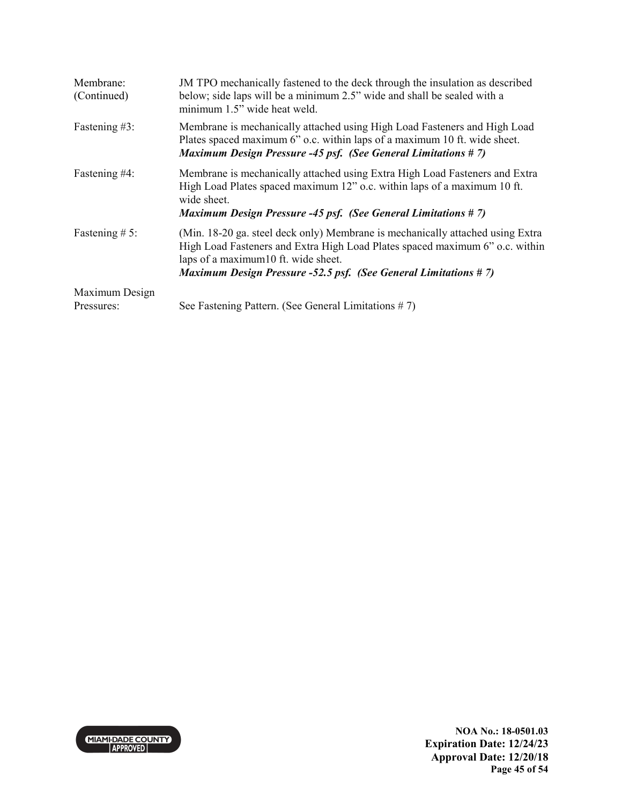| Membrane:<br>(Continued)     | JM TPO mechanically fastened to the deck through the insulation as described<br>below; side laps will be a minimum 2.5" wide and shall be sealed with a<br>minimum 1.5" wide heat weld.                                                                                         |
|------------------------------|---------------------------------------------------------------------------------------------------------------------------------------------------------------------------------------------------------------------------------------------------------------------------------|
| Fastening #3:                | Membrane is mechanically attached using High Load Fasteners and High Load<br>Plates spaced maximum 6" o.c. within laps of a maximum 10 ft. wide sheet.<br><b>Maximum Design Pressure -45 psf. (See General Limitations #7)</b>                                                  |
| Fastening #4:                | Membrane is mechanically attached using Extra High Load Fasteners and Extra<br>High Load Plates spaced maximum 12" o.c. within laps of a maximum 10 ft.<br>wide sheet.<br><b>Maximum Design Pressure -45 psf. (See General Limitations #7)</b>                                  |
| Fastening $# 5$ :            | (Min. 18-20 ga. steel deck only) Membrane is mechanically attached using Extra<br>High Load Fasteners and Extra High Load Plates spaced maximum 6" o.c. within<br>laps of a maximum10 ft. wide sheet.<br><b>Maximum Design Pressure -52.5 psf. (See General Limitations #7)</b> |
| Maximum Design<br>Pressures: | See Fastening Pattern. (See General Limitations #7)                                                                                                                                                                                                                             |

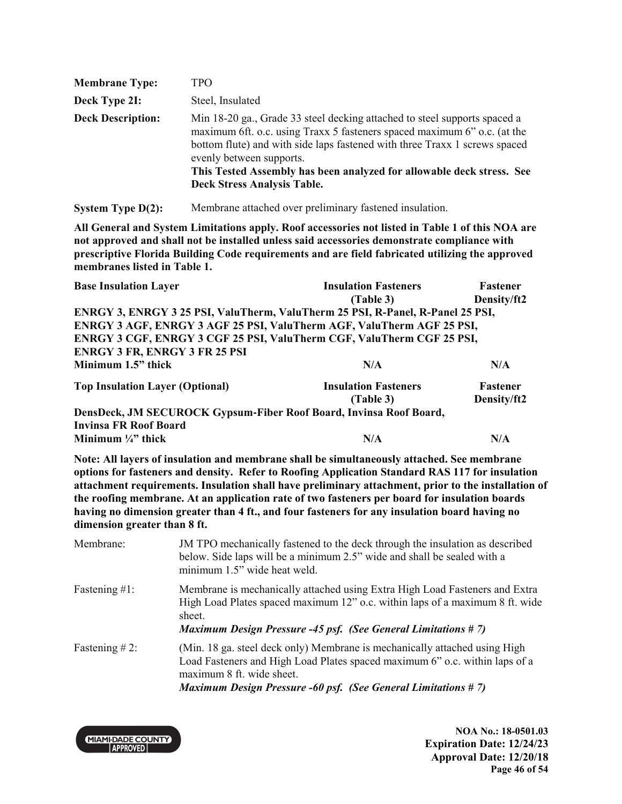| <b>Membrane Type:</b>    | TPO                                                                                                                                                                                                                                                                                                                                                                            |
|--------------------------|--------------------------------------------------------------------------------------------------------------------------------------------------------------------------------------------------------------------------------------------------------------------------------------------------------------------------------------------------------------------------------|
| Deck Type 2I:            | Steel, Insulated                                                                                                                                                                                                                                                                                                                                                               |
| <b>Deck Description:</b> | Min 18-20 ga., Grade 33 steel decking attached to steel supports spaced a<br>maximum 6ft. o.c. using Traxx 5 fasteners spaced maximum 6" o.c. (at the<br>bottom flute) and with side laps fastened with three Traxx 1 screws spaced<br>evenly between supports.<br>This Tested Assembly has been analyzed for allowable deck stress. See<br><b>Deck Stress Analysis Table.</b> |

**System Type D(2):** Membrane attached over preliminary fastened insulation.

**All General and System Limitations apply. Roof accessories not listed in Table 1 of this NOA are not approved and shall not be installed unless said accessories demonstrate compliance with prescriptive Florida Building Code requirements and are field fabricated utilizing the approved membranes listed in Table 1.** 

| <b>Base Insulation Layer</b>                                                   | <b>Insulation Fasteners</b> | Fastener    |
|--------------------------------------------------------------------------------|-----------------------------|-------------|
|                                                                                | (Table 3)                   | Density/ft2 |
| ENRGY 3, ENRGY 3 25 PSI, ValuTherm, ValuTherm 25 PSI, R-Panel, R-Panel 25 PSI, |                             |             |
| ENRGY 3 AGF, ENRGY 3 AGF 25 PSI, ValuTherm AGF, ValuTherm AGF 25 PSI,          |                             |             |
| ENRGY 3 CGF, ENRGY 3 CGF 25 PSI, ValuTherm CGF, ValuTherm CGF 25 PSI,          |                             |             |
| <b>ENRGY 3 FR, ENRGY 3 FR 25 PSI</b>                                           |                             |             |
| Minimum 1.5" thick                                                             | N/A                         | N/A         |
| <b>Top Insulation Layer (Optional)</b>                                         | <b>Insulation Fasteners</b> | Fastener    |
|                                                                                | (Table 3)                   | Density/ft2 |
| DensDeck, JM SECUROCK Gypsum-Fiber Roof Board, Invinsa Roof Board,             |                             |             |
| <b>Invinsa FR Roof Board</b>                                                   |                             |             |
| Minimum $\frac{1}{4}$ " thick                                                  | N/A                         | N/A         |
| $\blacksquare$                                                                 |                             |             |

**Note: All layers of insulation and membrane shall be simultaneously attached. See membrane options for fasteners and density. Refer to Roofing Application Standard RAS 117 for insulation attachment requirements. Insulation shall have preliminary attachment, prior to the installation of the roofing membrane. At an application rate of two fasteners per board for insulation boards having no dimension greater than 4 ft., and four fasteners for any insulation board having no dimension greater than 8 ft.** 

| Membrane:        | JM TPO mechanically fastened to the deck through the insulation as described<br>below. Side laps will be a minimum 2.5" wide and shall be sealed with a<br>minimum 1.5" wide heat weld.                                                                        |
|------------------|----------------------------------------------------------------------------------------------------------------------------------------------------------------------------------------------------------------------------------------------------------------|
| Fastening $#1$ : | Membrane is mechanically attached using Extra High Load Fasteners and Extra<br>High Load Plates spaced maximum 12" o.c. within laps of a maximum 8 ft. wide<br>sheet.<br><b>Maximum Design Pressure -45 psf. (See General Limitations #7)</b>                  |
| Fastening $#2$ : | (Min. 18 ga. steel deck only) Membrane is mechanically attached using High<br>Load Fasteners and High Load Plates spaced maximum 6" o.c. within laps of a<br>maximum 8 ft. wide sheet.<br><b>Maximum Design Pressure -60 psf. (See General Limitations #7)</b> |

**MIAMI-DADE COUNTY APPROVED** 

**NOA No.: 18-0501.03 Expiration Date: 12/24/23 Approval Date: 12/20/18 Page 46 of 54**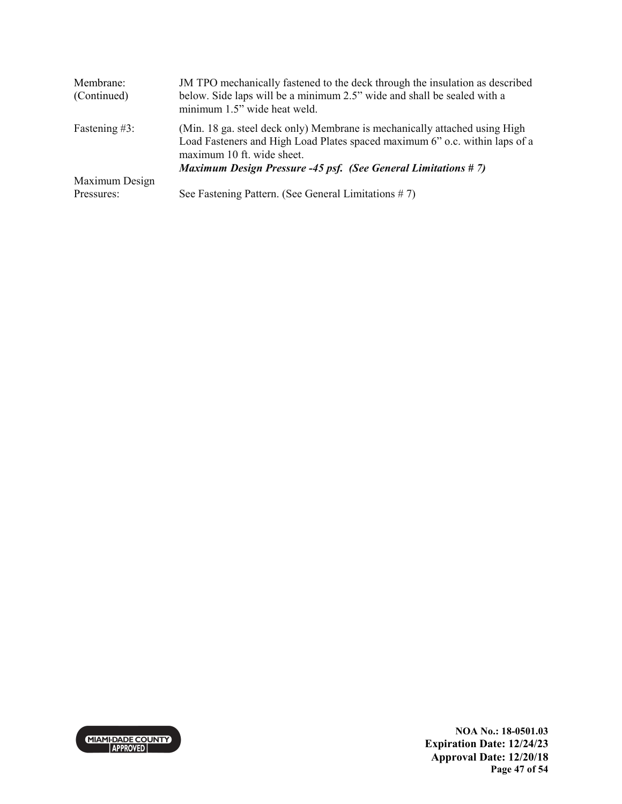| Membrane:<br>(Continued) | JM TPO mechanically fastened to the deck through the insulation as described<br>below. Side laps will be a minimum 2.5" wide and shall be sealed with a<br>minimum 1.5" wide heat weld.                                                                         |
|--------------------------|-----------------------------------------------------------------------------------------------------------------------------------------------------------------------------------------------------------------------------------------------------------------|
| Fastening #3:            | (Min. 18 ga. steel deck only) Membrane is mechanically attached using High<br>Load Fasteners and High Load Plates spaced maximum 6" o.c. within laps of a<br>maximum 10 ft. wide sheet.<br><b>Maximum Design Pressure -45 psf. (See General Limitations #7)</b> |
| Maximum Design           |                                                                                                                                                                                                                                                                 |
| Pressures:               | See Fastening Pattern. (See General Limitations $# 7$ )                                                                                                                                                                                                         |

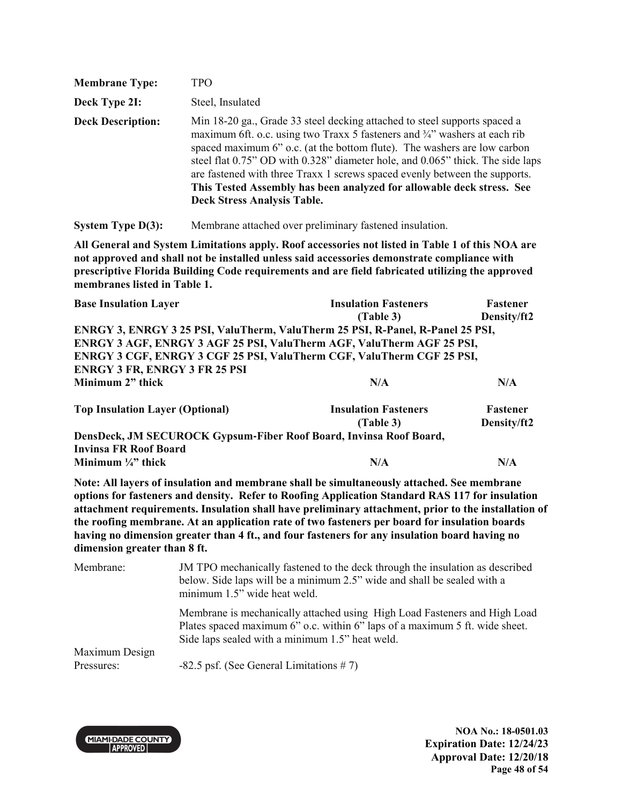| <b>Membrane Type:</b>    | TPO                                                                                                                                                                                                                                                                                                                                                                                                                                                                                                                |
|--------------------------|--------------------------------------------------------------------------------------------------------------------------------------------------------------------------------------------------------------------------------------------------------------------------------------------------------------------------------------------------------------------------------------------------------------------------------------------------------------------------------------------------------------------|
| Deck Type 2I:            | Steel, Insulated                                                                                                                                                                                                                                                                                                                                                                                                                                                                                                   |
| <b>Deck Description:</b> | Min 18-20 ga., Grade 33 steel decking attached to steel supports spaced a<br>maximum 6ft. o.c. using two Traxx 5 fasteners and 3/4" washers at each rib<br>spaced maximum 6" o.c. (at the bottom flute). The washers are low carbon<br>steel flat 0.75" OD with 0.328" diameter hole, and 0.065" thick. The side laps<br>are fastened with three Traxx 1 screws spaced evenly between the supports.<br>This Tested Assembly has been analyzed for allowable deck stress. See<br><b>Deck Stress Analysis Table.</b> |

**System Type D(3):** Membrane attached over preliminary fastened insulation.

**All General and System Limitations apply. Roof accessories not listed in Table 1 of this NOA are not approved and shall not be installed unless said accessories demonstrate compliance with prescriptive Florida Building Code requirements and are field fabricated utilizing the approved membranes listed in Table 1.** 

| <b>Base Insulation Layer</b>                                                   | <b>Insulation Fasteners</b> | <b>Fastener</b> |
|--------------------------------------------------------------------------------|-----------------------------|-----------------|
|                                                                                | (Table 3)                   | Density/ft2     |
| ENRGY 3, ENRGY 3 25 PSI, ValuTherm, ValuTherm 25 PSI, R-Panel, R-Panel 25 PSI, |                             |                 |
| ENRGY 3 AGF, ENRGY 3 AGF 25 PSI, ValuTherm AGF, ValuTherm AGF 25 PSI,          |                             |                 |
| ENRGY 3 CGF, ENRGY 3 CGF 25 PSI, ValuTherm CGF, ValuTherm CGF 25 PSI,          |                             |                 |
| <b>ENRGY 3 FR, ENRGY 3 FR 25 PSI</b>                                           |                             |                 |
| Minimum 2" thick                                                               | N/A                         | N/A             |
| <b>Top Insulation Layer (Optional)</b>                                         | <b>Insulation Fasteners</b> | Fastener        |
|                                                                                | (Table 3)                   | Density/ft2     |
| DensDeck, JM SECUROCK Gypsum-Fiber Roof Board, Invinsa Roof Board,             |                             |                 |

**Invinsa FR Roof Board Minimum**  $\frac{1}{4}$  thick  $N/A$   $N/A$ 

**Note: All layers of insulation and membrane shall be simultaneously attached. See membrane options for fasteners and density. Refer to Roofing Application Standard RAS 117 for insulation attachment requirements. Insulation shall have preliminary attachment, prior to the installation of the roofing membrane. At an application rate of two fasteners per board for insulation boards having no dimension greater than 4 ft., and four fasteners for any insulation board having no dimension greater than 8 ft.** 

| Membrane:                    | JM TPO mechanically fastened to the deck through the insulation as described<br>below. Side laps will be a minimum 2.5" wide and shall be sealed with a<br>minimum 1.5" wide heat weld.                     |
|------------------------------|-------------------------------------------------------------------------------------------------------------------------------------------------------------------------------------------------------------|
|                              | Membrane is mechanically attached using High Load Fasteners and High Load<br>Plates spaced maximum 6" o.c. within 6" laps of a maximum 5 ft. wide sheet.<br>Side laps sealed with a minimum 1.5" heat weld. |
| Maximum Design<br>Pressures: | $-82.5$ psf. (See General Limitations #7)                                                                                                                                                                   |



**NOA No.: 18-0501.03 Expiration Date: 12/24/23 Approval Date: 12/20/18 Page 48 of 54**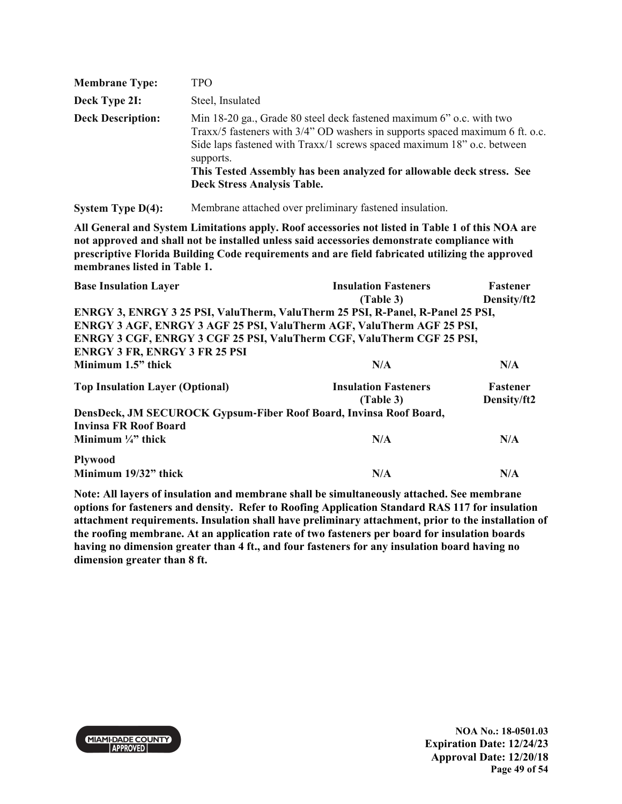| <b>Membrane Type:</b>    | TPO                                                                                                                                                                                                                                                                                                                                                        |
|--------------------------|------------------------------------------------------------------------------------------------------------------------------------------------------------------------------------------------------------------------------------------------------------------------------------------------------------------------------------------------------------|
| Deck Type 2I:            | Steel, Insulated                                                                                                                                                                                                                                                                                                                                           |
| <b>Deck Description:</b> | Min 18-20 ga., Grade 80 steel deck fastened maximum 6" o.c. with two<br>Traxx/5 fasteners with 3/4" OD washers in supports spaced maximum 6 ft. o.c.<br>Side laps fastened with Traxx/1 screws spaced maximum 18" o.c. between<br>supports.<br>This Tested Assembly has been analyzed for allowable deck stress. See<br><b>Deck Stress Analysis Table.</b> |

**System Type D(4):** Membrane attached over preliminary fastened insulation.

**All General and System Limitations apply. Roof accessories not listed in Table 1 of this NOA are not approved and shall not be installed unless said accessories demonstrate compliance with prescriptive Florida Building Code requirements and are field fabricated utilizing the approved membranes listed in Table 1.** 

| <b>Base Insulation Layer</b>                                                   | <b>Insulation Fasteners</b> | <b>Fastener</b> |
|--------------------------------------------------------------------------------|-----------------------------|-----------------|
|                                                                                | (Table 3)                   | Density/ft2     |
| ENRGY 3, ENRGY 3 25 PSI, ValuTherm, ValuTherm 25 PSI, R-Panel, R-Panel 25 PSI, |                             |                 |
| ENRGY 3 AGF, ENRGY 3 AGF 25 PSI, ValuTherm AGF, ValuTherm AGF 25 PSI,          |                             |                 |
| ENRGY 3 CGF, ENRGY 3 CGF 25 PSI, ValuTherm CGF, ValuTherm CGF 25 PSI,          |                             |                 |
| <b>ENRGY 3 FR, ENRGY 3 FR 25 PSI</b>                                           |                             |                 |
| Minimum 1.5" thick                                                             | N/A                         | N/A             |
| <b>Top Insulation Layer (Optional)</b>                                         | <b>Insulation Fasteners</b> | <b>Fastener</b> |
|                                                                                | (Table 3)                   | Density/ft2     |
| DensDeck, JM SECUROCK Gypsum-Fiber Roof Board, Invinsa Roof Board,             |                             |                 |
| <b>Invinsa FR Roof Board</b>                                                   |                             |                 |
| Minimum $\frac{1}{4}$ " thick                                                  | N/A                         | N/A             |
| <b>Plywood</b>                                                                 |                             |                 |
| Minimum 19/32" thick                                                           | N/A                         | N/A             |
|                                                                                |                             |                 |

**Note: All layers of insulation and membrane shall be simultaneously attached. See membrane options for fasteners and density. Refer to Roofing Application Standard RAS 117 for insulation attachment requirements. Insulation shall have preliminary attachment, prior to the installation of the roofing membrane. At an application rate of two fasteners per board for insulation boards having no dimension greater than 4 ft., and four fasteners for any insulation board having no dimension greater than 8 ft.** 

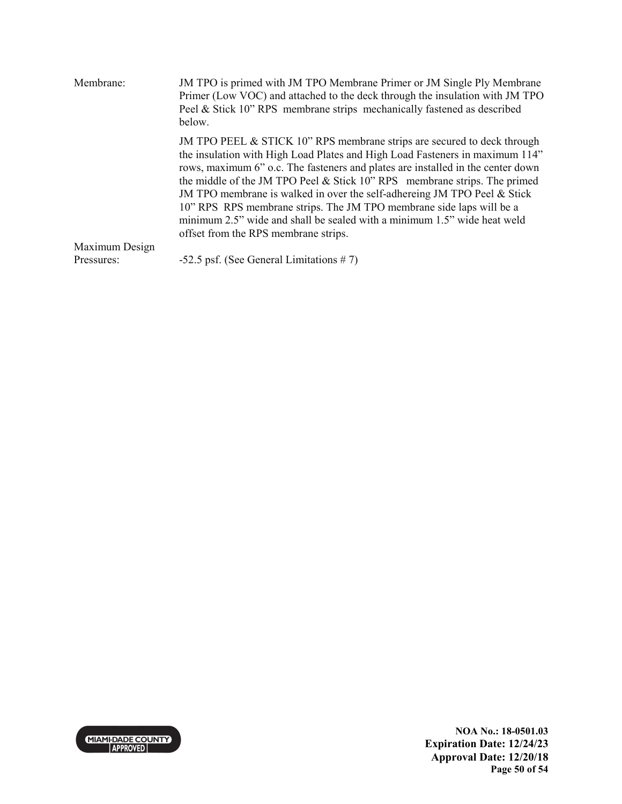| Membrane:      | JM TPO is primed with JM TPO Membrane Primer or JM Single Ply Membrane<br>Primer (Low VOC) and attached to the deck through the insulation with JM TPO<br>Peel & Stick 10" RPS membrane strips mechanically fastened as described<br>below.                                                                                                                                                                                                                                                                                                                                                         |
|----------------|-----------------------------------------------------------------------------------------------------------------------------------------------------------------------------------------------------------------------------------------------------------------------------------------------------------------------------------------------------------------------------------------------------------------------------------------------------------------------------------------------------------------------------------------------------------------------------------------------------|
|                | JM TPO PEEL $&$ STICK 10" RPS membrane strips are secured to deck through<br>the insulation with High Load Plates and High Load Fasteners in maximum 114"<br>rows, maximum 6" o.c. The fasteners and plates are installed in the center down<br>the middle of the JM TPO Peel $&$ Stick 10" RPS membrane strips. The primed<br>JM TPO membrane is walked in over the self-adhereing JM TPO Peel & Stick<br>10" RPS RPS membrane strips. The JM TPO membrane side laps will be a<br>minimum 2.5" wide and shall be sealed with a minimum 1.5" wide heat weld<br>offset from the RPS membrane strips. |
| Maximum Design |                                                                                                                                                                                                                                                                                                                                                                                                                                                                                                                                                                                                     |
| Pressures:     | $-52.5$ psf. (See General Limitations #7)                                                                                                                                                                                                                                                                                                                                                                                                                                                                                                                                                           |

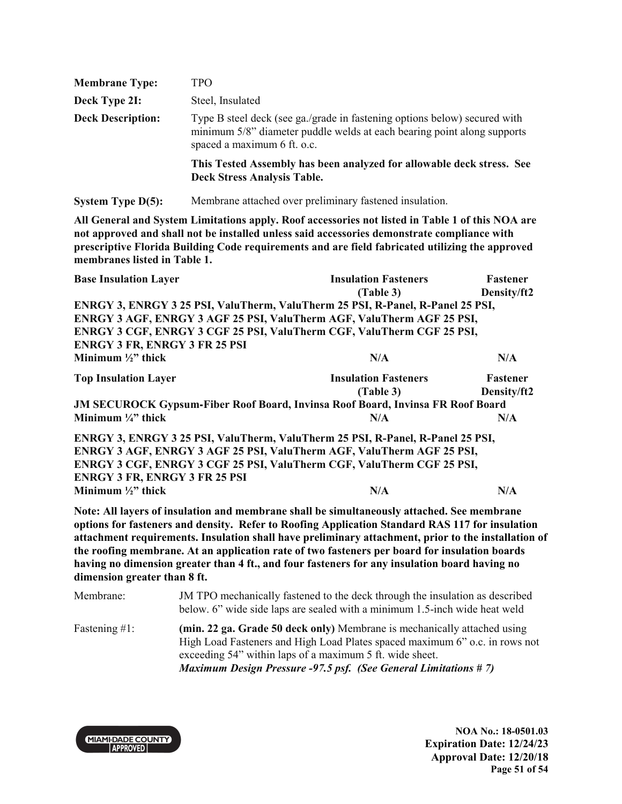| <b>Membrane Type:</b>    | TPO                                                                                                                                                                                 |
|--------------------------|-------------------------------------------------------------------------------------------------------------------------------------------------------------------------------------|
| Deck Type 2I:            | Steel, Insulated                                                                                                                                                                    |
| <b>Deck Description:</b> | Type B steel deck (see ga./grade in fastening options below) secured with<br>minimum 5/8" diameter puddle welds at each bearing point along supports<br>spaced a maximum 6 ft. o.c. |
|                          | This Tested Assembly has been analyzed for allowable deck stress. See<br><b>Deck Stress Analysis Table.</b>                                                                         |

**System Type D(5):** Membrane attached over preliminary fastened insulation.

**All General and System Limitations apply. Roof accessories not listed in Table 1 of this NOA are not approved and shall not be installed unless said accessories demonstrate compliance with prescriptive Florida Building Code requirements and are field fabricated utilizing the approved membranes listed in Table 1.** 

| <b>Base Insulation Layer</b>                                                               | <b>Insulation Fasteners</b> | <b>Fastener</b> |
|--------------------------------------------------------------------------------------------|-----------------------------|-----------------|
|                                                                                            | (Table 3)                   | Density/ft2     |
| ENRGY 3, ENRGY 3 25 PSI, ValuTherm, ValuTherm 25 PSI, R-Panel, R-Panel 25 PSI,             |                             |                 |
| ENRGY 3 AGF, ENRGY 3 AGF 25 PSI, ValuTherm AGF, ValuTherm AGF 25 PSI,                      |                             |                 |
| ENRGY 3 CGF, ENRGY 3 CGF 25 PSI, ValuTherm CGF, ValuTherm CGF 25 PSI,                      |                             |                 |
| <b>ENRGY 3 FR, ENRGY 3 FR 25 PSI</b>                                                       |                             |                 |
| Minimum $\frac{1}{2}$ thick                                                                | N/A                         | N/A             |
| <b>Top Insulation Layer</b>                                                                | <b>Insulation Fasteners</b> | Fastener        |
|                                                                                            | (Table 3)                   | Density/ft2     |
| <b>JM SECUROCK Gypsum-Fiber Roof Board, Invinsa Roof Board, Invinsa FR Roof Board</b>      |                             |                 |
| Minimum $\frac{1}{4}$ thick                                                                | N/A                         | N/A             |
| ENRGY 3, ENRGY 3 25 PSI, ValuTherm, ValuTherm 25 PSI, R-Panel, R-Panel 25 PSI,             |                             |                 |
| ENRGY 3 AGF, ENRGY 3 AGF 25 PSI, ValuTherm AGF, ValuTherm AGF 25 PSI,                      |                             |                 |
| ENRGY 3 CGF, ENRGY 3 CGF 25 PSI, ValuTherm CGF, ValuTherm CGF 25 PSI,                      |                             |                 |
| <b>ENRGY 3 FR, ENRGY 3 FR 25 PSI</b>                                                       |                             |                 |
| Minimum $\frac{1}{2}$ thick                                                                | N/A                         | N/A             |
| Note: All layers of insulation and membrane shall be simultaneously attached. See membrane |                             |                 |

**Note: All layers of insulation and membrane shall be simultaneously attached. See membrane options for fasteners and density. Refer to Roofing Application Standard RAS 117 for insulation attachment requirements. Insulation shall have preliminary attachment, prior to the installation of the roofing membrane. At an application rate of two fasteners per board for insulation boards having no dimension greater than 4 ft., and four fasteners for any insulation board having no dimension greater than 8 ft.** 

| Membrane:        | JM TPO mechanically fastened to the deck through the insulation as described<br>below. 6" wide side laps are sealed with a minimum 1.5-inch wide heat weld                                                                                                                                    |
|------------------|-----------------------------------------------------------------------------------------------------------------------------------------------------------------------------------------------------------------------------------------------------------------------------------------------|
| Fastening $#1$ : | (min. 22 ga. Grade 50 deck only) Membrane is mechanically attached using<br>High Load Fasteners and High Load Plates spaced maximum 6" o.c. in rows not<br>exceeding 54" within laps of a maximum 5 ft. wide sheet.<br><b>Maximum Design Pressure -97.5 psf. (See General Limitations #7)</b> |

**MIAMI-DADE COUNTY APPROVED** 

**NOA No.: 18-0501.03 Expiration Date: 12/24/23 Approval Date: 12/20/18 Page 51 of 54**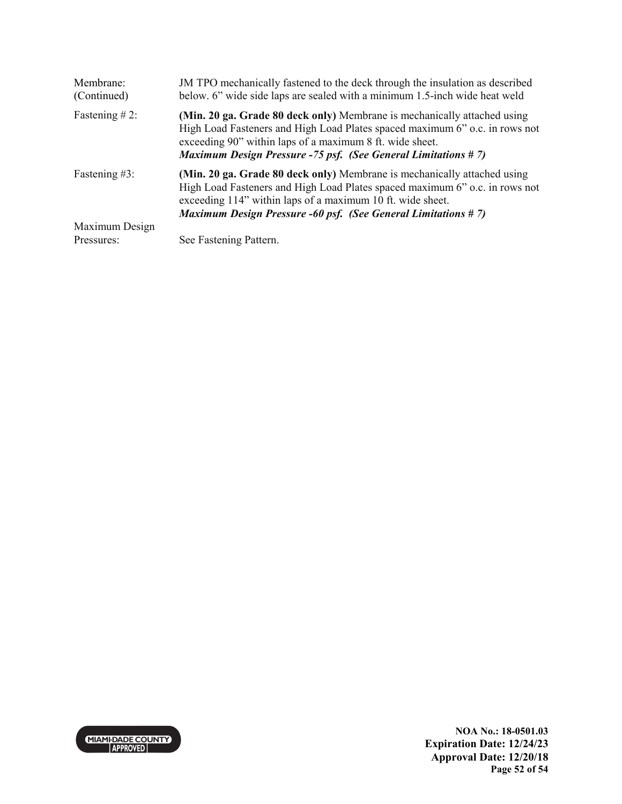| Membrane:<br>(Continued) | JM TPO mechanically fastened to the deck through the insulation as described<br>below. 6" wide side laps are sealed with a minimum 1.5-inch wide heat weld                                                                                                                                    |
|--------------------------|-----------------------------------------------------------------------------------------------------------------------------------------------------------------------------------------------------------------------------------------------------------------------------------------------|
| Fastening $#2$ :         | (Min. 20 ga. Grade 80 deck only) Membrane is mechanically attached using<br>High Load Fasteners and High Load Plates spaced maximum 6" o.c. in rows not<br>exceeding 90" within laps of a maximum 8 ft. wide sheet.<br><b>Maximum Design Pressure -75 psf. (See General Limitations #7)</b>   |
| Fastening #3:            | (Min. 20 ga. Grade 80 deck only) Membrane is mechanically attached using<br>High Load Fasteners and High Load Plates spaced maximum 6" o.c. in rows not<br>exceeding 114" within laps of a maximum 10 ft. wide sheet.<br><b>Maximum Design Pressure -60 psf. (See General Limitations #7)</b> |
| Maximum Design           |                                                                                                                                                                                                                                                                                               |
| Pressures:               | See Fastening Pattern.                                                                                                                                                                                                                                                                        |

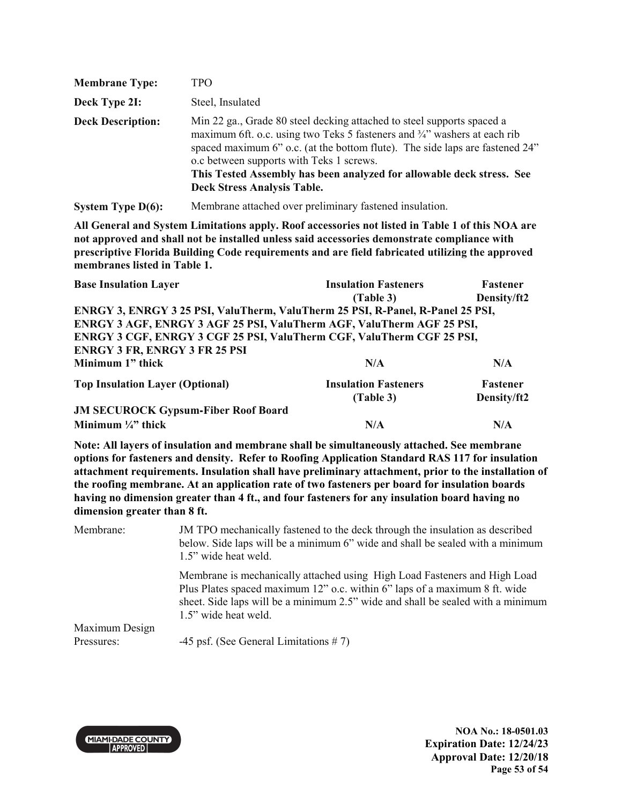| <b>Membrane Type:</b>    | TPO                                                                                                                                                                                                                                                                                                                                                                                            |
|--------------------------|------------------------------------------------------------------------------------------------------------------------------------------------------------------------------------------------------------------------------------------------------------------------------------------------------------------------------------------------------------------------------------------------|
| Deck Type 2I:            | Steel, Insulated                                                                                                                                                                                                                                                                                                                                                                               |
| <b>Deck Description:</b> | Min 22 ga., Grade 80 steel decking attached to steel supports spaced a<br>maximum 6ft. o.c. using two Teks 5 fasteners and 3/4" washers at each rib<br>spaced maximum 6" o.c. (at the bottom flute). The side laps are fastened 24"<br>o.c between supports with Teks 1 screws.<br>This Tested Assembly has been analyzed for allowable deck stress. See<br><b>Deck Stress Analysis Table.</b> |

**System Type D(6):** Membrane attached over preliminary fastened insulation.

**All General and System Limitations apply. Roof accessories not listed in Table 1 of this NOA are not approved and shall not be installed unless said accessories demonstrate compliance with prescriptive Florida Building Code requirements and are field fabricated utilizing the approved membranes listed in Table 1.** 

| <b>Base Insulation Layer</b>                                                   | <b>Insulation Fasteners</b> | <b>Fastener</b> |
|--------------------------------------------------------------------------------|-----------------------------|-----------------|
|                                                                                | (Table 3)                   | Density/ft2     |
| ENRGY 3, ENRGY 3 25 PSI, ValuTherm, ValuTherm 25 PSI, R-Panel, R-Panel 25 PSI, |                             |                 |
| ENRGY 3 AGF, ENRGY 3 AGF 25 PSI, ValuTherm AGF, ValuTherm AGF 25 PSI,          |                             |                 |
| ENRGY 3 CGF, ENRGY 3 CGF 25 PSI, ValuTherm CGF, ValuTherm CGF 25 PSI,          |                             |                 |
| <b>ENRGY 3 FR, ENRGY 3 FR 25 PSI</b>                                           |                             |                 |
| Minimum 1" thick                                                               | N/A                         | N/A             |
| <b>Top Insulation Layer (Optional)</b>                                         | <b>Insulation Fasteners</b> | <b>Fastener</b> |
|                                                                                | (Table 3)                   | Density/ft2     |
| <b>JM SECUROCK Gypsum-Fiber Roof Board</b>                                     |                             |                 |
| Minimum $\frac{1}{4}$ thick                                                    | N/A                         | N/A             |

**Note: All layers of insulation and membrane shall be simultaneously attached. See membrane options for fasteners and density. Refer to Roofing Application Standard RAS 117 for insulation attachment requirements. Insulation shall have preliminary attachment, prior to the installation of the roofing membrane. At an application rate of two fasteners per board for insulation boards having no dimension greater than 4 ft., and four fasteners for any insulation board having no dimension greater than 8 ft.** 

| Membrane:      | JM TPO mechanically fastened to the deck through the insulation as described<br>below. Side laps will be a minimum 6" wide and shall be sealed with a minimum<br>1.5" wide heat weld.                                                                              |
|----------------|--------------------------------------------------------------------------------------------------------------------------------------------------------------------------------------------------------------------------------------------------------------------|
|                | Membrane is mechanically attached using High Load Fasteners and High Load<br>Plus Plates spaced maximum 12" o.c. within 6" laps of a maximum 8 ft. wide<br>sheet. Side laps will be a minimum 2.5" wide and shall be sealed with a minimum<br>1.5" wide heat weld. |
| Maximum Design |                                                                                                                                                                                                                                                                    |
| Pressures:     | -45 psf. (See General Limitations $# 7$ )                                                                                                                                                                                                                          |



**NOA No.: 18-0501.03 Expiration Date: 12/24/23 Approval Date: 12/20/18 Page 53 of 54**